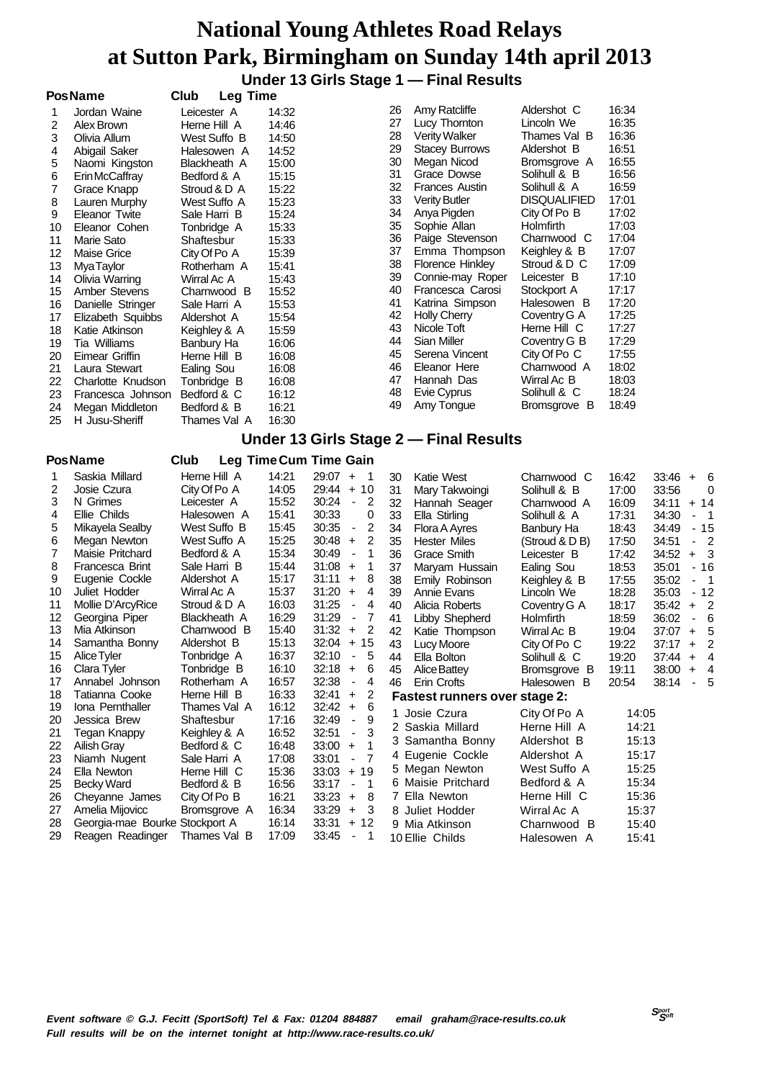|    |                   |                         |       |    | Under 13 Girls Stage 1 - Final Results |                     |       |
|----|-------------------|-------------------------|-------|----|----------------------------------------|---------------------|-------|
|    | <b>PosName</b>    | Club<br><b>Leg Time</b> |       |    |                                        |                     |       |
|    | Jordan Waine      | Leicester A             | 14:32 | 26 | Amy Ratcliffe                          | Aldershot C         | 16:34 |
| 2  | Alex Brown        | Herne Hill A            | 14:46 | 27 | Lucy Thornton                          | Lincoln We          | 16:35 |
| 3  | Olivia Allum      | West Suffo B            | 14:50 | 28 | <b>Verity Walker</b>                   | Thames Val B        | 16:36 |
| 4  | Abigail Saker     | Halesowen A             | 14:52 | 29 | <b>Stacey Burrows</b>                  | Aldershot B         | 16:51 |
| 5  | Naomi Kingston    | Blackheath A            | 15:00 | 30 | Megan Nicod                            | Bromsgrove A        | 16:55 |
| 6  | Erin McCaffray    | Bedford & A             | 15:15 | 31 | Grace Dowse                            | Solihull & B        | 16:56 |
| 7  | Grace Knapp       | Stroud & D A            | 15:22 | 32 | <b>Frances Austin</b>                  | Solihull & A        | 16:59 |
| 8  | Lauren Murphy     | West Suffo A            | 15:23 | 33 | <b>Verity Butler</b>                   | <b>DISQUALIFIED</b> | 17:01 |
| 9  | Eleanor Twite     | Sale Harri B            | 15:24 | 34 | Anya Pigden                            | City Of Po B        | 17:02 |
| 10 | Eleanor Cohen     | Tonbridge A             | 15:33 | 35 | Sophie Allan                           | Holmfirth           | 17:03 |
| 11 | Marie Sato        | Shaftesbur              | 15:33 | 36 | Paige Stevenson                        | Charnwood C         | 17:04 |
| 12 | Maise Grice       | City Of Po A            | 15:39 | 37 | Emma Thompson                          | Keighley & B        | 17:07 |
| 13 | <b>MyaTaylor</b>  | Rotherham A             | 15:41 | 38 | <b>Florence Hinkley</b>                | Stroud & D C        | 17:09 |
| 14 | Olivia Warring    | Wirral Ac A             | 15:43 | 39 | Connie-may Roper                       | Leicester B         | 17:10 |
| 15 | Amber Stevens     | Charnwood B             | 15:52 | 40 | Francesca Carosi                       | Stockport A         | 17:17 |
| 16 | Danielle Stringer | Sale Harri A            | 15:53 | 41 | Katrina Simpson                        | Halesowen B         | 17:20 |
| 17 | Elizabeth Squibbs | Aldershot A             | 15:54 | 42 | <b>Holly Cherry</b>                    | Coventry G A        | 17:25 |
| 18 | Katie Atkinson    | Keighley & A            | 15:59 | 43 | Nicole Toft                            | Herne Hill C        | 17:27 |
| 19 | Tia Williams      | Banbury Ha              | 16:06 | 44 | Sian Miller                            | Coventry G B        | 17:29 |
| 20 | Eimear Griffin    | Herne Hill B            | 16:08 | 45 | Serena Vincent                         | City Of Po C        | 17:55 |
| 21 | Laura Stewart     | Ealing Sou              | 16:08 | 46 | Eleanor Here                           | Charnwood A         | 18:02 |
| 22 | Charlotte Knudson | Tonbridge B             | 16:08 | 47 | Hannah Das                             | Wirral Ac B         | 18:03 |
| 23 | Francesca Johnson | Bedford & C             | 16:12 | 48 | Evie Cyprus                            | Solihull & C        | 18:24 |
| 24 | Megan Middleton   | Bedford & B             | 16:21 | 49 | Amy Tongue                             | Bromsgrove B        | 18:49 |
| 25 | H Jusu-Sheriff    | Thames Val A            | 16:30 |    |                                        |                     |       |

#### **Under 13 Girls Stage 2 — Final Results**

#### **PosName Club Leg TimeCum Time Gain**

| Saskia Millard    | Herne Hill A        | 14:21                          | 29:07<br>$+$<br>-1                        |       |                     |                                                                                                                                                                                                            |                                                                                                                                                                 |       |                                                                                        |                |
|-------------------|---------------------|--------------------------------|-------------------------------------------|-------|---------------------|------------------------------------------------------------------------------------------------------------------------------------------------------------------------------------------------------------|-----------------------------------------------------------------------------------------------------------------------------------------------------------------|-------|----------------------------------------------------------------------------------------|----------------|
|                   |                     |                                |                                           | 30    | Katie West          | Charnwood C                                                                                                                                                                                                | 16:42                                                                                                                                                           | 33:46 |                                                                                        | $+ 6$          |
| Josie Czura       | City Of Po A        | 14:05                          | 29:44<br>10<br>$+$                        | 31    | Mary Takwoingi      | Solihull & B                                                                                                                                                                                               | 17:00                                                                                                                                                           | 33:56 |                                                                                        | $\Omega$       |
| N Grimes          | Leicester A         | 15:52                          | 30:24<br>2<br>$\blacksquare$              | 32    | Hannah Seager       | Charnwood A                                                                                                                                                                                                | 16:09                                                                                                                                                           | 34:11 |                                                                                        | $+ 14$         |
| Ellie Childs      | Halesowen A         | 15:41                          | 30:33<br>0                                | 33    | Ella Stirling       | Solihull & A                                                                                                                                                                                               | 17:31                                                                                                                                                           | 34:30 |                                                                                        | - 1            |
| Mikayela Sealby   | West Suffo B        | 15:45                          | 2<br>30:35<br>$\overline{\phantom{a}}$    | 34    | Flora A Ayres       | Banbury Ha                                                                                                                                                                                                 | 18:43                                                                                                                                                           | 34:49 |                                                                                        | $-15$          |
| Megan Newton      | West Suffo A        | 15:25                          | 2<br>30:48<br>$\ddot{}$                   | 35    | <b>Hester Miles</b> | (Stroud & D B)                                                                                                                                                                                             | 17:50                                                                                                                                                           | 34:51 |                                                                                        | $-2$           |
| Maisie Pritchard  | Bedford & A         | 15:34                          | 30:49<br>1                                | 36    | Grace Smith         | Leicester B                                                                                                                                                                                                | 17:42                                                                                                                                                           | 34:52 | $+$                                                                                    | - 3            |
| Francesca Brint   | Sale Harri B        | 15:44                          | 31:08<br>$\ddot{}$                        | 37    | Maryam Hussain      |                                                                                                                                                                                                            | 18:53                                                                                                                                                           | 35:01 |                                                                                        | $-16$          |
| Eugenie Cockle    | Aldershot A         | 15:17                          | 31:11<br>8<br>$\ddot{}$                   | 38    | Emily Robinson      |                                                                                                                                                                                                            | 17:55                                                                                                                                                           | 35:02 |                                                                                        | - 1            |
| Juliet Hodder     | Wirral Ac A         | 15:37                          | 31:20<br>4<br>$\ddot{}$                   | 39    | Annie Evans         | Lincoln We                                                                                                                                                                                                 | 18:28                                                                                                                                                           | 35:03 |                                                                                        | - 12           |
| Mollie D'ArcyRice | Stroud & D A        | 16:03                          | 31:25<br>4<br>$\overline{\phantom{a}}$    | 40    | Alicia Roberts      | Coventry G A                                                                                                                                                                                               | 18:17                                                                                                                                                           | 35:42 | +                                                                                      | $\overline{2}$ |
| Georgina Piper    | <b>Blackheath A</b> | 16:29                          | 31:29<br>7<br>$\overline{\phantom{a}}$    | 41    |                     | Holmfirth                                                                                                                                                                                                  | 18:59                                                                                                                                                           | 36:02 |                                                                                        | -6             |
| Mia Atkinson      | Charnwood B         | 15:40                          | 31:32<br>2<br>$\ddot{}$                   | 42    | Katie Thompson      | Wirral Ac B                                                                                                                                                                                                | 19:04                                                                                                                                                           | 37:07 |                                                                                        | $+ 5$          |
| Samantha Bonny    | Aldershot B         | 15:13                          | 32:04<br>15<br>$+$                        | 43    | Lucy Moore          | City Of Po C                                                                                                                                                                                               | 19:22                                                                                                                                                           | 37:17 | $\ddot{}$                                                                              | $\overline{2}$ |
| Alice Tyler       | Tonbridge A         | 16:37                          | 32:10<br>5<br>$\overline{\phantom{a}}$    | 44    | Ella Bolton         | Solihull & C                                                                                                                                                                                               | 19:20                                                                                                                                                           | 37:44 | +                                                                                      | $\overline{4}$ |
| Clara Tyler       | Tonbridge B         | 16:10                          | 32:18<br>$\ddot{}$<br>6                   | 45    | Alice Battey        | Bromsgrove B                                                                                                                                                                                               | 19:11                                                                                                                                                           | 38:00 |                                                                                        | $+ 4$          |
| Annabel Johnson   | Rotherham A         | 16:57                          | 32:38<br>4<br>$\overline{\phantom{a}}$    | 46    | Erin Crofts         | Halesowen B                                                                                                                                                                                                | 20:54                                                                                                                                                           | 38:14 |                                                                                        | - 5            |
| Tatianna Cooke    | Herne Hill B        | 16:33                          | 32:41<br>2<br>$+$                         |       |                     |                                                                                                                                                                                                            |                                                                                                                                                                 |       |                                                                                        |                |
| Iona Pernthaller  | Thames Val A        | 16:12                          | 6<br>$\ddot{}$                            |       |                     |                                                                                                                                                                                                            |                                                                                                                                                                 |       |                                                                                        |                |
| Jessica Brew      | Shaftesbur          | 17:16                          | 9<br>32:49<br>$\overline{\phantom{a}}$    |       |                     |                                                                                                                                                                                                            |                                                                                                                                                                 |       |                                                                                        |                |
| Tegan Knappy      | Keighley & A        | 16:52                          | 3<br>32:51<br>$\overline{\phantom{a}}$    |       |                     |                                                                                                                                                                                                            |                                                                                                                                                                 |       |                                                                                        |                |
| Ailish Gray       | Bedford & C         | 16:48                          | 33:00<br>1<br>$\ddot{}$                   |       |                     |                                                                                                                                                                                                            |                                                                                                                                                                 |       |                                                                                        |                |
| Niamh Nugent      | Sale Harri A        | 17:08                          | $\overline{7}$<br>33:01<br>$\blacksquare$ |       |                     |                                                                                                                                                                                                            |                                                                                                                                                                 |       |                                                                                        |                |
| Ella Newton       | Herne Hill C        | 15:36                          | 33:03<br>$+19$                            |       |                     |                                                                                                                                                                                                            |                                                                                                                                                                 |       |                                                                                        |                |
| Becky Ward        | Bedford & B         | 16:56                          | 33:17<br>1<br>$\blacksquare$              |       |                     |                                                                                                                                                                                                            |                                                                                                                                                                 |       |                                                                                        |                |
| Cheyanne James    | City Of Po B        | 16:21                          | 33:23<br>8<br>$+$                         |       |                     | Herne Hill C                                                                                                                                                                                               |                                                                                                                                                                 |       |                                                                                        |                |
| Amelia Mijovicc   | Bromsgrove A        | 16:34                          | 33:29<br>$\ddot{}$<br>3                   |       |                     | Wirral Ac A                                                                                                                                                                                                |                                                                                                                                                                 |       |                                                                                        |                |
|                   |                     | 16:14                          | 33:31<br>12<br>$+$                        |       |                     | Charnwood B                                                                                                                                                                                                |                                                                                                                                                                 |       |                                                                                        |                |
| Reagen Readinger  | Thames Val B        | 17:09                          | 33:45<br>1                                |       |                     | Halesowen A                                                                                                                                                                                                |                                                                                                                                                                 |       |                                                                                        |                |
|                   |                     | Georgia-mae Bourke Stockport A |                                           | 32:42 |                     | Libby Shepherd<br>Josie Czura<br>2 Saskia Millard<br>3 Samantha Bonny<br>4 Eugenie Cockle<br>5 Megan Newton<br>6 Maisie Pritchard<br>7 Ella Newton<br>8 Juliet Hodder<br>9 Mia Atkinson<br>10 Ellie Childs | Ealing Sou<br>Keighley & B<br><b>Fastest runners over stage 2:</b><br>City Of Po A<br>Herne Hill A<br>Aldershot B<br>Aldershot A<br>West Suffo A<br>Bedford & A |       | 14:05<br>14:21<br>15:13<br>15:17<br>15:25<br>15:34<br>15:36<br>15:37<br>15:40<br>15:41 |                |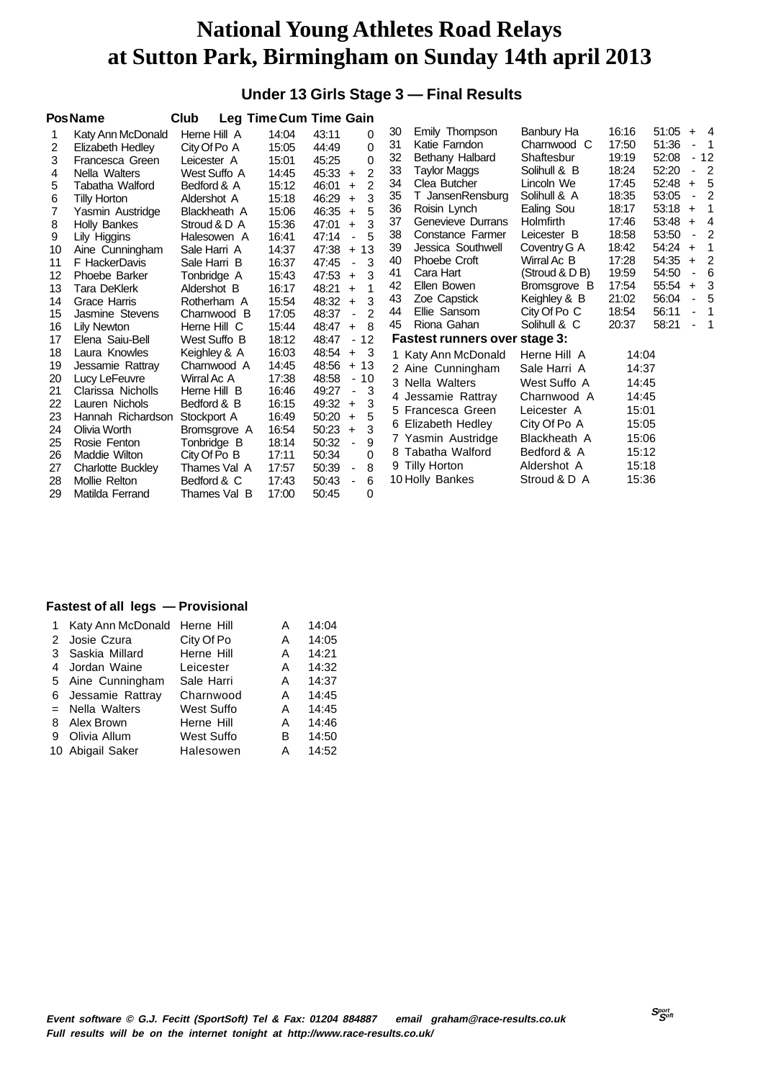#### **Under 13 Girls Stage 3 — Final Results**

|    | <b>PosName</b>           | Club         |       | <b>Leg Time Cum Time Gain</b>          |    |                                      |                  |       |       |                |                          |
|----|--------------------------|--------------|-------|----------------------------------------|----|--------------------------------------|------------------|-------|-------|----------------|--------------------------|
|    | Katy Ann McDonald        | Herne Hill A | 14:04 | 43:11<br>0                             | 30 | Emily Thompson                       | Banbury Ha       | 16:16 | 51:05 | $+$            | $\overline{4}$           |
| 2  | Elizabeth Hedley         | City Of Po A | 15:05 | 44:49<br>0                             | 31 | Katie Farndon                        | Charnwood C      | 17:50 | 51:36 |                | - 1                      |
| 3  | Francesca Green          | Leicester A  | 15:01 | 0<br>45:25                             | 32 | Bethany Halbard                      | Shaftesbur       | 19:19 | 52:08 |                | $-12$                    |
| 4  | Nella Walters            | West Suffo A | 14:45 | $\overline{2}$<br>45:33<br>$+$         | 33 | <b>Taylor Maggs</b>                  | Solihull & B     | 18:24 | 52:20 | ٠              | $\overline{2}$           |
| 5  | Tabatha Walford          | Bedford & A  | 15:12 | $\overline{2}$<br>46:01<br>$+$         | 34 | Clea Butcher                         | Lincoln We       | 17:45 | 52:48 | $+$            | 5                        |
| 6  | Tilly Horton             | Aldershot A  | 15:18 | 3<br>46:29<br>$\ddot{}$                | 35 | T JansenRensburg                     | Solihull & A     | 18:35 | 53:05 | ٠              | $\overline{2}$           |
| 7  | Yasmin Austridge         | Blackheath A | 15:06 | 5<br>46:35<br>$\ddot{+}$               | 36 | Roisin Lynch                         | Ealing Sou       | 18:17 | 53:18 | $\ddot{}$      | $\mathbf 1$              |
| 8  | <b>Holly Bankes</b>      | Stroud & D A | 15:36 | 3<br>47:01<br>$+$                      | 37 | Genevieve Durrans                    | <b>Holmfirth</b> | 17:46 | 53:48 | $\ddot{}$      | - 4                      |
| 9  | Lily Higgins             | Halesowen A  | 16:41 | 5<br>47:14                             | 38 | Constance Farmer                     | Leicester B      | 18:58 | 53:50 | $\blacksquare$ | $\overline{2}$           |
| 10 | Aine Cunningham          | Sale Harri A | 14:37 | 47:38<br>13<br>$+$                     | 39 | Jessica Southwell                    | Coventry G A     | 18:42 | 54:24 | $\ddot{}$      | 1                        |
| 11 | F HackerDavis            | Sale Harri B | 16:37 | 47:45<br>3<br>$\blacksquare$           | 40 | Phoebe Croft                         | Wirral Ac B      | 17:28 | 54:35 | $\ddot{}$      | $\overline{2}$           |
| 12 | Phoebe Barker            | Tonbridge A  | 15:43 | 3<br>47:53<br>$\ddot{}$                | 41 | Cara Hart                            | (Stroud & D B)   | 19:59 | 54:50 |                | 6                        |
| 13 | <b>Tara DeKlerk</b>      | Aldershot B  | 16:17 | 48:21<br>1<br>$+$                      | 42 | Ellen Bowen                          | Bromsgrove B     | 17:54 | 55:54 | $\ddot{}$      | 3                        |
| 14 | Grace Harris             | Rotherham A  | 15:54 | 3<br>48:32<br>$\ddot{}$                | 43 | Zoe Capstick                         | Keighley & B     | 21:02 | 56:04 | ä,             | 5                        |
| 15 | Jasmine Stevens          | Charnwood B  | 17:05 | 48:37<br>2<br>÷,                       | 44 | Ellie Sansom                         | City Of Po C     | 18:54 | 56:11 | ٠              | -1                       |
| 16 | Lily Newton              | Herne Hill C | 15:44 | 48:47<br>8<br>$\ddot{}$                | 45 | Riona Gahan                          | Solihull & C     | 20:37 | 58:21 |                | $\overline{\phantom{1}}$ |
| 17 | Elena Saiu-Bell          | West Suffo B | 18:12 | 48:47<br>12<br>$\blacksquare$          |    | <b>Fastest runners over stage 3:</b> |                  |       |       |                |                          |
| 18 | Laura Knowles            | Keighley & A | 16:03 | 48:54<br>- 3<br>$+$                    |    | 1 Katy Ann McDonald                  | Herne Hill A     | 14:04 |       |                |                          |
| 19 | Jessamie Rattray         | Charnwood A  | 14:45 | 48:56<br>$+13$                         |    | 2 Aine Cunningham                    | Sale Harri A     | 14:37 |       |                |                          |
| 20 | Lucy LeFeuvre            | Wirral Ac A  | 17:38 | 48:58<br>$-10$                         |    | 3 Nella Walters                      | West Suffo A     | 14:45 |       |                |                          |
| 21 | Clarissa Nicholls        | Herne Hill B | 16:46 | 49:27<br>3<br>$\blacksquare$           |    | 4 Jessamie Rattray                   | Charnwood A      | 14:45 |       |                |                          |
| 22 | Lauren Nichols           | Bedford & B  | 16:15 | 3<br>49:32<br>$\ddot{}$                |    | 5 Francesca Green                    | Leicester A      | 15:01 |       |                |                          |
| 23 | Hannah Richardson        | Stockport A  | 16:49 | 5<br>50:20<br>$\ddot{}$                |    |                                      |                  |       |       |                |                          |
| 24 | Olivia Worth             | Bromsgrove A | 16:54 | 3<br>50:23<br>$+$                      |    | 6 Elizabeth Hedley                   | City Of Po A     | 15:05 |       |                |                          |
| 25 | Rosie Fenton             | Tonbridge B  | 18:14 | 50:32<br>9<br>$\blacksquare$           |    | 7 Yasmin Austridge                   | Blackheath A     | 15:06 |       |                |                          |
| 26 | Maddie Wilton            | City Of Po B | 17:11 | 50:34<br>0                             |    | 8 Tabatha Walford                    | Bedford & A      | 15:12 |       |                |                          |
| 27 | <b>Charlotte Buckley</b> | Thames Val A | 17:57 | 50:39<br>8<br>$\overline{\phantom{a}}$ |    | 9 Tilly Horton                       | Aldershot A      | 15:18 |       |                |                          |
| 28 | Mollie Relton            | Bedford & C  | 17:43 | 6<br>50:43<br>$\overline{\phantom{a}}$ |    | 10 Holly Bankes                      | Stroud & D A     | 15:36 |       |                |                          |
| 29 | Matilda Ferrand          | Thames Val B | 17:00 | 0<br>50:45                             |    |                                      |                  |       |       |                |                          |

|   | 1 Katy Ann McDonald Herne Hill |                   | А | 14:04 |
|---|--------------------------------|-------------------|---|-------|
|   | 2 Josie Czura                  | City Of Po        | A | 14:05 |
|   | 3 Saskia Millard               | Herne Hill        | A | 14:21 |
|   | 4 Jordan Waine                 | Leicester         | A | 14:32 |
|   | 5 Aine Cunningham              | Sale Harri        | A | 14:37 |
|   | 6 Jessamie Rattray             | Charnwood         | A | 14:45 |
|   | $=$ Nella Walters              | West Suffo        | A | 14:45 |
|   | 8 Alex Brown                   | Herne Hill        | Α | 14:46 |
| 9 | Olivia Allum                   | <b>West Suffo</b> | в | 14:50 |
|   | 10 Abigail Saker               | Halesowen         | А | 14:52 |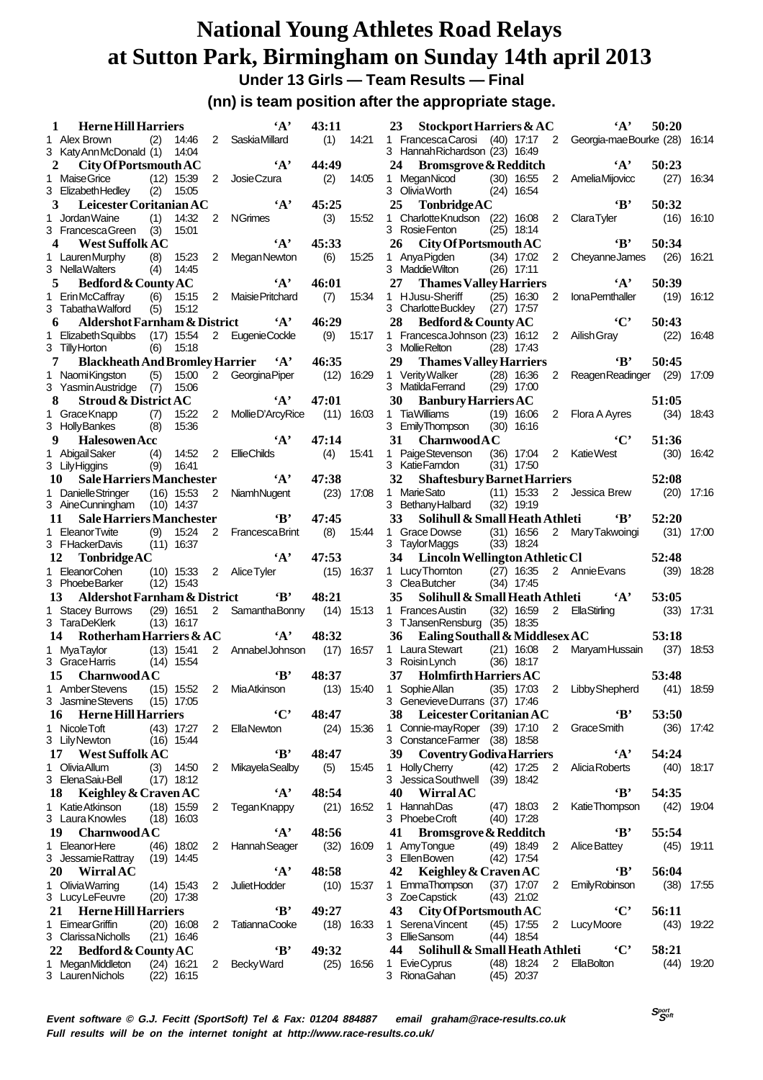**Under 13 Girls — Team Results — Final**

**(nn) is team position after the appropriate stage.**

| 1  | <b>Herne Hill Harriers</b>                 |            |                              |                 | $\mathbf{A}$           | 43:11 |              | 23        | <b>Stockport Harriers &amp; AC</b>                |                              |                | $\mathbf{A}$                                            | 50:20         |              |
|----|--------------------------------------------|------------|------------------------------|-----------------|------------------------|-------|--------------|-----------|---------------------------------------------------|------------------------------|----------------|---------------------------------------------------------|---------------|--------------|
|    | 1 Alex Brown<br>3 Katy Ann McDonald (1)    | (2)        | 14:46<br>14:04               |                 | 2 Saskia Millard       | (1)   | 14:21        |           | 3 Hannah Richardson (23) 16:49                    |                              |                | 1 Francesca Carosi (40) 17:17 2 Georgia-mae Bourke (28) |               | 16:14        |
| 2  | City Of Portsmouth AC                      |            |                              |                 | $\mathbf{A}$           | 44:49 |              | 24        | <b>Bromsgrove &amp; Redditch</b>                  |                              |                | $\cdot_A$ ,                                             | 50:23         |              |
|    | 1 Maise Grice<br>3 Elizabeth Hedley        | (2)        | $(12)$ 15:39<br>15:05        | $\overline{2}$  | Josie Czura            | (2)   | 14:05        |           | 1 MeganNicod<br>3 OliviaWorth                     | $(30)$ 16:55<br>$(24)$ 16:54 | $\overline{2}$ | AmeliaMijovicc                                          | (27)          | 16:34        |
| 3  | Leicester Coritanian AC                    |            |                              |                 | $\mathbf{A}$           | 45:25 |              | 25        | TonbridgeAC                                       |                              |                | $\mathbf{B}$                                            | 50:32         |              |
| 1  | Jordan Waine<br>3 FrancescaGreen           | (1)<br>(3) | 14:32<br>15:01               | $\overline{2}$  | <b>NGrimes</b>         | (3)   | 15:52        | 1         | CharlotteKnudson (22) 16:08<br>3 RosieFenton      | $(25)$ 18:14                 | $\overline{2}$ | <b>ClaraTyler</b>                                       | (16)          | 16:10        |
| 4  | <b>West Suffolk AC</b>                     |            |                              |                 | $\mathbf{A}$           | 45:33 |              | 26        | City Of Portsmouth AC                             |                              |                | $\mathbf{B}$                                            | 50:34         |              |
|    | 1 Lauren Murphy<br>3 NellaWalters          | (8)<br>(4) | 15:23<br>14:45               | $\overline{2}$  | Megan Newton           | (6)   | 15:25        |           | 1 Anya Pigden<br>3 Maddie Wilton                  | $(34)$ 17:02<br>$(26)$ 17:11 | $\overline{2}$ | <b>CheyanneJames</b>                                    | (26)          | 16:21        |
| 5  | Bedford & County AC                        |            |                              |                 | $\cdot_A$ ,            | 46:01 |              | 27        | <b>Thames Valley Harriers</b>                     |                              |                | $\cdot_A$ ,                                             | 50:39         |              |
|    | 1 ErinMcCaffray                            | (6)        | 15:15                        |                 | 2 Maisie Pritchard     | (7)   | 15:34        |           | 1 HJusu-Sheriff                                   | $(25)$ 16:30                 | 2              | <b>IonaPemthaller</b>                                   | (19)          | 16:12        |
|    | 3 Tabatha Walford                          | (5)        | 15:12                        |                 |                        |       |              |           | 3 Charlotte Buckley                               | $(27)$ 17:57                 |                |                                                         |               |              |
| 6  | <b>Aldershot Farnham &amp; District</b>    |            |                              |                 | $\mathbf{A}$           | 46:29 |              | 28        | Bedford & County AC                               |                              |                | $\cdot$ $\mathbf{C}$                                    | 50:43         |              |
|    | 1 Elizabeth Squibbs                        |            | $(17)$ 15:54                 |                 | 2 EugenieCockle        | (9)   | 15:17        |           | 1 Francesca Johnson (23) 16:12                    |                              | $\overline{2}$ | Ailish Gray                                             | (22)          | 16:48        |
|    | 3 Tilly Horton                             |            | $(6)$ 15:18                  |                 |                        |       |              |           | 3 Mollie Relton                                   | $(28)$ 17:43                 |                |                                                         |               |              |
|    | <b>Blackheath And Bromley Harrier</b><br>7 |            |                              |                 | $\mathbf{A}$           | 46:35 |              | 29        | <b>Thames Valley Harriers</b>                     |                              |                | $\mathbf{B}$                                            | 50:45         |              |
|    | 1 NaomiKingston<br>3 Yasmin Austridge (7)  | (5)        | 15:00<br>15:06               |                 | 2 Georgina Piper       |       | $(12)$ 16:29 |           | 1 Verity Walker<br>3 Matilda Ferrand              | $(28)$ 16:36<br>$(29)$ 17:00 | 2              | ReagenReadinger (29)                                    |               | 17:09        |
| 8  | <b>Stroud &amp; District AC</b>            |            |                              |                 | $\mathbf{A}$           | 47:01 |              | 30        | <b>Banbury Harriers AC</b>                        |                              |                |                                                         | 51:05         |              |
|    | 1 Grace Knapp                              | (7)        | 15:22                        | $\mathbf{2}$    | MollieD'ArcyRice       | (11)  | 16:03        |           | 1 TiaWilliams                                     | $(19)$ 16:06                 | $\mathbf{2}$   | Flora A Ayres                                           | (34)          | 18:43        |
|    | 3 HollyBankes                              | (8)        | 15:36                        |                 |                        |       |              |           | 3 EmilyThompson                                   | $(30)$ 16:16                 |                |                                                         |               |              |
| 9  | <b>Halesowen Acc</b>                       |            |                              |                 | $\mathbf{A}$           | 47:14 |              | 31        | CharmwoodAC                                       |                              |                | $\cdot$ $\mathbf{C}$                                    | 51:36         |              |
|    | 1 Abigail Saker                            | (4)        | 14:52                        | 2               | <b>EllieChilds</b>     | (4)   | 15:41        | 1         | Paige Stevenson                                   | $(36)$ 17:04                 | $2^{\circ}$    | Katie West                                              | (30)          | 16:42        |
|    | 3 Lily Higgins                             | (9)        | 16:41                        |                 |                        |       |              |           | 3 KatieFamdon                                     | $(31)$ 17:50                 |                |                                                         |               |              |
|    | <b>Sale Harriers Manchester</b><br>10      |            |                              |                 | $\mathbf{A}$           | 47:38 |              | 32        | <b>Shaftesbury Barnet Harriers</b>                |                              |                |                                                         | 52:08         |              |
|    | 1 Danielle Stringer                        |            | $(16)$ 15:53                 | 2               | NiamhNugent            |       | $(23)$ 17:08 |           | 1 Marie Sato                                      | $(11)$ 15:33                 |                | 2 Jessica Brew                                          | (20)          | 17:16        |
|    | 3 AineCunningham                           |            | $(10)$ 14:37                 |                 |                        |       |              |           | 3 Bethany Halbard                                 | $(32)$ 19:19                 |                |                                                         |               |              |
| 11 | Sale Harriers Manchester                   |            |                              |                 | $\mathbf{B}$           | 47:45 |              | 33        | Solihull & Small Heath Athleti                    |                              |                | $\mathbf{B}$                                            | 52:20         |              |
|    | 1 EleanorTwite                             | (9)        | 15:24                        | 2               | Francesca Brint        | (8)   | 15:44        |           | 1 Grace Dowse                                     | $(31)$ 16:56                 |                | 2 Mary Takwoingi                                        | (31)          | 17:00        |
|    | 3 FHackerDavis                             |            | $(11)$ 16:37                 |                 |                        |       |              |           | 3 TaylorMaggs                                     | $(33)$ 18:24                 |                |                                                         |               |              |
|    |                                            |            |                              |                 |                        |       |              |           |                                                   |                              |                |                                                         |               |              |
| 12 | TonbridgeAC                                |            |                              |                 | $\mathbf{A}$           | 47:53 |              | 34        | Lincoln Wellington Athletic Cl                    |                              |                |                                                         | 52:48         |              |
|    | 1 EleanorCohen                             |            | $(10)$ 15:33                 |                 | 2 Alice Tyler          |       | $(15)$ 16:37 |           | 1 Lucy Thornton                                   | $(27)$ 16:35                 |                | 2 Annie Evans                                           | (39)          | 18:28        |
|    | 3 PhoebeBarker                             |            | $(12)$ 15:43                 |                 |                        |       |              |           | 3 CleaButcher                                     | $(34)$ 17:45                 |                |                                                         |               |              |
|    | Aldershot Farnham & District<br>13         |            |                              |                 | $\cdot$ B              | 48:21 |              | 35        | Solihull & Small Heath Athleti                    |                              |                | $\mathbf{A}$                                            | 53:05         |              |
|    | 1 Stacey Burrows<br>3 TaraDeKlerk          |            | $(29)$ 16:51                 |                 | 2 Samantha Bonny       |       | $(14)$ 15:13 |           | 1 Frances Austin                                  | $(32)$ 16:59                 |                | 2 EllaStirling                                          | (33)          | 17:31        |
|    | 14                                         |            | $(13)$ 16:17                 |                 | $\mathbf{A}$           | 48:32 |              | 36        | 3 TJansenRensburg (35) 18:35                      |                              |                |                                                         |               |              |
|    | Rotherham Harriers & AC                    |            |                              |                 |                        |       |              |           | Ealing Southall & Middlesex AC<br>1 Laura Stewart | $(21)$ 16:08                 | $\overline{2}$ |                                                         | 53:18<br>(37) | 18:53        |
|    | 1 MyaTaylor<br>3 Grace Harris              |            | $(13)$ 15:41<br>$(14)$ 15:54 |                 | 2 Annabel Johnson      |       | $(17)$ 16:57 |           | 3 Roisin Lynch                                    | $(36)$ 18:17                 |                | MaryamHussain                                           |               |              |
|    | 15<br><b>Charnwood A C</b>                 |            |                              |                 | $\cdot$ B              | 48:37 |              | 37        | <b>Holmfirth Harriers AC</b>                      |                              |                |                                                         | 53:48         |              |
|    | 1 AmberStevens                             |            | $(15)$ 15:52                 | $2\overline{ }$ | MiaAtkinson            |       | $(13)$ 15:40 |           | 1 Sophie Allan                                    | $(35)$ 17:03                 | $\overline{2}$ | Libby Shepherd                                          |               | (41) 18:59   |
|    | 3 Jasmine Stevens                          |            | (15) 17:05                   |                 |                        |       |              |           | 3 Genevieve Durrans (37) 17:46                    |                              |                |                                                         |               |              |
|    | <b>Herne Hill Harriers</b><br>16           |            |                              |                 | $\cdot$ C'             | 48:47 |              |           | 38 Leicester Coritanian AC                        |                              |                | $\mathbf{B}^*$                                          | 53:50         |              |
|    | 1 Nicole Toft                              |            | $(43)$ 17:27                 | 2               | EllaNewton             |       | $(24)$ 15:36 |           | 1 Connie-mayRoper (39) 17:10                      |                              | $\overline{2}$ | Grace Smith                                             |               | $(36)$ 17:42 |
|    | 3 Lily Newton                              |            | $(16)$ 15:44                 |                 |                        |       |              |           | 3 Constance Farmer (38) 18:58                     |                              |                |                                                         |               |              |
|    | 17<br><b>West Suffolk AC</b>               |            |                              |                 | ʻВ'                    | 48:47 |              | <b>39</b> | <b>Coventry Godiva Harriers</b>                   |                              |                | $\mathbf{A}$                                            | 54:24         |              |
|    | 1 Olivia Allum                             |            | $(3)$ 14:50                  | 2               | <b>Mikayela Sealby</b> | (5)   | 15:45        |           | 1 Holly Cherry                                    | (42) 17:25                   |                | 2 Alicia Roberts                                        |               | $(40)$ 18:17 |
|    | 3 ElenaSaiu-Bell                           |            | $(17)$ 18:12                 |                 |                        |       |              |           | 3 Jessica Southwell (39) 18:42                    |                              |                |                                                         |               |              |
|    | Keighley & Craven AC<br>18                 |            |                              |                 | $\mathbf{A}$           | 48:54 |              | 40        | Wirral AC                                         |                              |                | $\mathbf{B}$                                            | 54:35         |              |
|    | 1 Katie Atkinson                           |            | $(18)$ 15:59                 | 2               | TeganKnappy            |       | $(21)$ 16:52 |           | 1 HannahDas                                       | $(47)$ 18:03                 | $\overline{2}$ | Katie Thompson                                          |               | $(42)$ 19:04 |
|    | 3 Laura Knowles                            |            | $(18)$ 16:03                 |                 |                        |       |              |           | 3 PhoebeCroft                                     | $(40)$ 17:28                 |                |                                                         |               |              |
|    | 19 Charnwood A C                           |            |                              |                 | $\mathbf{A}$           | 48:56 |              | 41        | <b>Bromsgrove &amp; Redditch</b>                  |                              |                | $\mathbf{B}$                                            | 55:54         |              |
|    | 1 EleanorHere                              |            | $(46)$ 18:02                 | 2               | <b>Hannah Seager</b>   |       | $(32)$ 16:09 |           | 1 AmyTonque                                       | $(49)$ 18:49                 | $\overline{2}$ | Alice Battey                                            |               | $(45)$ 19:11 |
|    | 3 Jessamie Rattray                         |            | $(19)$ 14:45                 |                 |                        |       |              |           | 3 EllenBowen                                      | $(42)$ 17:54                 |                |                                                         |               |              |
|    | 20 WirralAC                                |            |                              |                 | $\mathbf{A}$           | 48:58 |              | 42        | Keighley & Craven AC                              |                              |                | $\mathbf{B}$                                            | 56:04         |              |
|    | 1 Olivia Warring                           |            | $(14)$ 15:43                 | 2               | Juliet Hodder          |       | $(10)$ 15:37 |           | 1 EmmaThompson                                    | $(37)$ 17:07                 | $\mathbf{2}$   | <b>EmilyRobinson</b>                                    |               | $(38)$ 17:55 |
|    | 3 Lucy LeFeuvre                            |            | $(20)$ 17:38                 |                 |                        |       |              |           | 3 ZoeCapstick                                     | $(43)$ 21:02                 |                |                                                         |               |              |
|    | <b>Herne Hill Harriers</b><br>21           |            |                              |                 | $\mathbf{B}$           | 49:27 |              | 43        | City Of Portsmouth AC                             |                              |                | $\cdot$ C'                                              | 56:11         |              |
|    | 1 Eimear Griffin<br>3 Clarissa Nicholls    |            | $(20)$ 16:08<br>$(21)$ 16:46 | $\mathbf{2}$    | <b>TatiannaCooke</b>   |       | $(18)$ 16:33 |           | 1 Serena Vincent<br>3 EllieSansom                 | (45) 17:55<br>$(44)$ 18:54   |                | 2 Lucy Moore                                            |               | $(43)$ 19:22 |
|    | 22                                         |            |                              |                 | $\cdot$ B              | 49:32 |              | 44        | Solihull & Small Heath Athleti                    |                              |                | $\cdot$ C'                                              | 58:21         |              |
|    | Bedford & County AC<br>1 MeganMiddleton    |            | $(24)$ 16:21                 |                 | 2 Becky Ward           |       | $(25)$ 16:56 |           | 1 EvieCyprus                                      | $(48)$ 18:24                 |                | 2 EllaBolton                                            |               | $(44)$ 19:20 |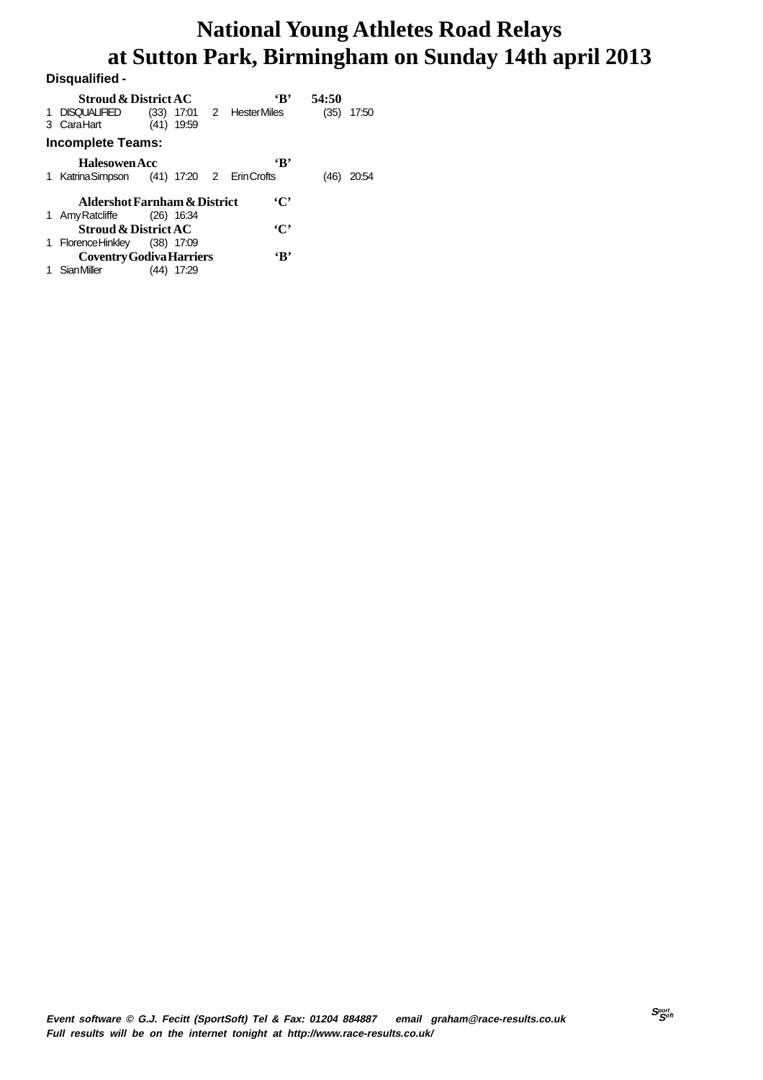| Disgualified -                             |      |              |                          |       |       |
|--------------------------------------------|------|--------------|--------------------------|-------|-------|
| <b>Stroud &amp; District AC</b>            |      |              | 'R'                      | 54:50 |       |
| 1 DISQUALIFIED<br>3 CaraHart               | (41) | 19:59        | (33) 17:01 2 HesterMiles | (35)  | 17:50 |
| <b>Incomplete Teams:</b>                   |      |              |                          |       |       |
| <b>Halesowen Acc</b>                       |      |              | $\mathbf{R}$             |       |       |
| 1 Katrina Simpson (41) 17:20 2 Erin Crofts |      |              |                          | (46)  | 20:54 |
| <b>Aldershot Farnham &amp; District</b>    |      |              | $\cdot$ C'               |       |       |
| 1 Amy Ratcliffe (26) 16:34                 |      |              |                          |       |       |
| <b>Stroud &amp; District AC</b>            |      |              | $\cdot$ C'               |       |       |
| 1 FlorenceHinkley (38) 17:09               |      |              |                          |       |       |
| <b>Coventry Godiva Harriers</b>            |      |              | $\mathbf{B}$             |       |       |
| SianMiller                                 |      | $(44)$ 17:29 |                          |       |       |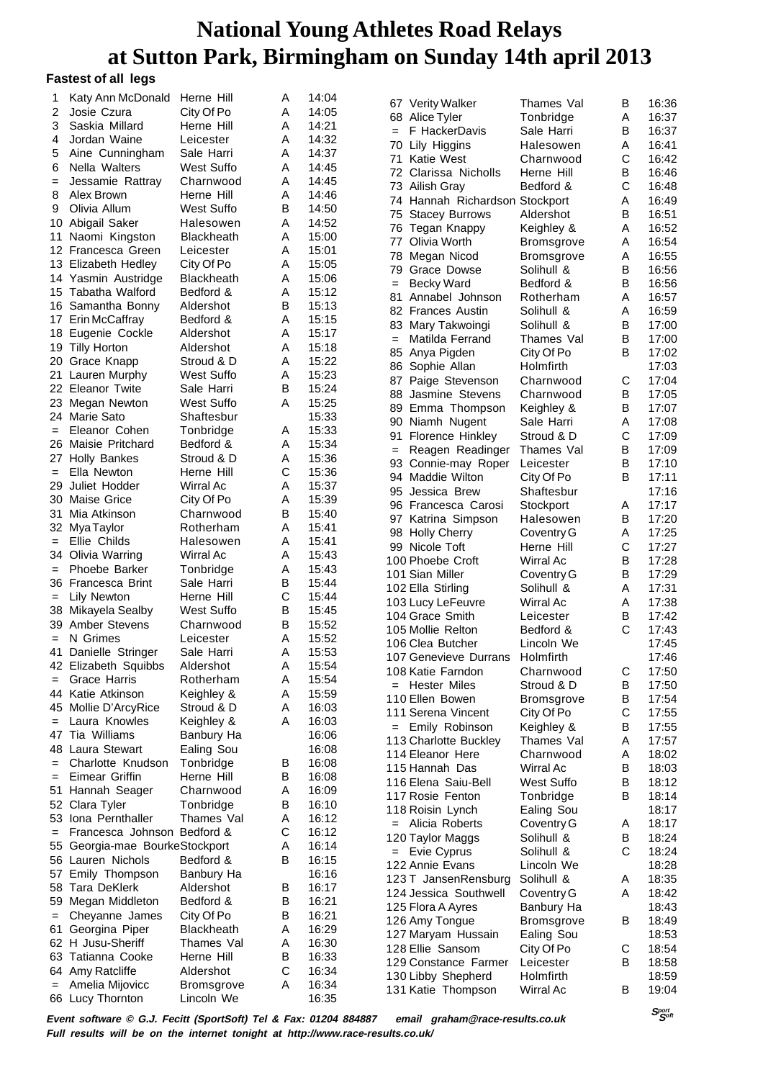#### **Fastest of all legs**

| 1                 | Katy Ann McDonald              | Herne Hill        | Α | 14:04 |     |                                |                   |   |       |
|-------------------|--------------------------------|-------------------|---|-------|-----|--------------------------------|-------------------|---|-------|
|                   |                                |                   |   |       |     | 67 Verity Walker               | Thames Val        | в | 16:36 |
| 2                 | Josie Czura                    | City Of Po        | Α | 14:05 |     | 68 Alice Tyler                 | Tonbridge         | Α | 16:37 |
| 3                 | Saskia Millard                 | Herne Hill        | Α | 14:21 | $=$ | F HackerDavis                  | Sale Harri        | в | 16:37 |
| 4                 | Jordan Waine                   | Leicester         | Α | 14:32 | 70  | Lily Higgins                   | Halesowen         | Α | 16:41 |
| 5                 | Aine Cunningham                | Sale Harri        | Α | 14:37 |     |                                |                   |   |       |
| 6                 | Nella Walters                  | West Suffo        | Α | 14:45 | 71  | Katie West                     | Charnwood         | С | 16:42 |
|                   |                                |                   |   |       | 72  | Clarissa Nicholls              | Herne Hill        | B | 16:46 |
| $=$               | Jessamie Rattray               | Charnwood         | Α | 14:45 |     | 73 Ailish Gray                 | Bedford &         | C | 16:48 |
| 8                 | Alex Brown                     | Herne Hill        | Α | 14:46 |     | 74 Hannah Richardson Stockport |                   | Α | 16:49 |
| 9                 | Olivia Allum                   | <b>West Suffo</b> | В | 14:50 | 75  | <b>Stacey Burrows</b>          | Aldershot         | В | 16:51 |
| 10                | Abigail Saker                  | Halesowen         | Α | 14:52 |     |                                |                   |   |       |
|                   | 11 Naomi Kingston              | <b>Blackheath</b> | Α | 15:00 |     | 76 Tegan Knappy                | Keighley &        | Α | 16:52 |
|                   | 12 Francesca Green             | Leicester         | Α | 15:01 | 77  | Olivia Worth                   | <b>Bromsgrove</b> | Α | 16:54 |
|                   |                                |                   |   |       | 78  | Megan Nicod                    | <b>Bromsgrove</b> | Α | 16:55 |
|                   | 13 Elizabeth Hedley            | City Of Po        | Α | 15:05 | 79  | Grace Dowse                    | Solihull &        | B | 16:56 |
|                   | 14 Yasmin Austridge            | <b>Blackheath</b> | Α | 15:06 | $=$ | Becky Ward                     | Bedford &         | B | 16:56 |
|                   | 15 Tabatha Walford             | Bedford &         | Α | 15:12 | 81  | Annabel Johnson                | Rotherham         | Α | 16:57 |
|                   | 16 Samantha Bonny              | Aldershot         | B | 15:13 |     | 82 Frances Austin              | Solihull &        | Α | 16:59 |
|                   | 17 Erin McCaffray              | Bedford &         | Α | 15:15 |     |                                |                   |   |       |
|                   | 18 Eugenie Cockle              | Aldershot         | Α | 15:17 | 83  | Mary Takwoingi                 | Solihull &        | B | 17:00 |
|                   |                                |                   | Α | 15:18 | $=$ | Matilda Ferrand                | Thames Val        | B | 17:00 |
|                   | 19 Tilly Horton                | Aldershot         |   |       |     | 85 Anya Pigden                 | City Of Po        | B | 17:02 |
|                   | 20 Grace Knapp                 | Stroud & D        | Α | 15:22 |     | 86 Sophie Allan                | Holmfirth         |   | 17:03 |
| 21                | Lauren Murphy                  | West Suffo        | Α | 15:23 |     | 87 Paige Stevenson             | Charnwood         | С | 17:04 |
|                   | 22 Eleanor Twite               | Sale Harri        | В | 15:24 |     | 88 Jasmine Stevens             | Charnwood         | в | 17:05 |
|                   | 23 Megan Newton                | West Suffo        | Α | 15:25 |     |                                |                   |   |       |
|                   | 24 Marie Sato                  | Shaftesbur        |   | 15:33 |     | 89 Emma Thompson               | Keighley &        | B | 17:07 |
| $=$               | Eleanor Cohen                  | Tonbridge         | Α | 15:33 |     | 90 Niamh Nugent                | Sale Harri        | Α | 17:08 |
|                   |                                |                   |   |       |     | 91 Florence Hinkley            | Stroud & D        | С | 17:09 |
|                   | 26 Maisie Pritchard            | Bedford &         | Α | 15:34 | $=$ | Reagen Readinger               | Thames Val        | В | 17:09 |
| 27                | <b>Holly Bankes</b>            | Stroud & D        | Α | 15:36 |     | 93 Connie-may Roper            | Leicester         | B | 17:10 |
| $\qquad \qquad =$ | Ella Newton                    | Herne Hill        | С | 15:36 |     | 94 Maddie Wilton               | City Of Po        | B | 17:11 |
| 29                | Juliet Hodder                  | Wirral Ac         | Α | 15:37 |     | 95 Jessica Brew                | Shaftesbur        |   | 17:16 |
|                   | 30 Maise Grice                 | City Of Po        | Α | 15:39 |     |                                |                   |   |       |
| 31                | Mia Atkinson                   | Charnwood         | B | 15:40 |     | 96 Francesca Carosi            | Stockport         | Α | 17:17 |
|                   |                                |                   |   |       |     | 97 Katrina Simpson             | Halesowen         | В | 17:20 |
|                   | 32 MyaTaylor                   | Rotherham         | Α | 15:41 |     | 98 Holly Cherry                | Coventry G        | Α | 17:25 |
| $\qquad \qquad =$ | Ellie Childs                   | Halesowen         | Α | 15:41 |     | 99 Nicole Toft                 | Herne Hill        | С | 17:27 |
|                   | 34 Olivia Warring              | Wirral Ac         | Α | 15:43 |     | 100 Phoebe Croft               | Wirral Ac         | B | 17:28 |
| $=$               | Phoebe Barker                  | Tonbridge         | Α | 15:43 |     | 101 Sian Miller                | Coventry G        | B | 17:29 |
|                   | 36 Francesca Brint             | Sale Harri        | B | 15:44 |     |                                |                   |   |       |
| $=$               | Lily Newton                    | Herne Hill        | С | 15:44 |     | 102 Ella Stirling              | Solihull &        | Α | 17:31 |
|                   | 38 Mikayela Sealby             | <b>West Suffo</b> | В | 15:45 |     | 103 Lucy LeFeuvre              | Wirral Ac         | Α | 17:38 |
|                   |                                |                   |   |       |     | 104 Grace Smith                | Leicester         | В | 17:42 |
|                   | 39 Amber Stevens               | Charnwood         | В | 15:52 |     | 105 Mollie Relton              | Bedford &         | C | 17:43 |
| $=$               | N Grimes                       | Leicester         | Α | 15:52 |     | 106 Clea Butcher               | Lincoln We        |   | 17:45 |
| 41                | Danielle Stringer              | Sale Harri        | Α | 15:53 |     | 107 Genevieve Durrans          | Holmfirth         |   | 17:46 |
|                   | 42 Elizabeth Squibbs           | Aldershot         | Α | 15:54 |     | 108 Katie Farndon              |                   | C | 17:50 |
|                   | Grace Harris                   | Rotherham         | Α | 15:54 |     |                                | Charnwood         |   |       |
|                   | 44 Katie Atkinson              | Keighley &        | Α | 15:59 |     | = Hester Miles                 | Stroud & D        | В | 17:50 |
|                   | 45 Mollie D'ArcyRice           | Stroud & D        |   |       |     | 110 Ellen Bowen                | <b>Bromsgrove</b> | В | 17:54 |
|                   |                                |                   | Α | 16:03 |     | 111 Serena Vincent             | City Of Po        | С | 17:55 |
| $=$               | Laura Knowles                  | Keighley &        | Α | 16:03 |     | = Emily Robinson               | Keighley &        | в | 17:55 |
|                   | 47 Tia Williams                | Banbury Ha        |   | 16:06 |     | 113 Charlotte Buckley          | Thames Val        | Α | 17:57 |
|                   | 48 Laura Stewart               | Ealing Sou        |   | 16:08 |     | 114 Eleanor Here               | Charnwood         | Α | 18:02 |
| $=$               | Charlotte Knudson              | Tonbridge         | В | 16:08 |     | 115 Hannah Das                 | <b>Wirral Ac</b>  | В | 18:03 |
| $=$               | Eimear Griffin                 | Herne Hill        | В | 16:08 |     |                                |                   |   |       |
| 51                | Hannah Seager                  | Charnwood         | Α | 16:09 |     | 116 Elena Saiu-Bell            | <b>West Suffo</b> | в | 18:12 |
|                   |                                |                   |   |       |     | 117 Rosie Fenton               | Tonbridge         | в | 18:14 |
|                   | 52 Clara Tyler                 | Tonbridge         | B | 16:10 |     | 118 Roisin Lynch               | Ealing Sou        |   | 18:17 |
|                   | 53 Iona Pernthaller            | Thames Val        | Α | 16:12 |     | = Alicia Roberts               | Coventry G        | Α | 18:17 |
| $=$               | Francesca Johnson Bedford &    |                   | C | 16:12 |     | 120 Taylor Maggs               | Solihull &        | В | 18:24 |
|                   | 55 Georgia-mae BourkeStockport |                   | Α | 16:14 |     | = Evie Cyprus                  | Solihull &        | C | 18:24 |
|                   | 56 Lauren Nichols              | Bedford &         | В | 16:15 |     |                                |                   |   |       |
|                   | 57 Emily Thompson              | Banbury Ha        |   | 16:16 |     | 122 Annie Evans                | Lincoln We        |   | 18:28 |
|                   | 58 Tara DeKlerk                | Aldershot         | в | 16:17 |     | 123 T JansenRensburg           | Solihull &        | Α | 18:35 |
|                   |                                |                   |   |       |     | 124 Jessica Southwell          | Coventry G        | Α | 18:42 |
|                   | 59 Megan Middleton             | Bedford &         | B | 16:21 |     | 125 Flora A Ayres              | Banbury Ha        |   | 18:43 |
| $\qquad \qquad =$ | Cheyanne James                 | City Of Po        | B | 16:21 |     | 126 Amy Tongue                 | <b>Bromsgrove</b> | в | 18:49 |
| 61                | Georgina Piper                 | <b>Blackheath</b> | Α | 16:29 |     | 127 Maryam Hussain             | Ealing Sou        |   | 18:53 |
|                   | 62 H Jusu-Sheriff              | Thames Val        | Α | 16:30 |     | 128 Ellie Sansom               | City Of Po        | С | 18:54 |
|                   | 63 Tatianna Cooke              | Herne Hill        | В | 16:33 |     |                                |                   |   |       |
|                   | 64 Amy Ratcliffe               | Aldershot         | C | 16:34 |     | 129 Constance Farmer           | Leicester         | В | 18:58 |
| $=$               | Amelia Mijovicc                | <b>Bromsgrove</b> | Α | 16:34 |     | 130 Libby Shepherd             | Holmfirth         |   | 18:59 |
|                   |                                | Lincoln We        |   | 16:35 |     | 131 Katie Thompson             | Wirral Ac         | в | 19:04 |
|                   | 66 Lucy Thornton               |                   |   |       |     |                                |                   |   |       |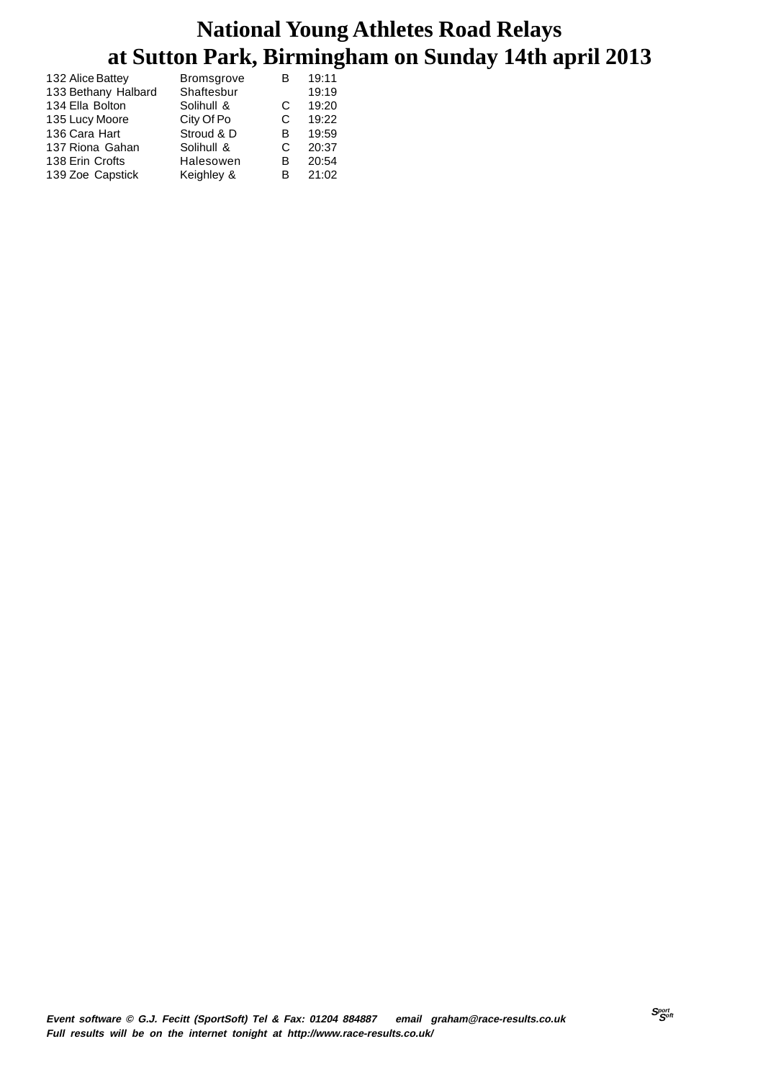| 132 Alice Battey    | <b>Bromsgrove</b> | В  | 19:11 |
|---------------------|-------------------|----|-------|
| 133 Bethany Halbard | Shaftesbur        |    | 19:19 |
| 134 Ella Bolton     | Solihull &        | C  | 19:20 |
| 135 Lucy Moore      | City Of Po        | C  | 19:22 |
| 136 Cara Hart       | Stroud & D        | в  | 19:59 |
| 137 Riona Gahan     | Solihull &        | C  | 20:37 |
| 138 Erin Crofts     | Halesowen         | B  | 20:54 |
| 139 Zoe Capstick    | Keighley &        | R. | 21:02 |
|                     |                   |    |       |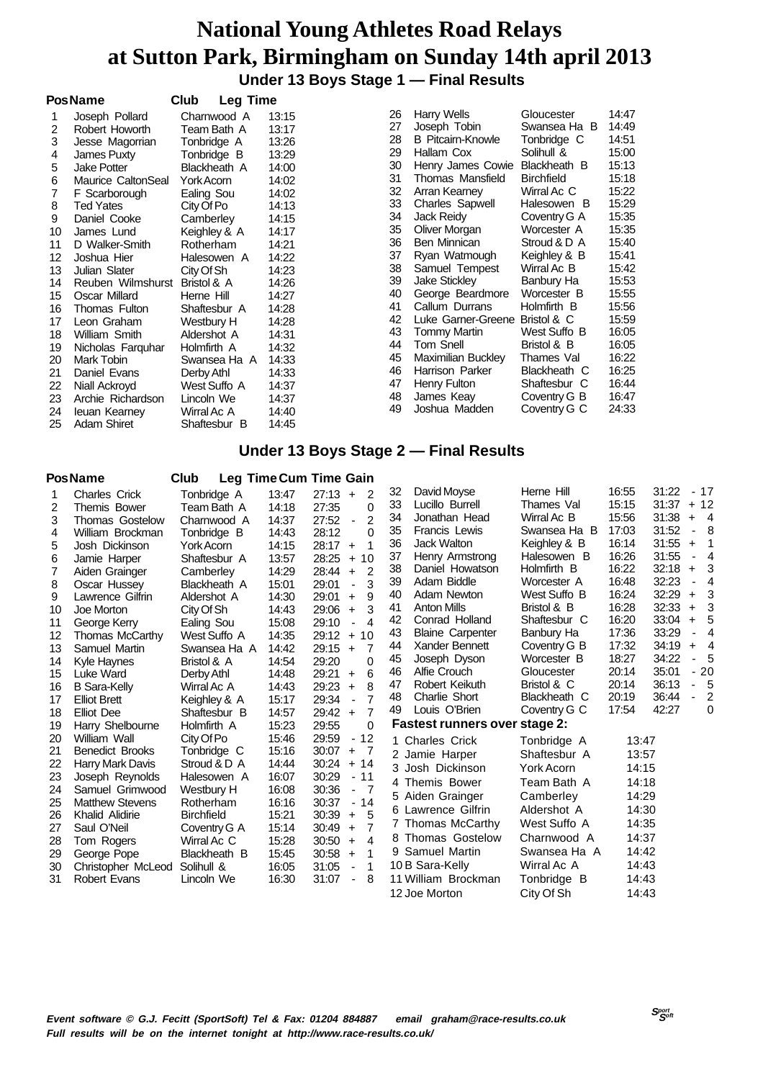**Under 13 Boys Stage 1 — Final Results**

|    | <b>PosName</b>     | Club<br><b>Leg Time</b> |       |    |                          |                   |       |
|----|--------------------|-------------------------|-------|----|--------------------------|-------------------|-------|
|    | Joseph Pollard     | Charnwood A             | 13:15 | 26 | Harry Wells              | Gloucester        | 14:47 |
| 2  | Robert Howorth     | Team Bath A             | 13:17 | 27 | Joseph Tobin             | Swansea Ha B      | 14:49 |
| 3  | Jesse Magorrian    | Tonbridge A             | 13:26 | 28 | <b>B</b> Pitcairn-Knowle | Tonbridge C       | 14:51 |
| 4  | James Puxty        | Tonbridge B             | 13:29 | 29 | Hallam Cox               | Solihull &        | 15:00 |
| 5  | <b>Jake Potter</b> | Blackheath A            | 14:00 | 30 | Henry James Cowie        | Blackheath B      | 15:13 |
| 6  | Maurice CaltonSeal | York Acorn              | 14:02 | 31 | Thomas Mansfield         | <b>Birchfield</b> | 15:18 |
|    | F Scarborough      | Ealing Sou              | 14:02 | 32 | Arran Kearney            | Wirral Ac C       | 15:22 |
| 8  | <b>Ted Yates</b>   | City Of Po              | 14:13 | 33 | <b>Charles Sapwell</b>   | Halesowen B       | 15:29 |
| 9  | Daniel Cooke       | Camberley               | 14:15 | 34 | Jack Reidy               | Coventry G A      | 15:35 |
| 10 | James Lund         | Keighley & A            | 14:17 | 35 | Oliver Morgan            | Worcester A       | 15:35 |
| 11 | D Walker-Smith     | Rotherham               | 14:21 | 36 | Ben Minnican             | Stroud & D A      | 15:40 |
| 12 | Joshua Hier        | Halesowen A             | 14:22 | 37 | Ryan Watmough            | Keighley & B      | 15:41 |
| 13 | Julian Slater      | City Of Sh              | 14:23 | 38 | Samuel Tempest           | Wirral Ac B       | 15:42 |
| 14 | Reuben Wilmshurst  | Bristol & A             | 14:26 | 39 | <b>Jake Stickley</b>     | Banbury Ha        | 15:53 |
| 15 | Oscar Millard      | Herne Hill              | 14:27 | 40 | George Beardmore         | Worcester B       | 15:55 |
| 16 | Thomas Fulton      | Shaftesbur A            | 14:28 | 41 | Callum Durrans           | Holmfirth B       | 15:56 |
| 17 | Leon Graham        | Westbury H              | 14:28 | 42 | Luke Garner-Greene       | Bristol & C       | 15:59 |
| 18 | William Smith      | Aldershot A             | 14:31 | 43 | <b>Tommy Martin</b>      | West Suffo B      | 16:05 |
| 19 | Nicholas Farguhar  | Holmfirth A             | 14:32 | 44 | Tom Snell                | Bristol & B       | 16:05 |
| 20 | Mark Tobin         | Swansea Ha A            | 14:33 | 45 | Maximilian Buckley       | Thames Val        | 16:22 |
| 21 | Daniel Evans       | Derby Athl              | 14:33 | 46 | Harrison Parker          | Blackheath C      | 16:25 |
| 22 | Niall Ackroyd      | West Suffo A            | 14:37 | 47 | Henry Fulton             | Shaftesbur C      | 16:44 |
| 23 | Archie Richardson  | Lincoln We              | 14:37 | 48 | James Keay               | Coventry G B      | 16:47 |
| 24 | leuan Kearney      | Wirral Ac A             | 14:40 | 49 | Joshua Madden            | Coventry G C      | 24:33 |
| 25 | <b>Adam Shiret</b> | Shaftesbur B            | 14:45 |    |                          |                   |       |

#### **Under 13 Boys Stage 2 — Final Results**

|    | <b>PosName</b>         | Club              |       | Leg Time Cum Time Gain                     |    |                                      |                   |       |       |                          |                |
|----|------------------------|-------------------|-------|--------------------------------------------|----|--------------------------------------|-------------------|-------|-------|--------------------------|----------------|
| 1  | <b>Charles Crick</b>   | Tonbridge A       | 13:47 | $27:13 +$<br>2                             | 32 | David Moyse                          | Herne Hill        | 16:55 | 31:22 |                          | $-17$          |
| 2  | Themis Bower           | Team Bath A       | 14:18 | $\mathbf{0}$<br>27:35                      | 33 | Lucillo Burrell                      | Thames Val        | 15:15 | 31:37 |                          | $+12$          |
| 3  | <b>Thomas Gostelow</b> | Charnwood A       | 14:37 | 2<br>27:52<br>÷,                           | 34 | Jonathan Head                        | Wirral Ac B       | 15:56 | 31:38 | $+$                      | $\overline{4}$ |
| 4  | William Brockman       | Tonbridge B       | 14:43 | 28:12<br>$\Omega$                          | 35 | Francis Lewis                        | Swansea Ha B      | 17:03 | 31:52 | $\blacksquare$           | -8             |
| 5  | Josh Dickinson         | York Acorn        | 14:15 | 28:17<br>1<br>$+$                          | 36 | <b>Jack Walton</b>                   | Keighley & B      | 16:14 | 31:55 | $+$                      | 1              |
| 6  | Jamie Harper           | Shaftesbur A      | 13:57 | 28:25<br>10<br>$+$                         | 37 | Henry Armstrong                      | Halesowen B       | 16:26 | 31:55 | $\overline{\phantom{a}}$ | $\overline{4}$ |
| 7  | Aiden Grainger         | Camberley         | 14:29 | $\overline{2}$<br>28:44<br>$\ddot{+}$      | 38 | Daniel Howatson                      | Holmfirth B       | 16:22 | 32:18 | $+$                      | 3              |
| 8  | Oscar Hussey           | Blackheath A      | 15:01 | 3<br>29:01<br>$\Box$                       | 39 | Adam Biddle                          | Worcester A       | 16:48 | 32:23 | $\overline{\phantom{a}}$ | 4              |
| 9  | Lawrence Gilfrin       | Aldershot A       | 14:30 | 9<br>29:01<br>$\ddot{}$                    | 40 | Adam Newton                          | West Suffo B      | 16:24 | 32:29 | $\ddot{}$                | 3              |
| 10 | Joe Morton             | City Of Sh        | 14:43 | 3<br>29:06<br>$\ddot{}$                    | 41 | <b>Anton Mills</b>                   | Bristol & B       | 16:28 | 32:33 | $\ddot{}$                | 3              |
| 11 | George Kerry           | Ealing Sou        | 15:08 | 29:10<br>$\overline{4}$                    | 42 | Conrad Holland                       | Shaftesbur C      | 16:20 | 33:04 | $+$                      | 5              |
| 12 | Thomas McCarthy        | West Suffo A      | 14:35 | 29:12<br>10<br>$+$                         | 43 | <b>Blaine Carpenter</b>              | Banbury Ha        | 17:36 | 33:29 |                          | 4              |
| 13 | Samuel Martin          | Swansea Ha A      | 14:42 | 29:15<br>$\overline{7}$<br>$\ddot{}$       | 44 | Xander Bennett                       | Coventry G B      | 17:32 | 34:19 | $\ddot{}$                | 4              |
| 14 | Kyle Haynes            | Bristol & A       | 14:54 | 29:20<br>0                                 | 45 | Joseph Dyson                         | Worcester B       | 18:27 | 34:22 | $\overline{\phantom{0}}$ | 5              |
| 15 | Luke Ward              | Derby Athl        | 14:48 | 6<br>29:21<br>$\ddot{}$                    | 46 | Alfie Crouch                         | Gloucester        | 20:14 | 35:01 | $\blacksquare$           | 20             |
| 16 | <b>B</b> Sara-Kelly    | Wirral Ac A       | 14:43 | 8<br>29:23<br>$\ddot{}$                    | 47 | Robert Keikuth                       | Bristol & C       | 20:14 | 36:13 | ÷,                       | 5              |
| 17 | <b>Elliot Brett</b>    | Keighley & A      | 15:17 | $\overline{7}$<br>29:34<br>ä,              | 48 | Charlie Short                        | Blackheath C      | 20:19 | 36:44 | ÷,                       | $\overline{2}$ |
| 18 | <b>Elliot Dee</b>      | Shaftesbur B      | 14:57 | $\overline{7}$<br>29:42<br>$\ddot{+}$      | 49 | Louis O'Brien                        | Coventry G C      | 17:54 | 42:27 |                          | $\Omega$       |
| 19 | Harry Shelbourne       | Holmfirth A       | 15:23 | $\Omega$<br>29:55                          |    | <b>Fastest runners over stage 2:</b> |                   |       |       |                          |                |
| 20 | William Wall           | City Of Po        | 15:46 | 29:59<br>12<br>$\blacksquare$              |    | 1 Charles Crick                      | Tonbridge A       | 13:47 |       |                          |                |
| 21 | <b>Benedict Brooks</b> | Tonbridge C       | 15:16 | 30:07<br>$\ddot{}$<br>- 7                  |    | 2 Jamie Harper                       | Shaftesbur A      | 13:57 |       |                          |                |
| 22 | Harry Mark Davis       | Stroud & D A      | 14:44 | 30:24<br>$+14$                             |    | 3 Josh Dickinson                     | <b>York Acorn</b> | 14:15 |       |                          |                |
| 23 | Joseph Reynolds        | Halesowen A       | 16:07 | 30:29<br>$-11$                             |    | 4 Themis Bower                       | Team Bath A       | 14:18 |       |                          |                |
| 24 | Samuel Grimwood        | Westbury H        | 16:08 | 30:36<br>- 7<br>$\blacksquare$             |    | 5 Aiden Grainger                     | Camberley         | 14:29 |       |                          |                |
| 25 | <b>Matthew Stevens</b> | Rotherham         | 16:16 | 30:37<br>$-14$                             |    |                                      |                   |       |       |                          |                |
| 26 | Khalid Alidirie        | <b>Birchfield</b> | 15:21 | 5<br>30:39<br>$\ddot{}$                    |    | 6 Lawrence Gilfrin                   | Aldershot A       | 14:30 |       |                          |                |
| 27 | Saul O'Neil            | Coventry G A      | 15:14 | 7<br>30:49<br>$\ddot{}$                    |    | 7 Thomas McCarthy                    | West Suffo A      | 14:35 |       |                          |                |
| 28 | Tom Rogers             | Wirral Ac C       | 15:28 | 30:50<br>4<br>$\ddot{}$                    |    | 8 Thomas Gostelow                    | Charnwood A       | 14:37 |       |                          |                |
| 29 | George Pope            | Blackheath B      | 15:45 | 30:58<br>1<br>$\ddot{}$                    |    | 9 Samuel Martin                      | Swansea Ha A      | 14:42 |       |                          |                |
| 30 | Christopher McLeod     | Solihull &        | 16:05 | 31:05<br>1                                 |    | 10 B Sara-Kelly                      | Wirral Ac A       | 14:43 |       |                          |                |
| 31 | <b>Robert Evans</b>    | Lincoln We        | 16:30 | 31:07<br>8<br>$\qquad \qquad \blacksquare$ |    | 11 William Brockman                  | Tonbridge B       | 14:43 |       |                          |                |
|    |                        |                   |       |                                            |    | 12 Joe Morton                        | City Of Sh        | 14:43 |       |                          |                |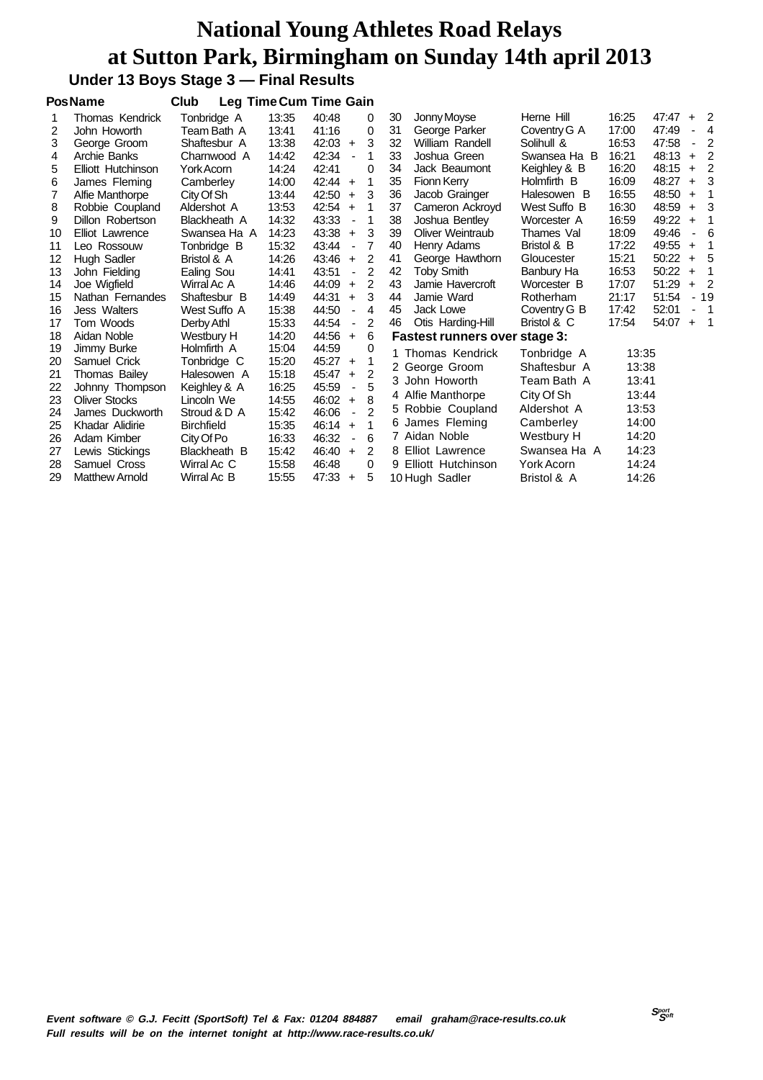# **Under 13 Boys Stage 3 — Final Results**

|                        | Club                            |       |       |                          |                                                                                                                                                  |                               |                   |                                                                                                                                                                                                                       |                                                                                                                                     |       |                                                                                        |                            |
|------------------------|---------------------------------|-------|-------|--------------------------|--------------------------------------------------------------------------------------------------------------------------------------------------|-------------------------------|-------------------|-----------------------------------------------------------------------------------------------------------------------------------------------------------------------------------------------------------------------|-------------------------------------------------------------------------------------------------------------------------------------|-------|----------------------------------------------------------------------------------------|----------------------------|
| Thomas Kendrick        | Tonbridge A                     | 13:35 | 40:48 |                          | 0                                                                                                                                                | 30                            | Jonny Moyse       | Herne Hill                                                                                                                                                                                                            | 16:25                                                                                                                               | 47:47 |                                                                                        | $+2$                       |
| John Howorth           | Team Bath A                     | 13:41 | 41:16 |                          | 0                                                                                                                                                | 31                            | George Parker     | Coventry G A                                                                                                                                                                                                          | 17:00                                                                                                                               | 47:49 |                                                                                        | $\overline{4}$             |
| George Groom           | Shaftesbur A                    | 13:38 | 42:03 |                          | 3                                                                                                                                                | 32                            | William Randell   | Solihull &                                                                                                                                                                                                            | 16:53                                                                                                                               | 47:58 | $\blacksquare$                                                                         | $\overline{2}$             |
| Archie Banks           | Charnwood A                     | 14:42 | 42:34 |                          | 1                                                                                                                                                | 33                            | Joshua Green      | Swansea Ha B                                                                                                                                                                                                          | 16:21                                                                                                                               | 48:13 | $+$                                                                                    | $\overline{2}$             |
| Elliott Hutchinson     | York Acorn                      | 14:24 | 42:41 |                          | 0                                                                                                                                                | 34                            | Jack Beaumont     | Keighley & B                                                                                                                                                                                                          | 16:20                                                                                                                               | 48:15 | $\ddot{}$                                                                              | $\overline{\phantom{0}}^2$ |
| James Fleming          | Camberley                       | 14:00 | 42:44 |                          | 1                                                                                                                                                | 35                            | Fionn Kerry       | Holmfirth B                                                                                                                                                                                                           | 16:09                                                                                                                               | 48:27 | $\ddot{}$                                                                              | - 3                        |
| Alfie Manthorpe        | City Of Sh                      | 13:44 | 42:50 |                          | 3                                                                                                                                                | 36                            | Jacob Grainger    | Halesowen B                                                                                                                                                                                                           | 16:55                                                                                                                               | 48:50 | $\ddot{}$                                                                              | -1                         |
| Robbie Coupland        | Aldershot A                     | 13:53 | 42:54 |                          | 1                                                                                                                                                | 37                            |                   | West Suffo B                                                                                                                                                                                                          | 16:30                                                                                                                               | 48:59 | $\ddot{}$                                                                              | - 3                        |
| Dillon Robertson       | Blackheath A                    | 14:32 | 43:33 | $\overline{\phantom{a}}$ | 1                                                                                                                                                | 38                            | Joshua Bentley    | Worcester A                                                                                                                                                                                                           | 16:59                                                                                                                               | 49:22 | $\ddot{}$                                                                              | -1                         |
| <b>Elliot Lawrence</b> | Swansea Ha A                    | 14:23 | 43:38 |                          | 3                                                                                                                                                | 39                            | Oliver Weintraub  | Thames Val                                                                                                                                                                                                            | 18:09                                                                                                                               | 49:46 |                                                                                        | 6                          |
| Leo Rossouw            | Tonbridge B                     | 15:32 | 43:44 | $\blacksquare$           | 7                                                                                                                                                | 40                            | Henry Adams       | Bristol & B                                                                                                                                                                                                           | 17:22                                                                                                                               | 49:55 | $\ddot{}$                                                                              | 1                          |
| Hugh Sadler            | Bristol & A                     | 14:26 | 43:46 |                          | 2                                                                                                                                                | 41                            | George Hawthorn   | Gloucester                                                                                                                                                                                                            | 15:21                                                                                                                               | 50:22 | $+$                                                                                    | - 5                        |
| John Fielding          | Ealing Sou                      | 14:41 | 43:51 | $\blacksquare$           | $\overline{2}$                                                                                                                                   | 42                            | <b>Toby Smith</b> | Banbury Ha                                                                                                                                                                                                            | 16:53                                                                                                                               | 50:22 | $+$                                                                                    | - 1                        |
| Joe Wigfield           | Wirral Ac A                     | 14:46 | 44:09 |                          | 2                                                                                                                                                | 43                            | Jamie Havercroft  | Worcester B                                                                                                                                                                                                           | 17:07                                                                                                                               | 51:29 | $+$                                                                                    | $\overline{2}$             |
| Nathan Fernandes       | Shaftesbur B                    | 14:49 | 44:31 |                          | 3                                                                                                                                                | 44                            | Jamie Ward        | Rotherham                                                                                                                                                                                                             | 21:17                                                                                                                               | 51:54 |                                                                                        | $-19$                      |
| <b>Jess Walters</b>    | West Suffo A                    | 15:38 | 44:50 |                          | 4                                                                                                                                                | 45                            | Jack Lowe         | Coventry G B                                                                                                                                                                                                          | 17:42                                                                                                                               | 52:01 |                                                                                        | $\overline{\phantom{0}}$   |
| Tom Woods              | Derby Athl                      | 15:33 | 44:54 | ٠                        | 2                                                                                                                                                | 46                            | Otis Harding-Hill | Bristol & C                                                                                                                                                                                                           | 17:54                                                                                                                               | 54:07 | $+$                                                                                    | $\overline{\phantom{0}}$   |
| Aidan Noble            | Westbury H                      | 14:20 | 44:56 |                          | 6                                                                                                                                                |                               |                   |                                                                                                                                                                                                                       |                                                                                                                                     |       |                                                                                        |                            |
| Jimmy Burke            | Holmfirth A                     | 15:04 | 44:59 |                          | 0                                                                                                                                                |                               |                   |                                                                                                                                                                                                                       |                                                                                                                                     |       |                                                                                        |                            |
| Samuel Crick           | Tonbridge C                     | 15:20 | 45:27 |                          | 1                                                                                                                                                |                               |                   |                                                                                                                                                                                                                       |                                                                                                                                     |       |                                                                                        |                            |
|                        | Halesowen A                     | 15:18 | 45:47 |                          | $\overline{2}$                                                                                                                                   |                               |                   |                                                                                                                                                                                                                       |                                                                                                                                     |       |                                                                                        |                            |
| Johnny Thompson        | Keighley & A                    | 16:25 | 45:59 | $\overline{\phantom{a}}$ | 5                                                                                                                                                |                               |                   |                                                                                                                                                                                                                       |                                                                                                                                     |       |                                                                                        |                            |
| <b>Oliver Stocks</b>   | Lincoln We                      | 14:55 | 46:02 |                          | 8                                                                                                                                                |                               |                   |                                                                                                                                                                                                                       |                                                                                                                                     |       |                                                                                        |                            |
| James Duckworth        | Stroud & D A                    | 15:42 | 46:06 | $\blacksquare$           | $\mathfrak{p}$                                                                                                                                   |                               |                   |                                                                                                                                                                                                                       |                                                                                                                                     |       |                                                                                        |                            |
| Khadar Alidirie        | Birchfield                      | 15:35 | 46:14 |                          | 1                                                                                                                                                |                               |                   |                                                                                                                                                                                                                       |                                                                                                                                     |       |                                                                                        |                            |
| Adam Kimber            | City Of Po                      | 16:33 | 46:32 | $\blacksquare$           | 6                                                                                                                                                |                               |                   |                                                                                                                                                                                                                       |                                                                                                                                     |       |                                                                                        |                            |
| Lewis Stickings        | Blackheath B                    | 15:42 | 46:40 |                          | 2                                                                                                                                                |                               |                   | Swansea Ha A                                                                                                                                                                                                          |                                                                                                                                     |       |                                                                                        |                            |
| Samuel Cross           | Wirral Ac C                     | 15:58 | 46:48 |                          | 0                                                                                                                                                |                               |                   | <b>York Acorn</b>                                                                                                                                                                                                     |                                                                                                                                     |       |                                                                                        |                            |
| <b>Matthew Arnold</b>  | Wirral Ac B                     | 15:55 |       |                          | 5                                                                                                                                                |                               |                   | Bristol & A                                                                                                                                                                                                           |                                                                                                                                     |       |                                                                                        |                            |
|                        | <b>PosName</b><br>Thomas Bailey |       |       |                          | $\ddot{}$<br>$+$<br>$+$<br>$+$<br>$+$<br>$+$<br>$\ddot{}$<br>$+$<br>$+$<br>$+$<br>$\ddot{}$<br>$\ddot{}$<br>$\ddot{+}$<br>$\ddot{}$<br>$47:33 +$ | <b>Leg Time Cum Time Gain</b> |                   | Cameron Ackroyd<br>1 Thomas Kendrick<br>2 George Groom<br>3 John Howorth<br>4 Alfie Manthorpe<br>5 Robbie Coupland<br>6 James Fleming<br>7 Aidan Noble<br>8 Elliot Lawrence<br>9 Elliott Hutchinson<br>10 Hugh Sadler | Fastest runners over stage 3:<br>Tonbridge A<br>Shaftesbur A<br>Team Bath A<br>City Of Sh<br>Aldershot A<br>Camberley<br>Westbury H |       | 13:35<br>13:38<br>13:41<br>13:44<br>13:53<br>14:00<br>14:20<br>14:23<br>14:24<br>14:26 |                            |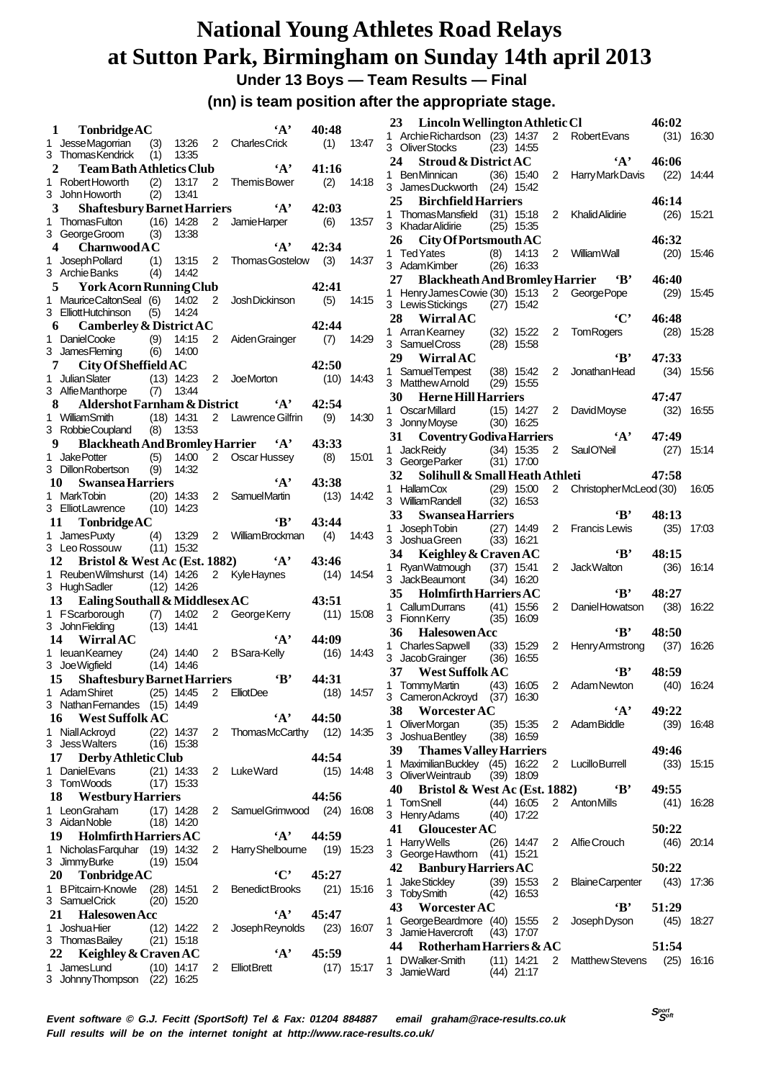**Under 13 Boys — Team Results — Final**

**(nn) is team position after the appropriate stage.**

|              | $\mathbf{1}$<br>TonbridgeAC                                         |     |                |                | ٠д,                              | 40:48      |              |
|--------------|---------------------------------------------------------------------|-----|----------------|----------------|----------------------------------|------------|--------------|
| $\mathbf{1}$ | <b>JesseMagorrian</b>                                               | (3) | 13:26          |                | 2 Charles Crick                  | (1)        | 13:47        |
|              | 3 Thomas Kendrick                                                   | (1) | 13:35          |                | $\mathbf{A}$                     | 41:16      |              |
|              | $\mathbf{2}$<br><b>Team Bath Athletics Club</b><br>1 Robert Howorth | (2) | 13:17          | 2              | <b>ThemisBower</b>               | (2)        | 14:18        |
|              | 3 John Howorth                                                      | (2) | 13:41          |                |                                  |            |              |
|              | <b>Shaftesbury Barnet Harriers</b><br>$3^{\circ}$                   |     |                |                | $\mathbf{A}$                     | 42:03      |              |
| 1.           | <b>ThomasFulton</b>                                                 |     | $(16)$ 14:28   |                | 2 Jamie Harper                   | (6)        | 13:57        |
|              | 3 George Groom                                                      | (3) | 13:38          |                |                                  |            |              |
|              | 4<br><b>Charnwood A C</b>                                           |     |                |                | $\cdot_A$ ,                      | 42:34      |              |
| 1.           | Joseph Pollard<br>(1)<br>3 Archie Banks                             | (4) | 13:15<br>14:42 | 2              | Thomas Gostelow (3)              |            | 14:37        |
|              | 5 York Acorn Running Club                                           |     |                |                |                                  | 42:41      |              |
| 1.           | MauriceCaltonSeal (6)                                               |     | 14:02          | 2              | Josh Dickinson                   | (5)        | 14:15        |
|              | 3 ElliottHutchinson                                                 | (5) | 14:24          |                |                                  |            |              |
|              | 6 Camberley & District AC                                           |     |                |                |                                  | 42:44      |              |
|              | 1 DanielCooke (9)<br>3 JamesFleming (6)                             |     | 14:15          | $\overline{c}$ | Aiden Grainger                   | (7)        | 14:29        |
|              |                                                                     |     | 14:00          |                |                                  |            |              |
|              | 7 City Of Sheffield AC                                              |     |                |                |                                  | 42:50      |              |
| 1.           | Julian Slater (13) 14:23<br>3 AlfieManthorpe (7)                    |     | 13:44          |                | 2 JoeMorton                      | (10)       | 14:43        |
|              | Aldershot Farnham & District 'A'<br>8.                              |     |                |                |                                  | 42:54      |              |
|              | 1 William Smith                                                     |     | $(18)$ 14:31   |                | 2 Lawrence Gilfrin               | (9)        | 14:30        |
|              | 3 RobbieCoupland                                                    |     | $(8)$ 13:53    |                |                                  |            |              |
|              | 9 Blackheath And Bromley Harrier 'A'                                |     |                |                |                                  | 43:33      |              |
| 1.           | Jake Potter                                                         |     | $(5)$ 14:00    |                | 2 Oscar Hussey                   | (8)        | 15:01        |
|              | 3 Dillon Robertson                                                  | (9) | 14:32          |                |                                  |            |              |
|              | <b>Swansea Harriers</b><br>10                                       |     |                |                | $\mathbf{A}$ ,                   | 43:38      |              |
| 1            | <b>MarkTobin</b>                                                    |     | $(20)$ 14:33   |                | 2 SamuelMartin                   | (13)       | 14:42        |
|              | 3 Elliot Lawrence (10) 14:23                                        |     |                |                | 'Β'                              | 43:44      |              |
| 1.           | 11<br>TonbridgeAC                                                   |     |                |                | 2 William Brockman               | (4)        | 14:43        |
|              | James Puxty (4) 13:29<br>Leo Rossouw (11) 15:32<br>3 Leo Rossouw    |     |                |                |                                  |            |              |
|              |                                                                     |     |                |                |                                  |            |              |
|              |                                                                     |     |                |                |                                  | 43:46      |              |
| 1.           | 12                                                                  |     |                |                | Bristol & West Ac (Est. 1882) 4' |            | 14:54        |
|              | ReubenWilmshurst (14) 14:26<br>3 HughSadler                         |     | $(12)$ 14:26   |                | 2 Kyle Haynes                    | (14)       |              |
|              | 13 Ealing Southall & Middlesex AC                                   |     |                |                |                                  | 43:51      |              |
|              | 1 FScarborough (7) 14:02                                            |     |                | $\mathbf{2}$   | George Kerry                     | (11)       | 15:08        |
|              | 3 John Fielding                                                     |     | $(13)$ 14:41   |                |                                  |            |              |
|              | 14 Wirral AC                                                        |     |                |                | ٠д,                              | 44:09      |              |
| 1.           | leuanKearney (24) 14:40                                             |     |                |                | 2 BSara-Kelly                    | (16)       | 14:43        |
|              | 3 Joe Wigfield                                                      |     | $(14)$ 14:46   |                |                                  |            |              |
|              | <b>Shaftesbury Barnet Harriers</b><br>15                            |     |                |                | $\mathbf{B}$                     | 44:31      |              |
|              | 1 Adam Shiret (25) 14:45 2 Elliot Dee                               |     |                |                |                                  | (18) 14:57 |              |
|              | 3 Nathan Fernandes (15) 14:49<br>16 West Suffolk AC                 |     |                |                | $A$ ,                            | 44:50      |              |
|              | 1 Niall Ackroyd (22) 14:37                                          |     |                | $\mathbf{2}$   | ThomasMcCarthy (12) 14:35        |            |              |
|              | 3 Jess Walters                                                      |     | $(16)$ 15:38   |                |                                  |            |              |
|              | 17 Derby Athletic Club                                              |     |                |                |                                  | 44:54      |              |
| 1            | <b>Daniel Evans</b>                                                 |     | $(21)$ 14:33   |                | 2 LukeWard                       |            | $(15)$ 14:48 |
|              | 3 TomWoods                                                          |     | $(17)$ 15:33   |                |                                  |            |              |
|              | 18 Westbury Harriers                                                |     |                |                |                                  | 44:56      |              |
|              | 1 LeonGraham (17) 14:28                                             |     |                | $\mathbf{2}$   | SamuelGrimwood (24) 16:08        |            |              |
|              | 3 Aidan Noble                                                       |     | $(18)$ 14:20   |                |                                  |            |              |
|              | 19 Holmfirth Harriers AC                                            |     |                |                | $\mathbf{A}$                     | 44:59      |              |
|              | 1 Nicholas Farquhar (19) 14:32<br>3 JimmyBurke                      |     | $(19)$ 15:04   | $\overline{a}$ | Harry Shelbourne (19) 15:23      |            |              |
|              | 20<br>TonbridgeAC                                                   |     |                |                | `C'                              | 45:27      |              |
| 1.           | <b>B Pitcairn-Knowle</b>                                            |     | (28) 14:51     | 2              | <b>BenedictBrooks</b>            | (21)       | 15:16        |
|              | 3 SamuelCrick                                                       |     | $(20)$ 15:20   |                |                                  |            |              |
|              | 21<br><b>Halesowen Acc</b>                                          |     |                |                | $\mathbf{A}$                     | 45:47      |              |
| 1.           | <b>Joshua Hier</b>                                                  |     | $(12)$ 14:22   | 2              | Joseph Reynolds                  | (23)       | 16:07        |
|              | 3 ThomasBailey (21) 15:18                                           |     |                |                |                                  |            |              |
|              | <b>Keighley &amp; Craven AC</b><br>22                               |     |                |                | $\mathbf{A}$                     | 45:59      |              |
| 1.           | JamesLund<br>3 Johnny Thompson (22) 16:25                           |     | $(10)$ 14:17   |                | 2 ElliotBrett                    |            | $(17)$ 15:17 |

|           | 23 Lincoln Wellington Athletic Cl                                   |      |                              |                |                            | 46:02         |              |
|-----------|---------------------------------------------------------------------|------|------------------------------|----------------|----------------------------|---------------|--------------|
|           | 1 Archie Richardson (23) 14:37                                      |      |                              | $\mathbf{2}$   | <b>Robert Evans</b>        | (31)          | 16:30        |
|           | 3 OliverStocks                                                      |      | $(23)$ 14:55                 |                |                            |               |              |
|           | 24<br><b>Stroud &amp; District AC</b>                               |      |                              |                | $\mathbf{A}$ ,             | 46:06         |              |
|           | 1 BenMinnican (36) 15:40                                            |      |                              | $\overline{2}$ | Harry Mark Davis           | (22)          | 14:44        |
|           | 3 JamesDuckworth (24) 15:42<br>25<br><b>Birchfield Harriers</b>     |      |                              |                |                            | 46:14         |              |
|           | 1 ThomasMansfield (31) 15:18                                        |      |                              |                | 2 Khalid Alidirie          |               | $(26)$ 15:21 |
|           | 3 Khadar Alidirie                                                   |      | $(25)$ 15:35                 |                |                            |               |              |
|           | 26<br>City Of Portsmouth AC                                         |      |                              |                |                            | 46:32         |              |
|           | 1 Ted Yates                                                         |      | $(8)$ 14:13                  |                | 2 WilliamWall              | (20)          | 15:46        |
|           | 3 AdamKimber                                                        |      | $(26)$ 16:33                 |                |                            |               |              |
|           | 27 Blackheath And Bromley Harrier<br>1 Henry James Cowie (30) 15:13 |      |                              |                | $\cdot$ B'<br>2 GeorgePope | 46:40<br>(29) | 15:45        |
|           | 3 Lewis Stickings                                                   |      | $(27)$ 15:42                 |                |                            |               |              |
| 28        | <b>Wirral AC</b>                                                    |      |                              |                | $\cdot$ $C$                | 46:48         |              |
|           | 1 Arran Kearney                                                     |      | (32) 15:22                   | 2              | <b>TomRogers</b>           | (28)          | 15:28        |
|           | 3 Samuel Cross                                                      |      | $(28)$ 15:58                 |                |                            |               |              |
|           | 29 WirralAC                                                         |      |                              |                | $\bf{B}$                   | 47:33         |              |
|           | 1 SamuelTempest<br>3 Matthew Arnold                                 |      | $(38)$ 15:42<br>$(29)$ 15:55 | 2              | Jonathan Head              | (34)          | 15:56        |
|           | <b>30</b><br><b>Herne Hill Harriers</b>                             |      |                              |                |                            | 47:47         |              |
|           | 1 OscarMillard                                                      |      | $(15)$ 14:27                 | 2              | DavidMoyse                 | (32)          | 16:55        |
|           | 3 Jonny Moyse                                                       |      | $(30)$ 16:25                 |                |                            |               |              |
|           | 31<br><b>Coventry Godiva Harriers</b>                               |      |                              |                | $\mathbf{A}$               | 47:49         |              |
| 1.        | <b>JackReidy</b>                                                    |      | $(34)$ 15:35                 | 2              | SaulO'Neil                 | (27)          | 15:14        |
|           | 3 George Parker                                                     |      | $(31)$ 17:00                 |                |                            |               |              |
|           | Solihull & Small Heath Athleti<br>32                                |      |                              |                |                            | 47:58         |              |
| $1 \quad$ | <b>HallamCox</b><br>3 WilliamRandell                                |      | $(29)$ 15:00<br>$(32)$ 16:53 |                | 2 Christopher McLeod (30)  |               | 16:05        |
|           | 33<br><b>Swansea Harriers</b>                                       |      |                              |                | 'В' —                      | 48:13         |              |
| 1.        | Joseph Tobin                                                        |      | $(27)$ 14:49                 | 2              | <b>Francis Lewis</b>       | (35)          | 17:03        |
|           | 3 JoshuaGreen                                                       |      | $(33)$ 16:21                 |                |                            |               |              |
|           |                                                                     |      |                              |                |                            |               |              |
|           | 34 Keighley & Craven AC                                             |      |                              |                | 'В'                        | 48:15         |              |
| 1.        | RyanWatmough (37) 15:41                                             |      |                              | $\overline{2}$ | <b>JackWalton</b>          | (36)          | 16:14        |
|           | 3 JackBeaumont                                                      |      | $(34)$ 16:20                 |                |                            |               |              |
|           | 35 Holmfirth Harriers AC                                            |      |                              |                | $\mathbf{B}$               | 48:27         |              |
|           | 1 Callum Durrans (41) 15:56                                         |      |                              | 2              | DanielHowatson             | (38)          | 16:22        |
|           | 3 FionnKerry                                                        | (35) | 16:09                        |                |                            |               |              |
|           | 36<br><b>Halesowen Acc</b>                                          |      |                              | $\overline{2}$ | ٠B,<br>Henry Armstrong     | 48:50         | 16:26        |
|           | 1 Charles Sapwell (33) 15:29<br>3 Jacob Grainger                    |      | $(36)$ 16:55                 |                |                            | (37)          |              |
|           | <b>West Suffolk AC</b><br>37                                        |      |                              |                | $\bf{B}$                   | 48:59         |              |
|           | 1 TommyMartin (43) 16:05 2 AdamNewton                               |      |                              |                |                            | $(40)$ 16:24  |              |
|           | 3 Cameron Ackroyd (37) 16:30                                        |      |                              |                |                            |               |              |
| 38        | Worcester AC                                                        |      |                              |                | $\mathbf{A}$ ,             | 49:22         |              |
|           | 1 OliverMorgan                                                      |      | (35) 15:35                   |                | 2 AdamBiddle               | (39)          | 16:48        |
|           | 3 Joshua Bentley<br><b>39</b>                                       |      | (38) 16:59                   |                |                            | 49:46         |              |
|           | <b>Thames Valley Harriers</b><br>1 MaximilianBuckley (45) 16:22     |      |                              |                | 2 Lucillo Burrell          | (33)          | 15:15        |
|           | 3 OliverWeintraub                                                   |      | $(39)$ 18:09                 |                |                            |               |              |
|           | <b>Bristol &amp; West Ac (Est. 1882)</b><br>40                      |      |                              |                | $\mathbf{B}^*$             | 49:55         |              |
|           | 1 TomSnell                                                          |      | $(44)$ 16:05                 |                | 2 Anton Mills              | (41)          | 16:28        |
|           | 3 Henry Adams                                                       |      | $(40)$ 17:22                 |                |                            |               |              |
|           | 41<br><b>Gloucester AC</b>                                          |      |                              |                |                            | 50:22         |              |
|           | 1 Harry Wells<br>3 George Hawthorn (41) 15:21                       |      | $(26)$ 14:47                 | $\mathbf{2}$   | Alfie Crouch               | (46)          | 20:14        |
|           | 42<br><b>Banbury Harriers AC</b>                                    |      |                              |                |                            | 50:22         |              |
| 1.        | Jake Stickley                                                       |      | $(39)$ 15:53                 | 2              | <b>Blaine Carpenter</b>    | (43)          | 17:36        |
|           | 3 Toby Smith                                                        | (42) | 16:53                        |                |                            |               |              |
|           | 43<br>Worcester AC                                                  |      |                              |                | 'В'                        | 51:29         |              |
|           | 1 GeorgeBeardmore (40) 15:55 2                                      |      |                              |                | Joseph Dyson               | (45)          | 18:27        |
|           | 3 Jamie Havercroft                                                  |      | $(43)$ 17:07                 |                |                            |               |              |
|           | 44<br>Rotherham Harriers & AC<br>1 DWalker-Smith                    |      | $(11)$ 14:21                 | 2              | <b>Matthew Stevens</b>     | 51:54         | $(25)$ 16:16 |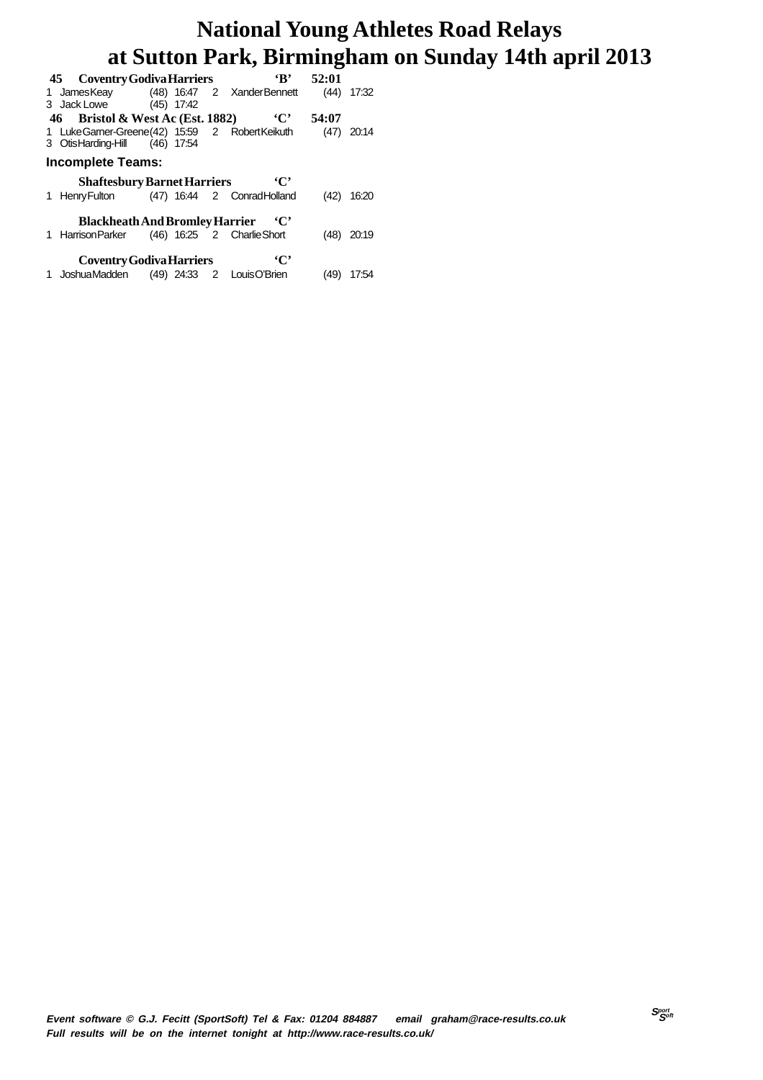| 45 Coventry Godiva Harriers                      |  | $\mathbf{R}$                               | 52:01 |       |
|--------------------------------------------------|--|--------------------------------------------|-------|-------|
| 1 JamesKeay (48) 16:47 2 XanderBennett           |  |                                            | (44)  | 17:32 |
| 3 Jack Lowe (45) 17:42                           |  |                                            |       |       |
| 46 Bristol & West Ac (Est. 1882)                 |  | $\cdot$ C'                                 | 54:07 |       |
| 1 Luke Garner-Greene (42) 15:59 2 Robert Keikuth |  |                                            | (47)  | 20:14 |
| 3 OtisHarding-Hill (46) 17:54                    |  |                                            |       |       |
| <b>Incomplete Teams:</b>                         |  |                                            |       |       |
| <b>Shaftesbury Barnet Harriers</b>               |  | $\cdot$ C'                                 |       |       |
|                                                  |  |                                            |       |       |
|                                                  |  | 1 Henry Fulton (47) 16:44 2 Conrad Holland | (42)  | 16:20 |
|                                                  |  |                                            |       |       |
| <b>Blackheath And Bromley Harrier</b>            |  | $\cdot$ C'                                 |       |       |
| 1 Harrison Parker (46) 16:25 2 Charlie Short     |  |                                            | (48)  | 20:19 |
|                                                  |  |                                            |       |       |
| <b>Coventry Godiva Harriers</b>                  |  | $\cdot$ C'                                 |       |       |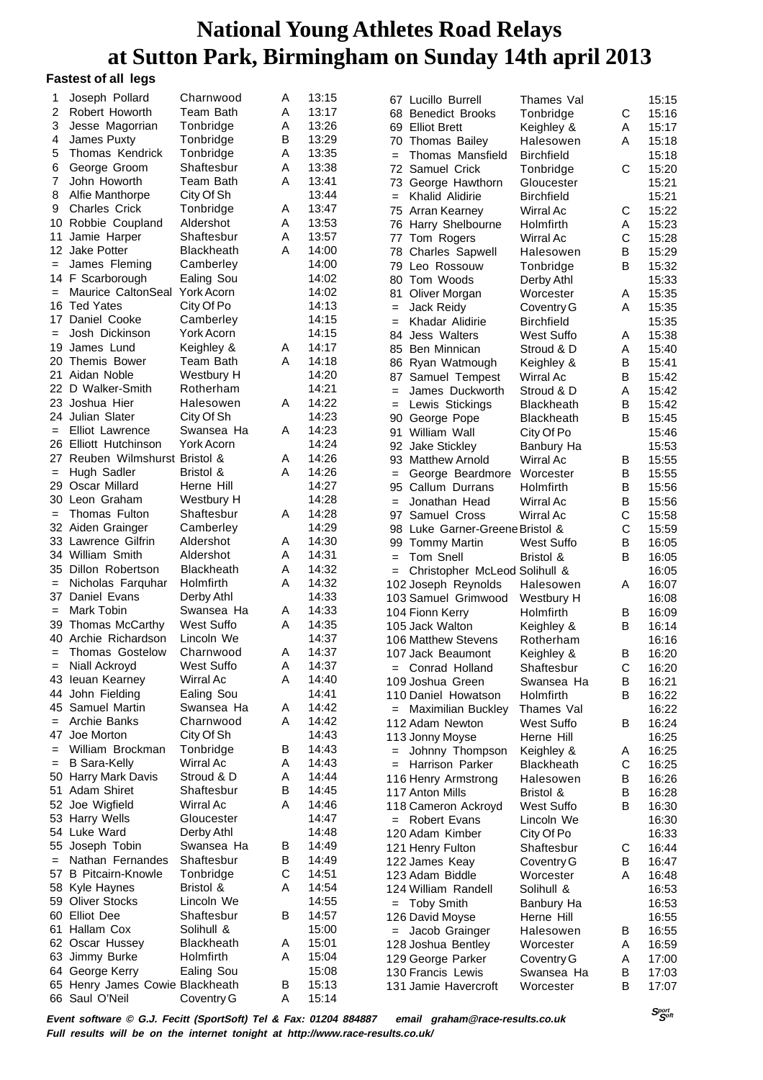#### **Fastest of all legs**

| 1                 | Joseph Pollard                  | Charnwood         | Α | 13:15 |     | 67 Lucillo Burrell              | Thames Val               |              | 15:15 |
|-------------------|---------------------------------|-------------------|---|-------|-----|---------------------------------|--------------------------|--------------|-------|
| 2                 | Robert Howorth                  | Team Bath         | Α | 13:17 |     | 68 Benedict Brooks              | Tonbridge                | C            | 15:16 |
| 3                 | Jesse Magorrian                 | Tonbridge         | Α | 13:26 |     | 69 Elliot Brett                 | Keighley &               | A            | 15:17 |
| 4                 | James Puxty                     | Tonbridge         | в | 13:29 |     | 70 Thomas Bailey                | Halesowen                | Α            | 15:18 |
| 5                 | Thomas Kendrick                 | Tonbridge         | A | 13:35 | $=$ | Thomas Mansfield                | <b>Birchfield</b>        |              | 15:18 |
| 6                 | George Groom                    | Shaftesbur        | Α | 13:38 | 72  | Samuel Crick                    | Tonbridge                | C            | 15:20 |
| 7                 | John Howorth                    | Team Bath         | Α | 13:41 | 73  | George Hawthorn                 | Gloucester               |              | 15:21 |
| 8                 | Alfie Manthorpe                 | City Of Sh        |   | 13:44 | $=$ | Khalid Alidirie                 | <b>Birchfield</b>        |              | 15:21 |
| 9                 | <b>Charles Crick</b>            | Tonbridge         | Α | 13:47 |     | 75 Arran Kearney                | Wirral Ac                | C            | 15:22 |
|                   | 10 Robbie Coupland              | Aldershot         | A | 13:53 |     | 76 Harry Shelbourne             | Holmfirth                | Α            | 15:23 |
| 11                | Jamie Harper                    | Shaftesbur        | Α | 13:57 |     | 77 Tom Rogers                   | Wirral Ac                | $\mathsf{C}$ | 15:28 |
|                   | 12 Jake Potter                  | Blackheath        | Α | 14:00 |     |                                 | Halesowen                | B            | 15:29 |
| $=$               | James Fleming                   | Camberley         |   | 14:00 | 78  | <b>Charles Sapwell</b>          |                          |              |       |
|                   | 14 F Scarborough                | Ealing Sou        |   | 14:02 |     | 79 Leo Rossouw                  | Tonbridge                | B            | 15:32 |
|                   | Maurice CaltonSeal York Acorn   |                   |   | 14:02 |     | 80 Tom Woods                    | Derby Athl               |              | 15:33 |
| $=$               |                                 |                   |   |       | 81  | Oliver Morgan                   | Worcester                | Α            | 15:35 |
| 16                | <b>Ted Yates</b>                | City Of Po        |   | 14:13 | $=$ | Jack Reidy                      | Coventry G               | Α            | 15:35 |
| 17                | Daniel Cooke                    | Camberley         |   | 14:15 | $=$ | Khadar Alidirie                 | <b>Birchfield</b>        |              | 15:35 |
|                   | Josh Dickinson                  | York Acorn        |   | 14:15 | 84  | Jess Walters                    | <b>West Suffo</b>        | Α            | 15:38 |
| 19                | James Lund                      | Keighley &        | Α | 14:17 |     | 85 Ben Minnican                 | Stroud & D               | Α            | 15:40 |
| 20                | Themis Bower                    | Team Bath         | A | 14:18 |     | 86 Ryan Watmough                | Keighley &               | В            | 15:41 |
| 21                | Aidan Noble                     | Westbury H        |   | 14:20 |     | 87 Samuel Tempest               | Wirral Ac                | B            | 15:42 |
|                   | 22 D Walker-Smith               | Rotherham         |   | 14:21 | $=$ | James Duckworth                 | Stroud & D               | Α            | 15:42 |
|                   | 23 Joshua Hier                  | Halesowen         | A | 14:22 | $=$ | Lewis Stickings                 | Blackheath               | B            | 15:42 |
|                   | 24 Julian Slater                | City Of Sh        |   | 14:23 | 90  | George Pope                     | <b>Blackheath</b>        | B            | 15:45 |
| $=$               | <b>Elliot Lawrence</b>          | Swansea Ha        | A | 14:23 |     | 91 William Wall                 | City Of Po               |              | 15:46 |
|                   | 26 Elliott Hutchinson           | York Acorn        |   | 14:24 |     | 92 Jake Stickley                | Banbury Ha               |              | 15:53 |
|                   | 27 Reuben Wilmshurst Bristol &  |                   | A | 14:26 |     | 93 Matthew Arnold               | Wirral Ac                | B            | 15:55 |
| $\qquad \qquad =$ | Hugh Sadler                     | Bristol &         | A | 14:26 | $=$ | George Beardmore                | Worcester                | B            | 15:55 |
|                   | 29 Oscar Millard                | Herne Hill        |   | 14:27 | 95  | Callum Durrans                  | Holmfirth                | В            | 15:56 |
|                   | 30 Leon Graham                  | Westbury H        |   | 14:28 | $=$ | Jonathan Head                   | Wirral Ac                | B            | 15:56 |
| $\qquad \qquad =$ | Thomas Fulton                   | Shaftesbur        | Α | 14:28 |     | 97 Samuel Cross                 | <b>Wirral Ac</b>         | C            | 15:58 |
|                   | 32 Aiden Grainger               | Camberley         |   | 14:29 |     | 98 Luke Garner-Greene Bristol & |                          | C            | 15:59 |
|                   | 33 Lawrence Gilfrin             | Aldershot         | Α | 14:30 |     | 99 Tommy Martin                 | West Suffo               | B            | 16:05 |
|                   | 34 William Smith                | Aldershot         | Α | 14:31 | $=$ | Tom Snell                       | Bristol &                | B            | 16:05 |
|                   | 35 Dillon Robertson             | <b>Blackheath</b> | Α | 14:32 |     | Christopher McLeod Solihull &   |                          |              | 16:05 |
| $=$               | Nicholas Farquhar               | Holmfirth         | Α | 14:32 |     | 102 Joseph Reynolds             | Halesowen                | Α            | 16:07 |
|                   | 37 Daniel Evans                 | Derby Athl        |   | 14:33 |     | 103 Samuel Grimwood             | Westbury H               |              | 16:08 |
| $\qquad \qquad =$ | Mark Tobin                      | Swansea Ha        | A | 14:33 |     | 104 Fionn Kerry                 | Holmfirth                | B            | 16:09 |
| 39                | Thomas McCarthy                 | West Suffo        | Α | 14:35 |     | 105 Jack Walton                 | Keighley &               | В            | 16:14 |
|                   | 40 Archie Richardson            | Lincoln We        |   | 14:37 |     | 106 Matthew Stevens             | Rotherham                |              | 16:16 |
| $=$               | Thomas Gostelow                 | Charnwood         | Α | 14:37 |     | 107 Jack Beaumont               |                          | B            | 16:20 |
| $=$               | Niall Ackroyd                   | West Suffo        | Α | 14:37 |     |                                 | Keighley &<br>Shaftesbur | C            |       |
|                   | 43 Ieuan Kearney                | Wirral Ac         | Α | 14:40 |     | = Conrad Holland                |                          |              | 16:20 |
|                   | 44 John Fielding                | Ealing Sou        |   | 14:41 |     | 109 Joshua Green                | Swansea Ha               | B            | 16:21 |
|                   |                                 |                   |   | 14:42 |     | 110 Daniel Howatson             | Holmfirth                | В            | 16:22 |
|                   | 45 Samuel Martin                | Swansea Ha        | Α |       |     | Maximilian Buckley              | Thames Val               |              | 16:22 |
| $=$               | Archie Banks                    | Charnwood         | Α | 14:42 |     | 112 Adam Newton                 | West Suffo               | B            | 16:24 |
| 47                | Joe Morton                      | City Of Sh        |   | 14:43 |     | 113 Jonny Moyse                 | Herne Hill               |              | 16:25 |
| $=$               | William Brockman                | Tonbridge         | в | 14:43 |     | = Johnny Thompson               | Keighley &               | Α            | 16:25 |
| $=$               | <b>B</b> Sara-Kelly             | Wirral Ac         | Α | 14:43 |     | = Harrison Parker               | <b>Blackheath</b>        | C            | 16:25 |
|                   | 50 Harry Mark Davis             | Stroud & D        | Α | 14:44 |     | 116 Henry Armstrong             | Halesowen                | B            | 16:26 |
|                   | 51 Adam Shiret                  | Shaftesbur        | В | 14:45 |     | 117 Anton Mills                 | Bristol &                | B            | 16:28 |
|                   | 52 Joe Wigfield                 | Wirral Ac         | A | 14:46 |     | 118 Cameron Ackroyd             | West Suffo               | B            | 16:30 |
|                   | 53 Harry Wells                  | Gloucester        |   | 14:47 |     | = Robert Evans                  | Lincoln We               |              | 16:30 |
|                   | 54 Luke Ward                    | Derby Athl        |   | 14:48 |     | 120 Adam Kimber                 | City Of Po               |              | 16:33 |
|                   | 55 Joseph Tobin                 | Swansea Ha        | В | 14:49 |     | 121 Henry Fulton                | Shaftesbur               | С            | 16:44 |
| $=$               | Nathan Fernandes                | Shaftesbur        | В | 14:49 |     | 122 James Keay                  | Coventry G               | В            | 16:47 |
|                   | 57 B Pitcairn-Knowle            | Tonbridge         | С | 14:51 |     | 123 Adam Biddle                 | Worcester                | Α            | 16:48 |
|                   | 58 Kyle Haynes                  | Bristol &         | A | 14:54 |     | 124 William Randell             | Solihull &               |              | 16:53 |
|                   | 59 Oliver Stocks                | Lincoln We        |   | 14:55 |     | = Toby Smith                    | Banbury Ha               |              | 16:53 |
|                   | 60 Elliot Dee                   | Shaftesbur        | В | 14:57 |     | 126 David Moyse                 | Herne Hill               |              | 16:55 |
|                   | 61 Hallam Cox                   | Solihull &        |   | 15:00 |     | = Jacob Grainger                | Halesowen                | В            | 16:55 |
|                   | 62 Oscar Hussey                 | <b>Blackheath</b> | A | 15:01 |     | 128 Joshua Bentley              | Worcester                | Α            | 16:59 |
|                   | 63 Jimmy Burke                  | Holmfirth         | Α | 15:04 |     | 129 George Parker               | Coventry G               | A            | 17:00 |
|                   |                                 |                   |   |       |     |                                 |                          |              |       |
|                   | 64 George Kerry                 | Ealing Sou        |   | 15:08 |     | 130 Francis Lewis               | Swansea Ha               | B            | 17:03 |
|                   | 65 Henry James Cowie Blackheath |                   | В | 15:13 |     | 131 Jamie Havercroft            | Worcester                | В            | 17:07 |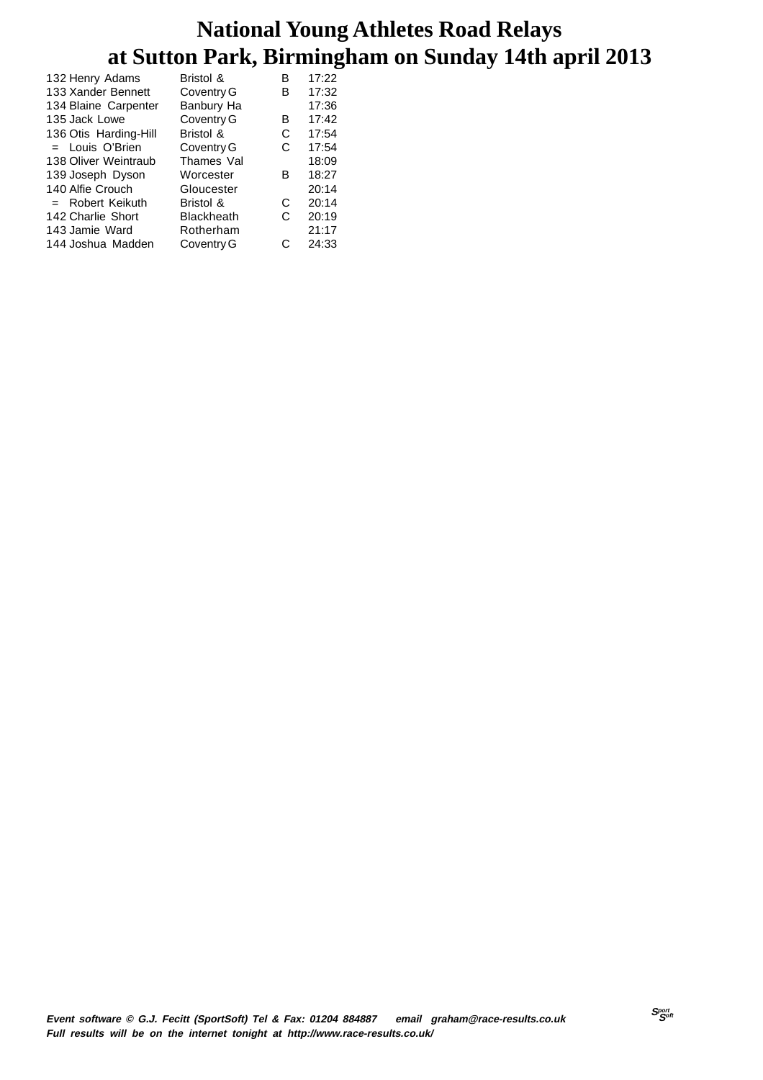| 132 Henry Adams       | Bristol &         | в | 17:22 |
|-----------------------|-------------------|---|-------|
| 133 Xander Bennett    | Coventry G        | в | 17:32 |
| 134 Blaine Carpenter  | Banbury Ha        |   | 17:36 |
| 135 Jack Lowe         | Coventry G        | в | 17:42 |
| 136 Otis Harding-Hill | Bristol &         | С | 17:54 |
| $=$ Louis O'Brien     | Coventry G        | C | 17:54 |
| 138 Oliver Weintraub  | Thames Val        |   | 18:09 |
| 139 Joseph Dyson      | Worcester         | в | 18:27 |
| 140 Alfie Crouch      | Gloucester        |   | 20:14 |
| $=$ Robert Keikuth    | Bristol &         | C | 20:14 |
| 142 Charlie Short     | <b>Blackheath</b> | C | 20:19 |
| 143 Jamie Ward        | Rotherham         |   | 21:17 |
| 144 Joshua Madden     | Coventry G        | C | 24:33 |
|                       |                   |   |       |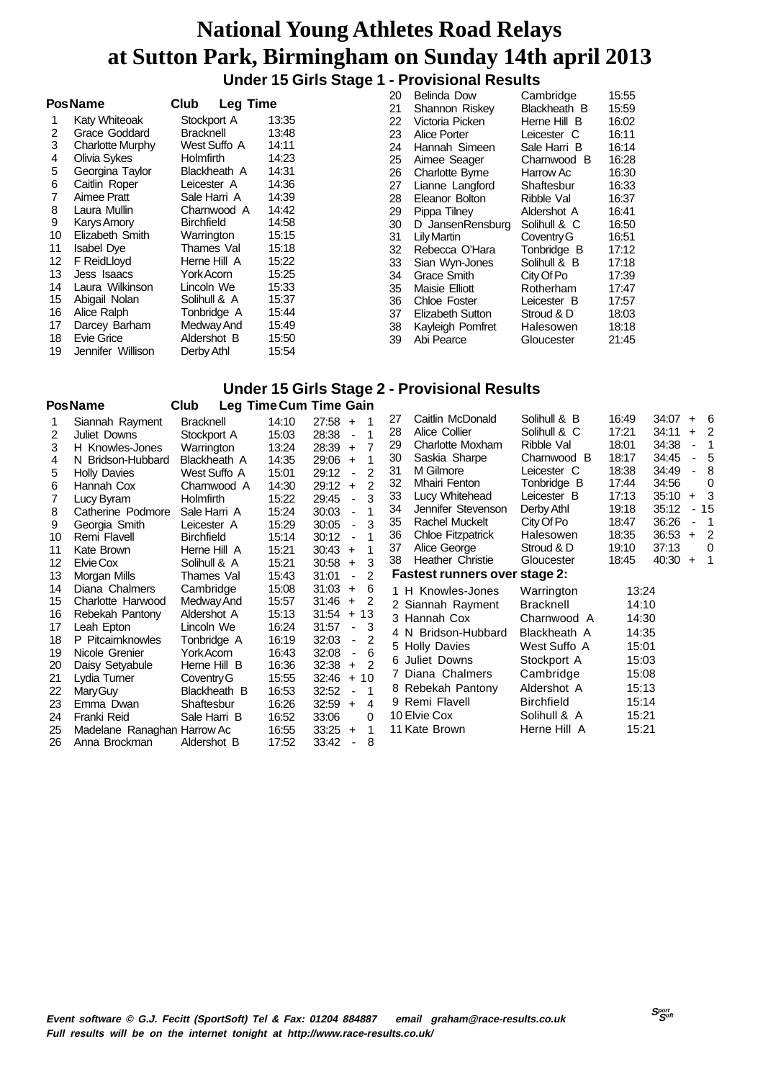#### **Under 15 Girls Stage 1 - Provisional Results**

|    |                    |                         |       | 20 | <b>Belinda Dow</b>     | Cambridge    | 15:55 |
|----|--------------------|-------------------------|-------|----|------------------------|--------------|-------|
|    | <b>PosName</b>     | Club<br><b>Leg Time</b> |       | 21 | Shannon Riskey         | Blackheath B | 15:59 |
|    | Katy Whiteoak      | Stockport A             | 13:35 | 22 | Victoria Picken        | Herne Hill B | 16:02 |
| 2  | Grace Goddard      | <b>Bracknell</b>        | 13:48 | 23 | Alice Porter           | Leicester C  | 16:11 |
| 3  | Charlotte Murphy   | West Suffo A            | 14:11 | 24 | Hannah Simeen          | Sale Harri B | 16:14 |
| 4  | Olivia Sykes       | <b>Holmfirth</b>        | 14:23 | 25 | Aimee Seager           | Charnwood B  | 16:28 |
| 5  | Georgina Taylor    | Blackheath A            | 14:31 | 26 | <b>Charlotte Byrne</b> | Harrow Ac    | 16:30 |
| 6  | Caitlin Roper      | Leicester A             | 14:36 | 27 | Lianne Langford        | Shaftesbur   | 16:33 |
|    | Aimee Pratt        | Sale Harri A            | 14:39 | 28 | Eleanor Bolton         | Ribble Val   | 16:37 |
| 8  | Laura Mullin       | Charnwood A             | 14:42 | 29 | Pippa Tilnev           | Aldershot A  | 16:41 |
| 9  | Karys Amory        | <b>Birchfield</b>       | 14:58 | 30 | D JansenRensburg       | Solihull & C | 16:50 |
| 10 | Elizabeth Smith    | Warrington              | 15:15 | 31 | Lily Martin            | Coventry G   | 16:51 |
| 11 | <b>Isabel Dye</b>  | Thames Val              | 15:18 | 32 | Rebecca O'Hara         | Tonbridge B  | 17:12 |
| 12 | <b>F</b> ReidLloyd | Herne Hill A            | 15:22 | 33 | Sian Wyn-Jones         | Solihull & B | 17:18 |
| 13 | Jess Isaacs        | York Acorn              | 15:25 | 34 | Grace Smith            | City Of Po   | 17:39 |
| 14 | Laura Wilkinson    | Lincoln We              | 15:33 | 35 | Maisie Elliott         | Rotherham    | 17:47 |
| 15 | Abigail Nolan      | Solihull & A            | 15:37 | 36 | Chloe Foster           | Leicester B  | 17:57 |
| 16 | Alice Ralph        | Tonbridge A             | 15:44 | 37 | Elizabeth Sutton       | Stroud & D   | 18:03 |
| 17 | Darcey Barham      | Medway And              | 15:49 | 38 | Kayleigh Pomfret       | Halesowen    | 18:18 |
| 18 | Evie Grice         | Aldershot B             | 15:50 | 39 | Abi Pearce             | Gloucester   | 21:45 |
| 19 | Jennifer Willison  | Derby Athl              | 15:54 |    |                        |              |       |

#### **Under 15 Girls Stage 2 - Provisional Results**

|    | PosName                     | Club              | <b>Leg Time Cum Time Gain</b> |       |                                |                |    |                                      |                   |       |       |                          |                |
|----|-----------------------------|-------------------|-------------------------------|-------|--------------------------------|----------------|----|--------------------------------------|-------------------|-------|-------|--------------------------|----------------|
|    | Siannah Rayment             | <b>Bracknell</b>  | 14:10                         | 27:58 | $+$                            |                | 27 | Caitlin McDonald                     | Solihull & B      | 16:49 | 34:07 |                          | $+ 6$          |
| 2  | Juliet Downs                | Stockport A       | 15:03                         | 28:38 | -1<br>$\overline{\phantom{a}}$ |                | 28 | Alice Collier                        | Solihull & C      | 17:21 | 34:11 | $+$                      | -2             |
| 3  | H Knowles-Jones             | Warrington        | 13:24                         | 28:39 | $\ddot{}$                      | $\overline{7}$ | 29 | Charlotte Moxham                     | Ribble Val        | 18:01 | 34:38 | $\overline{\phantom{0}}$ | $\overline{1}$ |
| 4  | N Bridson-Hubbard           | Blackheath A      | 14:35                         | 29:06 | $\ddot{}$                      |                | 30 | Saskia Sharpe                        | Charnwood B       | 18:17 | 34:45 | $\overline{\phantom{0}}$ | 5              |
| 5  | <b>Holly Davies</b>         | West Suffo A      | 15:01                         | 29:12 | $\blacksquare$                 | 2              | 31 | M Gilmore                            | Leicester C       | 18:38 | 34:49 | ä,                       | 8              |
| 6  | Hannah Cox                  | Charnwood A       | 14:30                         | 29:12 | $\ddot{}$                      | 2              | 32 | Mhairi Fenton                        | Tonbridge B       | 17:44 | 34:56 |                          | 0              |
|    | Lucy Byram                  | <b>Holmfirth</b>  | 15:22                         | 29:45 | $\blacksquare$                 | 3              | 33 | Lucy Whitehead                       | Leicester B       | 17:13 | 35:10 |                          | $+3$           |
| 8  | Catherine Podmore           | Sale Harri A      | 15:24                         | 30:03 | $\blacksquare$                 |                | 34 | Jennifer Stevenson                   | Derby Athl        | 19:18 | 35:12 |                          | $-15$          |
| 9  | Georgia Smith               | Leicester A       | 15:29                         | 30:05 | $\blacksquare$                 | 3              | 35 | Rachel Muckelt                       | City Of Po        | 18:47 | 36:26 | $\overline{\phantom{0}}$ | -1             |
| 10 | Remi Flavell                | <b>Birchfield</b> | 15:14                         | 30:12 | -1<br>$\blacksquare$           |                | 36 | <b>Chloe Fitzpatrick</b>             | Halesowen         | 18:35 | 36:53 | $+$                      | $\overline{2}$ |
| 11 | Kate Brown                  | Herne Hill A      | 15:21                         | 30:43 | 1<br>$\ddot{}$                 |                | 37 | Alice George                         | Stroud & D        | 19:10 | 37:13 |                          | $\mathbf 0$    |
| 12 | Elvie Cox                   | Solihull & A      | 15:21                         | 30:58 | $+$                            | 3              | 38 | Heather Christie                     | Gloucester        | 18:45 | 40:30 |                          | $+$ 1          |
| 13 | Morgan Mills                | Thames Val        | 15:43                         | 31:01 | $\blacksquare$                 | 2              |    | <b>Fastest runners over stage 2:</b> |                   |       |       |                          |                |
| 14 | Diana Chalmers              | Cambridge         | 15:08                         | 31:03 | 6<br>$\ddot{}$                 |                |    | 1 H Knowles-Jones                    | Warrington        | 13:24 |       |                          |                |
| 15 | Charlotte Harwood           | Medway And        | 15:57                         | 31:46 | 2<br>$+$                       |                |    | 2 Siannah Rayment                    | <b>Bracknell</b>  | 14:10 |       |                          |                |
| 16 | Rebekah Pantony             | Aldershot A       | 15:13                         | 31:54 | 13<br>$+$                      |                |    | 3 Hannah Cox                         | Charnwood A       | 14:30 |       |                          |                |
| 17 | Leah Epton                  | Lincoln We        | 16:24                         | 31:57 | 3<br>$\overline{\phantom{a}}$  |                |    | 4 N Bridson-Hubbard                  | Blackheath A      | 14:35 |       |                          |                |
| 18 | P Pitcairnknowles           | Tonbridge A       | 16:19                         | 32:03 | $\overline{\phantom{a}}$       | 2              |    | 5 Holly Davies                       | West Suffo A      | 15:01 |       |                          |                |
| 19 | Nicole Grenier              | York Acorn        | 16:43                         | 32:08 | $\overline{\phantom{a}}$       | 6              |    | 6 Juliet Downs                       | Stockport A       | 15:03 |       |                          |                |
| 20 | Daisy Setyabule             | Herne Hill B      | 16:36                         | 32:38 | $\ddot{}$                      | $\mathcal{P}$  |    | 7 Diana Chalmers                     | Cambridge         | 15:08 |       |                          |                |
| 21 | Lydia Turner                | Coventry G        | 15:55                         | 32:46 | 10<br>$+$                      |                |    |                                      |                   |       |       |                          |                |
| 22 | Mary Guy                    | Blackheath B      | 16:53                         | 32:52 |                                | $\mathbf 1$    |    | 8 Rebekah Pantony                    | Aldershot A       | 15:13 |       |                          |                |
| 23 | Emma Dwan                   | Shaftesbur        | 16:26                         | 32:59 | $\ddot{}$                      | 4              |    | 9 Remi Flavell                       | <b>Birchfield</b> | 15:14 |       |                          |                |
| 24 | Franki Reid                 | Sale Harri B      | 16:52                         | 33:06 |                                | 0              |    | 10 Elvie Cox                         | Solihull & A      | 15:21 |       |                          |                |
| 25 | Madelane Ranaghan Harrow Ac |                   | 16:55                         | 33:25 | $\ddot{}$                      | 1              |    | 11 Kate Brown                        | Herne Hill A      | 15:21 |       |                          |                |
| 26 | Anna Brockman               | Aldershot B       | 17:52                         | 33:42 |                                | 8              |    |                                      |                   |       |       |                          |                |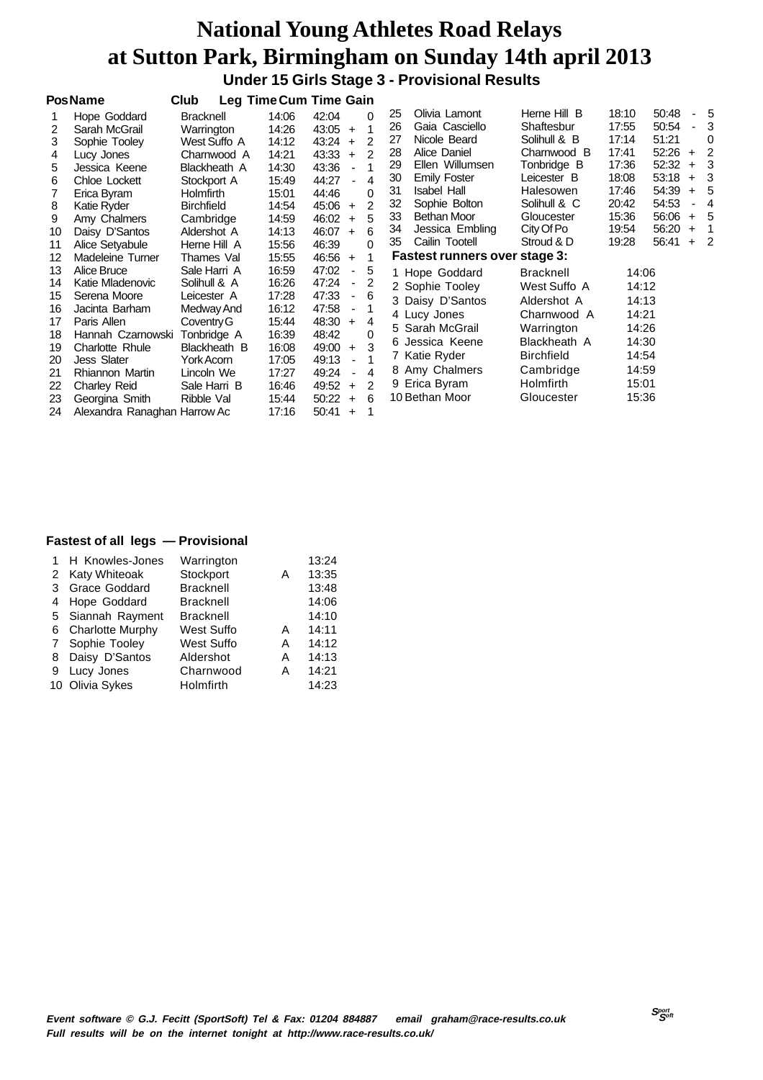**Under 15 Girls Stage 3 - Provisional Results**

|                                                                            | <b>PosName</b>                                                                                                                                                                                                                                          | Club                                                                                                                                                                              |                                                                                                                   | Leg Time Cum Time Gain                                                                                                                                                                                                                                                                                                          |                                                                                           |                                                                                                                                                                                                                                                                        |                                                                                                                                                                                                 |                                                                                                 |                                                                                                 |                                                    |                                                                                                 |
|----------------------------------------------------------------------------|---------------------------------------------------------------------------------------------------------------------------------------------------------------------------------------------------------------------------------------------------------|-----------------------------------------------------------------------------------------------------------------------------------------------------------------------------------|-------------------------------------------------------------------------------------------------------------------|---------------------------------------------------------------------------------------------------------------------------------------------------------------------------------------------------------------------------------------------------------------------------------------------------------------------------------|-------------------------------------------------------------------------------------------|------------------------------------------------------------------------------------------------------------------------------------------------------------------------------------------------------------------------------------------------------------------------|-------------------------------------------------------------------------------------------------------------------------------------------------------------------------------------------------|-------------------------------------------------------------------------------------------------|-------------------------------------------------------------------------------------------------|----------------------------------------------------|-------------------------------------------------------------------------------------------------|
| 2<br>3<br>4<br>5<br>6<br>7<br>8<br>9<br>10<br>11                           | Hope Goddard<br>Sarah McGrail<br>Sophie Tooley<br>Lucy Jones<br>Jessica Keene<br>Chloe Lockett<br>Erica Byram<br>Katie Ryder<br>Amy Chalmers<br>Daisy D'Santos<br>Alice Setyabule                                                                       | <b>Bracknell</b><br>Warrington<br>West Suffo A<br>Charnwood A<br>Blackheath A<br>Stockport A<br><b>Holmfirth</b><br><b>Birchfield</b><br>Cambridge<br>Aldershot A<br>Herne Hill A | 14:06<br>14:26<br>14:12<br>14:21<br>14:30<br>15:49<br>15:01<br>14:54<br>14:59<br>14:13<br>15:56                   | 42:04<br>43:05<br>$+$<br>43:24<br>$+$<br>43:33<br>$\ddot{}$<br>43:36<br>$\blacksquare$<br>44:27<br>44:46<br>45:06<br>$+$<br>46:02<br>$+$<br>46:07<br>$+$<br>46:39                                                                                                                                                               | 0<br>1<br>$\overline{2}$<br>$\mathcal{P}$<br>1<br>4<br>0<br>$\overline{c}$<br>5<br>6<br>0 | Olivia Lamont<br>25<br>Gaia Casciello<br>26<br>Nicole Beard<br>27<br>Alice Daniel<br>28<br>Ellen Willumsen<br>29<br><b>Emily Foster</b><br>30<br><b>Isabel Hall</b><br>31<br>Sophie Bolton<br>32<br>33<br>Bethan Moor<br>Jessica Embling<br>34<br>Cailin Tootell<br>35 | Herne Hill B<br>Shaftesbur<br>Solihull & B<br>Charnwood B<br>Tonbridge B<br>Leicester B<br>Halesowen<br>Solihull & C<br>Gloucester<br>City Of Po<br>Stroud & D<br>Fastest runners over stage 3: | 18:10<br>17:55<br>17:14<br>17:41<br>17:36<br>18:08<br>17:46<br>20:42<br>15:36<br>19:54<br>19:28 | 50:48<br>50:54<br>51:21<br>52:26<br>52:32<br>53:18<br>54:39<br>54:53<br>56:06<br>56:20<br>56:41 | ۰.<br>$+$<br>$+$<br>$\ddot{}$<br>$+$<br>$+$<br>$+$ | - 5<br>3<br>$\Omega$<br>$\overline{2}$<br>-3<br>-3<br>- 5<br>$\overline{4}$<br>- 5<br>1<br>$+2$ |
| 12<br>13<br>14<br>15<br>16<br>17<br>18<br>19<br>20<br>21<br>22<br>23<br>24 | Madeleine Turner<br>Alice Bruce<br>Katie Mladenovic<br>Serena Moore<br>Jacinta Barham<br>Paris Allen<br>Hannah Czarnowski<br>Charlotte Rhule<br><b>Jess Slater</b><br>Rhiannon Martin<br>Charley Reid<br>Georgina Smith<br>Alexandra Ranaghan Harrow Ac | Thames Val<br>Sale Harri A<br>Solihull & A<br>Leicester A<br>Medway And<br>Coventry G<br>Tonbridge A<br>Blackheath B<br>York Acorn<br>Lincoln We<br>Sale Harri B<br>Ribble Val    | 15:55<br>16:59<br>16:26<br>17:28<br>16:12<br>15:44<br>16:39<br>16:08<br>17:05<br>17:27<br>16:46<br>15:44<br>17:16 | $46:56 +$<br>47:02<br>$\overline{\phantom{0}}$<br>47:24<br>$\blacksquare$<br>47:33<br>$\overline{\phantom{0}}$<br>47:58<br>$\overline{\phantom{a}}$<br>48:30<br>$\ddot{}$<br>48:42<br>49:00<br>$+$<br>49:13<br>$\blacksquare$<br>49:24<br>$\blacksquare$<br>49:52<br>$\ddot{}$<br>50:22<br>$\ddot{}$<br>50:41<br>$\overline{+}$ | 1<br>5<br>2<br>6<br>4<br>0<br>3<br>4<br>2<br>6<br>1                                       | 1 Hope Goddard<br>2 Sophie Tooley<br>3 Daisy D'Santos<br>4 Lucy Jones<br>5 Sarah McGrail<br>6 Jessica Keene<br>7 Katie Ryder<br>8 Amy Chalmers<br>9 Erica Byram<br>10 Bethan Moor                                                                                      | <b>Bracknell</b><br>West Suffo A<br>Aldershot A<br>Charnwood A<br>Warrington<br>Blackheath A<br><b>Birchfield</b><br>Cambridge<br><b>Holmfirth</b><br>Gloucester                                | 14:06<br>14:12<br>14:13<br>14:21<br>14:26<br>14:30<br>14:54<br>14:59<br>15:01<br>15:36          |                                                                                                 |                                                    |                                                                                                 |

|   | 1 H Knowles-Jones  | Warrington        |   | 13:24 |
|---|--------------------|-------------------|---|-------|
|   | 2 Katy Whiteoak    | Stockport         | Α | 13:35 |
|   | 3 Grace Goddard    | <b>Bracknell</b>  |   | 13:48 |
| 4 | Hope Goddard       | <b>Bracknell</b>  |   | 14:06 |
|   | 5 Siannah Rayment  | <b>Bracknell</b>  |   | 14:10 |
|   | 6 Charlotte Murphy | <b>West Suffo</b> | A | 14:11 |
|   | 7 Sophie Tooley    | West Suffo        | Α | 14:12 |
| 8 | Daisy D'Santos     | Aldershot         | Α | 14:13 |
| 9 | Lucy Jones         | Charnwood         | А | 14:21 |
|   | 10 Olivia Sykes    | Holmfirth         |   | 14:23 |
|   |                    |                   |   |       |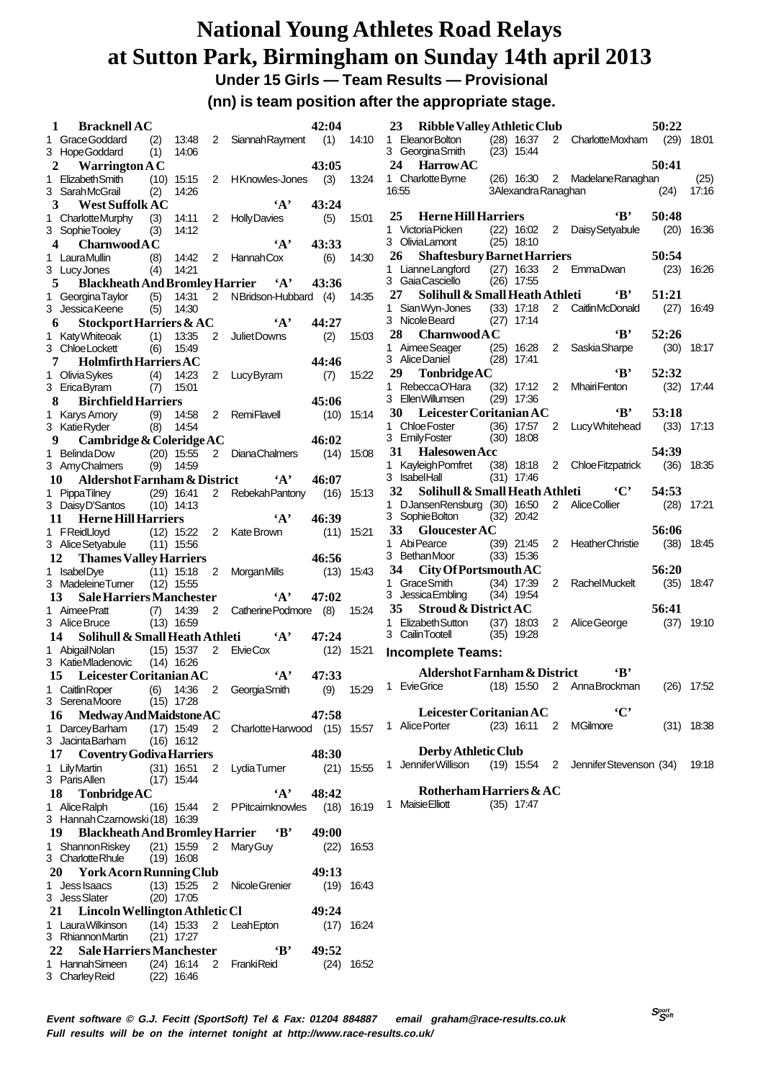**Under 15 Girls — Team Results — Provisional**

**(nn) is team position after the appropriate stage.**

| $\mathbf{1}$ | <b>Bracknell AC</b>                                       |      |              |                |                          | 42:04 |              |
|--------------|-----------------------------------------------------------|------|--------------|----------------|--------------------------|-------|--------------|
|              | 1 Grace Goddard (2)                                       |      | 13:48        | 2              | <b>Siannah Rayment</b>   | (1)   | 14:10        |
|              | 3 Hope Goddard                                            | (1)  | 14:06        |                |                          |       |              |
|              | <b>Warrington A C</b><br>$\mathbf{2}$                     |      |              |                |                          | 43:05 |              |
| 1.           | <b>Elizabeth Smith</b>                                    | (10) | 15:15        | $\overline{2}$ | HKnowles-Jones           | (3)   | 13:24        |
|              | 3 SarahMcGrail                                            | (2)  | 14:26        |                |                          |       |              |
|              | 3 West Suffolk AC<br>CharlotteMurphy (3)                  |      | 14:11        | 2              | $\mathbf{A}$ ,           | 43:24 |              |
| 1.           | 3 SophieTooley                                            | (3)  | 14:12        |                | <b>Holly Davies</b>      | (5)   | 15:01        |
|              | $\overline{\mathbf{4}}$<br>CharnwoodAC                    |      |              |                | $\mathbf{A}$             | 43:33 |              |
|              | 1 LauraMullin                                             | (8)  | 14:42        |                | 2 Hannah Cox             | (6)   | 14:30        |
|              | 3 Lucy Jones                                              | (4)  | 14:21        |                |                          |       |              |
|              | Blackheath And Bromley Harrier 4'<br>5                    |      |              |                |                          | 43:36 |              |
|              | 1 Georgina Taylor                                         | (5)  | 14:31        | $\overline{2}$ | NBridson-Hubbard (4)     |       | 14:35        |
|              | 3 Jessica Keene                                           | (5)  | 14:30        |                |                          |       |              |
|              | Stockport Harriers & AC<br>6                              |      |              |                | $\mathbf{A}$             | 44:27 |              |
| 1.           | Katy Whiteoak                                             | (1)  | 13:35        | 2              | Juliet Downs             | (2)   | 15:03        |
|              | 3 ChloeLockett                                            | (6)  | 15:49        |                |                          |       |              |
|              | <b>Holmfirth Harriers AC</b><br>7                         |      |              |                |                          | 44:46 |              |
| 1.           | <b>Olivia Sykes</b><br>(4)                                |      | 14:23        | 2              | Lucy Byram               | (7)   | 15:22        |
|              | 3 EricaByram                                              | (7)  | 15:01        |                |                          |       |              |
|              | 8<br><b>Birchfield Harriers</b>                           |      |              |                |                          | 45:06 |              |
| 1.           | Karys Amory (9)                                           |      | 14:58        | 2              | <b>RemiFlavell</b>       | (10)  | 15:14        |
|              | 3 Katie Ryder                                             | (8)  | 14:54        |                |                          |       |              |
|              | Cambridge & Coleridge AC<br>9                             |      |              |                |                          | 46:02 |              |
| 1.           | <b>BelindaDow</b>                                         |      | $(20)$ 15:55 |                | 2 DianaChalmers          | (14)  | 15:08        |
|              | 3 AmyChalmers                                             | (9)  | 14:59        |                |                          |       |              |
|              | 10 Aldershot Farnham & District                           |      |              |                | $\mathbf{A}$             | 46:07 |              |
| 1.           | <b>PippaTilney</b><br>$(29)$ 16:41                        |      |              |                | 2 Rebekah Pantony        | (16)  | 15:13        |
|              | 3 DaisyD'Santos                                           |      | $(10)$ 14:13 |                |                          |       |              |
|              | 11 Herne Hill Harriers                                    |      |              |                | $\cdot_A$ ,              | 46:39 |              |
| 1            | FReidLloyd                                                |      | $(12)$ 15:22 |                | 2 Kate Brown             | (11)  | 15:21        |
|              | 3 Alice Setyabule (11)                                    |      | 15:56        |                |                          |       |              |
|              |                                                           |      |              |                |                          | 46:56 |              |
|              |                                                           |      |              |                |                          |       |              |
|              | 12<br><b>Thames Valley Harriers</b>                       |      |              |                |                          |       |              |
|              | 1 IsabelDye                                               |      | $(11)$ 15:18 | 2              | MorganMills              | (13)  | 15:43        |
|              | 3 Madeleine Turner                                        |      | $(12)$ 15:55 |                |                          |       |              |
|              | <b>Sale Harriers Manchester</b><br>13                     |      |              |                | $\mathbf{A}$             | 47:02 |              |
| 1.           | Aimee Pratt                                               | (7)  | 14:39        | $\overline{2}$ | Catherine Podmore (8)    |       | 15:24        |
|              | 3 Alice Bruce                                             |      | $(13)$ 16:59 |                |                          |       |              |
|              | Solihull & Small Heath Athleti<br>14                      |      |              |                | $\mathbf{A}$             | 47:24 |              |
| 1.           | AbigailNolan                                              |      | $(15)$ 15:37 | 2              | ElvieCox                 | (12)  | 15:21        |
|              | 3 KatieMladenovic (14) 16:26                              |      |              |                | $\mathbf{A}$             |       |              |
|              | 15 Leicester Coritanian AC                                |      |              |                |                          | 47:33 |              |
| 1            | Caitlin Roper                                             | (6)  | 14:36        | 2              | Georgia Smith            | (9)   | 15:29        |
|              | 3 SerenaMoore                                             |      | $(15)$ 17:28 |                |                          |       |              |
|              | <b>Medway And Maidstone AC</b><br>16                      |      |              |                |                          | 47:58 |              |
|              | 1 Darcey Barham                                           |      | $(17)$ 15:49 |                | 2 Charlotte Harwood (15) |       | 15:57        |
|              | 3 Jacinta Barham<br>17                                    |      | $(16)$ 16:12 |                |                          |       |              |
|              | <b>Coventry Godiva Harriers</b>                           |      |              |                |                          | 48:30 |              |
| 1            | LilyMartin                                                |      | $(31)$ 16:51 | 2              | LydiaTurner              | (21)  | 15:55        |
|              | 3 Paris Allen                                             |      | $(17)$ 15:44 |                |                          |       |              |
|              | 18<br>TonbridgeAC                                         |      |              |                | $\cdot_A$ ,              | 48:42 |              |
| 1.           | Alice Ralph                                               |      | $(16)$ 15:44 | 2              | <b>PPitcairnknowles</b>  | (18)  | 16:19        |
|              | 3 Hannah Czarnowski (18) 16:39                            |      |              |                |                          |       |              |
|              | 19 Blackheath And Bromley Harrier 'B'                     |      |              |                |                          | 49:00 | 16:53        |
|              | 1 Shannon Riskey                                          |      | $(21)$ 15:59 |                | 2 Mary Guy               | (22)  |              |
|              | 3 CharlotteRhule                                          |      | $(19)$ 16:08 |                |                          |       |              |
|              | 20 York Acorn Running Club                                |      |              |                |                          | 49:13 |              |
|              | 1 Jess Isaacs                                             |      | $(13)$ 15:25 | 2              | Nicole Grenier           | (19)  | 16:43        |
|              | 3 Jess Slater                                             |      | $(20)$ 17:05 |                |                          | 49:24 |              |
|              | 21 Lincoln Wellington Athletic Cl                         |      |              |                |                          |       |              |
|              | 1 LauraWilkinson                                          |      | $(14)$ 15:33 | 2              | LeahEpton                |       | $(17)$ 16:24 |
|              | 3 RhiannonMartin<br><b>Sale Harriers Manchester</b><br>22 |      | $(21)$ 17:27 |                | $\mathbf{B}$             | 49:52 |              |
|              | 1 Hannah Simeen                                           |      | (24) 16:14   |                | 2 FrankiReid             |       | $(24)$ 16:52 |

|         | 23<br><b>Ribble Valley Athletic Club</b> |      |                              |                |                          | 50:22 |       |
|---------|------------------------------------------|------|------------------------------|----------------|--------------------------|-------|-------|
| 1       | <b>EleanorBolton</b>                     |      | $(28)$ 16:37                 | $\overline{2}$ | <b>CharlotteMoxham</b>   | (29)  | 18:01 |
|         | 3 Georgina Smith                         | (23) | 15:44                        |                |                          |       |       |
| 24      | <b>HarrowAC</b>                          |      |                              |                |                          | 50:41 |       |
| 1.      | Charlotte Byrne                          |      | $(26)$ 16:30                 | $\overline{2}$ | Madelane Ranaghan        |       | (25)  |
|         | 16:55                                    |      | 3Alexandra Ranaghan          |                |                          | (24)  | 17:16 |
| 25      | <b>Herne Hill Harriers</b>               |      |                              |                | $\bf ^{*}$               | 50:48 |       |
|         | 1 Victoria Picken                        |      | $(22)$ 16:02                 | 2              | Daisy Setyabule          | (20)  | 16:36 |
|         | 3 OliviaLamont                           |      | $(25)$ 18:10                 |                |                          |       |       |
|         | 26<br><b>Shaftesbury Barnet Harriers</b> |      |                              |                |                          | 50:54 |       |
| 1.      | Lianne Langford                          |      | $(27)$ 16:33                 | 2              | EmmaDwan                 | (23)  | 16:26 |
| 3       | Gaia Casciello                           | (26) | 17:55                        |                |                          |       |       |
|         | $27\,$<br>Solihull & Small Heath Athleti |      |                              |                | $\mathbf{B}$             | 51:21 |       |
| 1       | Sian Wyn-Jones                           |      | $(33)$ 17:18                 | $\overline{2}$ | <b>CaitlinMcDonald</b>   | (27)  | 16:49 |
|         | 3 Nicole Beard                           | (27) | 17:14                        |                |                          |       |       |
|         | 28 Charnwood A C                         |      |                              |                | ʻВ'                      | 52:26 |       |
| 1       | Aimee Seager<br>3 AliceDaniel            |      | $(25)$ 16:28<br>$(28)$ 17:41 | $\overline{2}$ | Saskia Sharpe            | (30)  | 18:17 |
| 29      | TonbridgeAC                              |      |                              |                | $\bf{R}$                 | 52:32 |       |
| 1       | RebeccaO'Hara                            |      | (32) 17:12                   | 2              | <b>MhairiFenton</b>      | (32)  | 17:44 |
|         | 3 EllenWillumsen                         |      | $(29)$ 17:36                 |                |                          |       |       |
|         | <b>30</b><br>Leicester Coritanian AC     |      |                              |                | 'Β'                      | 53:18 |       |
| 1       | Chloe Foster                             | (36) | 17:57                        | 2              | Lucy Whitehead           | (33)  | 17:13 |
|         | 3 EmilyFoster                            | (30) | 18:08                        |                |                          |       |       |
|         | 31<br><b>Halesowen Acc</b>               |      |                              |                |                          | 54:39 |       |
| 1       | Kayleigh Pomfret                         |      | $(38)$ 18:18                 | 2              | <b>Chloe Fitzpatrick</b> | (36)  | 18:35 |
|         | 3 IsabelHall                             |      | $(31)$ 17:46                 |                |                          |       |       |
|         | 32<br>Solihull & Small Heath Athleti     |      |                              |                | $\cdot$ C'               | 54:53 |       |
| 1       | DJansenRensburg (30) 16:50               |      |                              | 2              | Alice Collier            | (28)  | 17:21 |
| 3       | Sophie Bolton                            |      | $(32)$ 20:42                 |                |                          |       |       |
| 33<br>1 | <b>Gloucester AC</b><br>AbiPearce        |      |                              | $\overline{2}$ | <b>HeatherChristie</b>   | 56:06 |       |
|         | 3 BethanMoor                             |      | $(39)$ 21:45<br>$(33)$ 15:36 |                |                          | (38)  | 18:45 |
|         | 34 City Of Portsmouth AC                 |      |                              |                |                          | 56:20 |       |
| 1       | Grace Smith                              | (34) | 17:39                        | $\overline{2}$ | <b>RachelMuckelt</b>     | (35)  | 18:47 |
|         | 3 JessicaEmbling                         | (34) | 19:54                        |                |                          |       |       |
|         | 35<br><b>Stroud &amp; District AC</b>    |      |                              |                |                          | 56:41 |       |
| 1       | Elizabeth Sutton                         | (37) | 18:03                        | 2              | Alice George             | (37)  | 19:10 |
|         | 3 Cailin Tootell                         | (35) | 19:28                        |                |                          |       |       |
|         | <b>Incomplete Teams:</b>                 |      |                              |                |                          |       |       |
|         | <b>Aldershot Farnham &amp; District</b>  |      |                              |                | $\mathbf{R}$             |       |       |
|         | 1 EvieGrice                              |      | $(18)$ 15:50                 | 2              | AnnaBrockman             | (26)  | 17:52 |
|         |                                          |      |                              |                |                          |       |       |
|         | Leicester Coritanian AC                  |      |                              |                | `C`                      |       |       |
| 1       | Alice Porter                             |      | $(23)$ 16:11                 | 2              | <b>MGilmore</b>          | (31)  | 18:38 |
|         |                                          |      |                              |                |                          |       |       |
|         | Derby Athletic Club                      |      |                              |                |                          |       |       |
| 1       | Jennifer Willison                        |      | $(19)$ 15:54                 | 2              | JenniferStevenson (34)   |       | 19:18 |

**Rotherham Harriers & AC**

1 Maisie Elliott (35) 17:47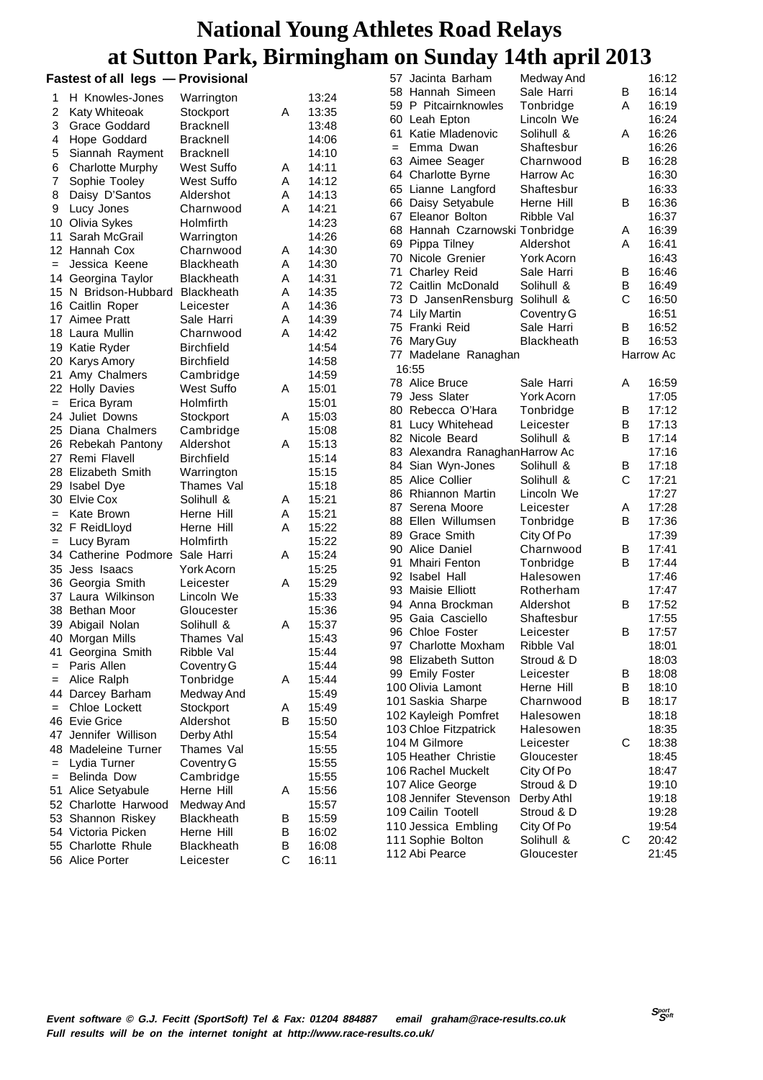|                   | <b>Fastest of all legs - Provisional</b> |                   |   |       |     | 57 Jacinta Barham              | Medway And        |             | 16:12     |
|-------------------|------------------------------------------|-------------------|---|-------|-----|--------------------------------|-------------------|-------------|-----------|
| 1                 | H Knowles-Jones                          | Warrington        |   | 13:24 |     | 58 Hannah Simeen               | Sale Harri        | B           | 16:14     |
| 2                 | Katy Whiteoak                            | Stockport         | A | 13:35 |     | 59 P Pitcairnknowles           | Tonbridge         | Α           | 16:19     |
| 3                 | Grace Goddard                            | <b>Bracknell</b>  |   | 13:48 |     | 60 Leah Epton                  | Lincoln We        |             | 16:24     |
| 4                 | Hope Goddard                             | <b>Bracknell</b>  |   | 14:06 |     | 61 Katie Mladenovic            | Solihull &        | A           | 16:26     |
| 5                 | Siannah Rayment                          | <b>Bracknell</b>  |   | 14:10 | $=$ | Emma Dwan                      | Shaftesbur        |             | 16:26     |
| 6                 | <b>Charlotte Murphy</b>                  | West Suffo        | Α | 14:11 |     | 63 Aimee Seager                | Charnwood         | В           | 16:28     |
| 7                 | Sophie Tooley                            | West Suffo        | Α | 14:12 |     | 64 Charlotte Byrne             | Harrow Ac         |             | 16:30     |
| 8                 | Daisy D'Santos                           | Aldershot         | Α | 14:13 |     | 65 Lianne Langford             | Shaftesbur        |             | 16:33     |
| 9                 | Lucy Jones                               | Charnwood         | Α | 14:21 |     | 66 Daisy Setyabule             | Herne Hill        | B           | 16:36     |
|                   | 10 Olivia Sykes                          | Holmfirth         |   | 14:23 |     | 67 Eleanor Bolton              | Ribble Val        |             | 16:37     |
| 11                | Sarah McGrail                            | Warrington        |   | 14:26 |     | 68 Hannah Czarnowski Tonbridge |                   | Α           | 16:39     |
|                   | 12 Hannah Cox                            | Charnwood         | Α | 14:30 |     | 69 Pippa Tilney                | Aldershot         | Α           | 16:41     |
| $=$               | Jessica Keene                            | <b>Blackheath</b> | Α | 14:30 |     | 70 Nicole Grenier              | York Acorn        |             | 16:43     |
|                   | 14 Georgina Taylor                       | <b>Blackheath</b> | A | 14:31 | 71  | Charley Reid                   | Sale Harri        | В           | 16:46     |
|                   |                                          |                   |   |       |     | 72 Caitlin McDonald            | Solihull &        | B           | 16:49     |
|                   | 15 N Bridson-Hubbard                     | <b>Blackheath</b> | Α | 14:35 |     | 73 D JansenRensburg            | Solihull &        | C           | 16:50     |
|                   | 16 Caitlin Roper                         | Leicester         | Α | 14:36 |     | 74 Lily Martin                 | Coventry G        |             | 16:51     |
|                   | 17 Aimee Pratt                           | Sale Harri        | Α | 14:39 |     | 75 Franki Reid                 | Sale Harri        | B           | 16:52     |
|                   | 18 Laura Mullin                          | Charnwood         | Α | 14:42 |     | 76 Mary Guy                    | <b>Blackheath</b> | B           | 16:53     |
|                   | 19 Katie Ryder                           | <b>Birchfield</b> |   | 14:54 | 77  | Madelane Ranaghan              |                   |             | Harrow Ac |
|                   | 20 Karys Amory                           | <b>Birchfield</b> |   | 14:58 |     | 16:55                          |                   |             |           |
| 21.               | Amy Chalmers                             | Cambridge         |   | 14:59 |     | 78 Alice Bruce                 | Sale Harri        | Α           | 16:59     |
|                   | 22 Holly Davies                          | West Suffo        | A | 15:01 |     | 79 Jess Slater                 | York Acorn        |             | 17:05     |
| $\qquad \qquad =$ | Erica Byram                              | Holmfirth         |   | 15:01 |     | 80 Rebecca O'Hara              | Tonbridge         | B           | 17:12     |
| 24                | Juliet Downs                             | Stockport         | A | 15:03 | 81  | Lucy Whitehead                 | Leicester         | B           | 17:13     |
|                   | 25 Diana Chalmers                        | Cambridge         |   | 15:08 |     | 82 Nicole Beard                | Solihull &        | в           | 17:14     |
|                   | 26 Rebekah Pantony                       | Aldershot         | A | 15:13 |     | 83 Alexandra RanaghanHarrow Ac |                   |             | 17:16     |
|                   | 27 Remi Flavell                          | <b>Birchfield</b> |   | 15:14 |     | 84 Sian Wyn-Jones              | Solihull &        | В           | 17:18     |
|                   | 28 Elizabeth Smith                       | Warrington        |   | 15:15 |     | 85 Alice Collier               | Solihull &        | C           | 17:21     |
|                   | 29 Isabel Dye                            | Thames Val        |   | 15:18 |     | 86 Rhiannon Martin             | Lincoln We        |             | 17:27     |
|                   | 30 Elvie Cox                             | Solihull &        | Α | 15:21 | 87  | Serena Moore                   | Leicester         | Α           | 17:28     |
| $=$               | Kate Brown                               | Herne Hill        | Α | 15:21 |     | 88 Ellen Willumsen             | Tonbridge         | B           | 17:36     |
|                   | 32 F ReidLloyd                           | Herne Hill        | A | 15:22 |     | 89 Grace Smith                 | City Of Po        |             | 17:39     |
| $=$               | Lucy Byram                               | Holmfirth         |   | 15:22 |     | 90 Alice Daniel                | Charnwood         | B           | 17:41     |
|                   | 34 Catherine Podmore Sale Harri          |                   | Α | 15:24 | 91  | Mhairi Fenton                  | Tonbridge         | B           | 17:44     |
|                   | 35 Jess Isaacs                           | York Acorn        |   | 15:25 |     | 92 Isabel Hall                 | Halesowen         |             | 17:46     |
|                   | 36 Georgia Smith                         | Leicester         | Α | 15:29 |     | 93 Maisie Elliott              | Rotherham         |             | 17:47     |
|                   | 37 Laura Wilkinson                       | Lincoln We        |   | 15:33 |     | 94 Anna Brockman               | Aldershot         | В           | 17:52     |
|                   | 38 Bethan Moor                           | Gloucester        |   | 15:36 |     | 95 Gaia Casciello              | Shaftesbur        |             | 17:55     |
|                   | 39 Abigail Nolan                         | Solihull &        | A | 15:37 |     | 96 Chloe Foster                | Leicester         | B           | 17:57     |
|                   | 40 Morgan Mills                          | Thames Val        |   | 15:43 |     | 97 Charlotte Moxham            | Ribble Val        |             | 18:01     |
| 41                | Georgina Smith                           | Ribble Val        |   | 15:44 |     | 98 Elizabeth Sutton            | Stroud & D        |             | 18:03     |
| $=$               | Paris Allen                              | Coventry G        |   | 15:44 |     | 99 Emily Foster                | Leicester         | B           | 18:08     |
| $=$               | Alice Ralph                              | Tonbridge         | A | 15:44 |     | 100 Olivia Lamont              | Herne Hill        | В           | 18:10     |
| 44                | Darcey Barham                            | Medway And        |   | 15:49 |     | 101 Saskia Sharpe              | Charnwood         | B           | 18:17     |
| $=$               | Chloe Lockett                            | Stockport         | A | 15:49 |     | 102 Kayleigh Pomfret           | Halesowen         |             | 18:18     |
|                   | 46 Evie Grice                            | Aldershot         | В | 15:50 |     | 103 Chloe Fitzpatrick          | Halesowen         |             | 18:35     |
|                   | 47 Jennifer Willison                     | Derby Athl        |   | 15:54 |     | 104 M Gilmore                  | Leicester         | С           | 18:38     |
|                   | 48 Madeleine Turner                      | Thames Val        |   | 15:55 |     | 105 Heather Christie           | Gloucester        |             | 18:45     |
| $=$               | Lydia Turner                             | Coventry G        |   | 15:55 |     |                                |                   |             | 18:47     |
| $=$               | Belinda Dow                              | Cambridge         |   | 15:55 |     | 106 Rachel Muckelt             | City Of Po        |             |           |
|                   | 51 Alice Setyabule                       | Herne Hill        | Α | 15:56 |     | 107 Alice George               | Stroud & D        |             | 19:10     |
|                   | 52 Charlotte Harwood                     | Medway And        |   | 15:57 |     | 108 Jennifer Stevenson         | Derby Athl        |             | 19:18     |
|                   | 53 Shannon Riskey                        | <b>Blackheath</b> | В | 15:59 |     | 109 Cailin Tootell             | Stroud & D        |             | 19:28     |
|                   | 54 Victoria Picken                       | Herne Hill        | B | 16:02 |     | 110 Jessica Embling            | City Of Po        |             | 19:54     |
|                   | 55 Charlotte Rhule                       | <b>Blackheath</b> | в | 16:08 |     | 111 Sophie Bolton              | Solihull &        | $\mathbf C$ | 20:42     |
|                   | 56 Alice Porter                          | Leicester         | C | 16:11 |     | 112 Abi Pearce                 | Gloucester        |             | 21:45     |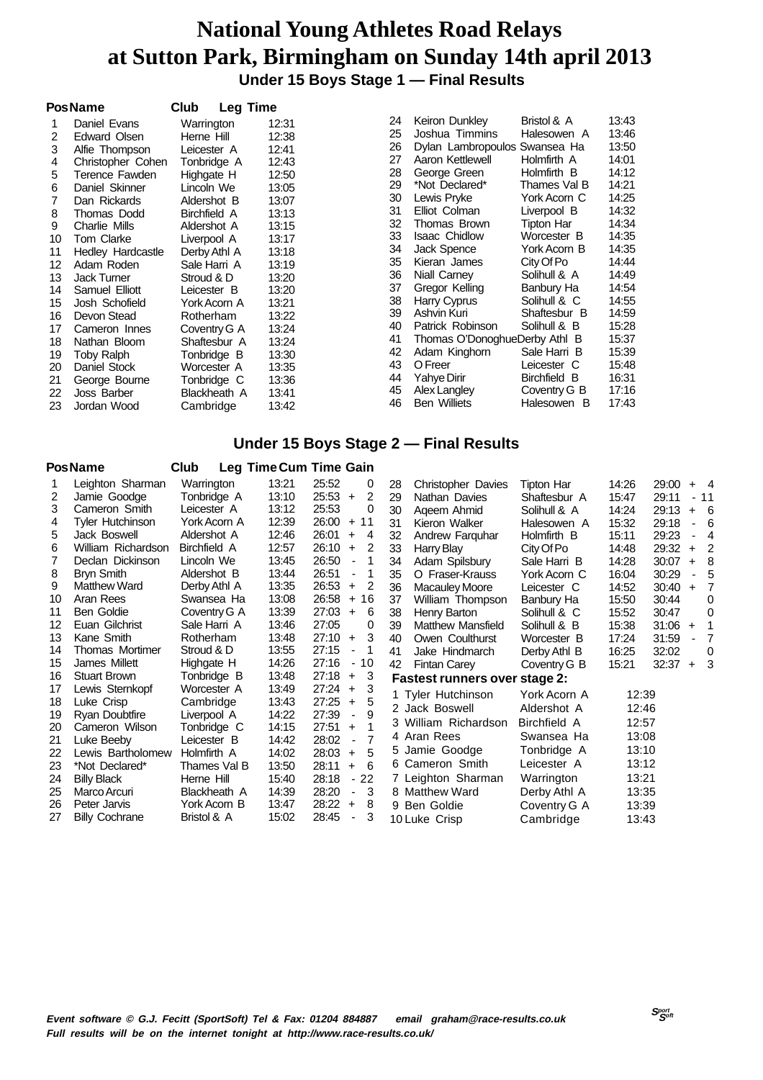**Under 15 Boys Stage 1 — Final Results**

|    | <b>PosName</b>     | Club         | <b>Leg Time</b> |    |                               |              |       |
|----|--------------------|--------------|-----------------|----|-------------------------------|--------------|-------|
|    | Daniel Evans       | Warrington   | 12:31           | 24 | Keiron Dunkley                | Bristol & A  | 13:43 |
| 2  | Edward Olsen       | Herne Hill   | 12:38           | 25 | Joshua Timmins                | Halesowen A  | 13:46 |
| 3  | Alfie Thompson     | Leicester A  | 12:41           | 26 | Dylan Lambropoulos Swansea Ha |              | 13:50 |
| 4  | Christopher Cohen  | Tonbridge A  | 12:43           | 27 | Aaron Kettlewell              | Holmfirth A  | 14:01 |
| 5  | Terence Fawden     | Highgate H   | 12:50           | 28 | George Green                  | Holmfirth B  | 14:12 |
| 6  | Daniel Skinner     | Lincoln We   | 13:05           | 29 | *Not Declared*                | Thames Val B | 14:21 |
| 7  | Dan Rickards       | Aldershot B  | 13:07           | 30 | Lewis Pryke                   | York Acorn C | 14:25 |
| 8  | Thomas Dodd        | Birchfield A | 13:13           | 31 | Elliot Colman                 | Liverpool B  | 14:32 |
| 9  | Charlie Mills      | Aldershot A  | 13:15           | 32 | Thomas Brown                  | Tipton Har   | 14:34 |
| 10 | <b>Tom Clarke</b>  | Liverpool A  | 13:17           | 33 | <b>Isaac Chidlow</b>          | Worcester B  | 14:35 |
| 11 | Hedley Hardcastle  | Derby Athl A | 13:18           | 34 | Jack Spence                   | York Acorn B | 14:35 |
| 12 | Adam Roden         | Sale Harri A | 13:19           | 35 | Kieran James                  | City Of Po   | 14:44 |
| 13 | <b>Jack Turner</b> | Stroud & D   | 13:20           | 36 | Niall Carney                  | Solihull & A | 14:49 |
| 14 | Samuel Elliott     | Leicester B  | 13:20           | 37 | Gregor Kelling                | Banbury Ha   | 14:54 |
| 15 | Josh Schofield     | York Acorn A | 13:21           | 38 | Harry Cyprus                  | Solihull & C | 14:55 |
| 16 | Devon Stead        | Rotherham    | 13:22           | 39 | Ashvin Kuri                   | Shaftesbur B | 14:59 |
| 17 | Cameron Innes      | Coventry G A | 13:24           | 40 | Patrick Robinson              | Solihull & B | 15:28 |
| 18 | Nathan Bloom       | Shaftesbur A | 13:24           | 41 | Thomas O'DonoghueDerby Athl B |              | 15:37 |
| 19 | <b>Toby Ralph</b>  | Tonbridge B  | 13:30           | 42 | Adam Kinghorn                 | Sale Harri B | 15:39 |
| 20 | Daniel Stock       | Worcester A  | 13:35           | 43 | O Freer                       | Leicester C  | 15:48 |
| 21 | George Bourne      | Tonbridge C  | 13:36           | 44 | Yahye Dirir                   | Birchfield B | 16:31 |
| 22 | Joss Barber        | Blackheath A | 13:41           | 45 | Alex Langley                  | Coventry G B | 17:16 |
| 23 | Jordan Wood        | Cambridge    | 13:42           | 46 | <b>Ben Williets</b>           | Halesowen B  | 17:43 |

#### **Under 15 Boys Stage 2 — Final Results**

|    | <b>PosName</b>        | Club         |       | Leg Time Cum Time Gain                    |    |                                      |              |       |       |                |                |
|----|-----------------------|--------------|-------|-------------------------------------------|----|--------------------------------------|--------------|-------|-------|----------------|----------------|
|    | Leighton Sharman      | Warrington   | 13:21 | 25:52<br>0                                | 28 | <b>Christopher Davies</b>            | Tipton Har   | 14:26 | 29:00 |                | $+$ 4          |
| 2  | Jamie Goodge          | Tonbridge A  | 13:10 | 25:53<br>2<br>$+$                         | 29 | Nathan Davies                        | Shaftesbur A | 15:47 | 29:11 |                | - 11           |
| 3  | Cameron Smith         | Leicester A  | 13:12 | 25:53<br>0                                | 30 | Ageem Ahmid                          | Solihull & A | 14:24 | 29:13 |                | $+ 6$          |
| 4  | Tyler Hutchinson      | York Acorn A | 12:39 | 26:00<br>11<br>$+$                        | 31 | Kieron Walker                        | Halesowen A  | 15:32 | 29:18 | $\blacksquare$ | - 6            |
| 5  | Jack Boswell          | Aldershot A  | 12:46 | 26:01<br>4<br>$\ddot{}$                   | 32 | Andrew Farguhar                      | Holmfirth B  | 15:11 | 29:23 |                | $\overline{4}$ |
| 6  | William Richardson    | Birchfield A | 12:57 | 26:10<br>2<br>$\ddot{}$                   | 33 | Harry Blay                           | City Of Po   | 14:48 | 29:32 | $\ddot{}$      | 2              |
| 7  | Declan Dickinson      | Lincoln We   | 13:45 | 26:50<br>1<br>$\overline{\phantom{a}}$    | 34 | Adam Spilsbury                       | Sale Harri B | 14:28 | 30:07 | $+$            | -8             |
| 8  | <b>Bryn Smith</b>     | Aldershot B  | 13:44 | 26:51<br>1<br>$\blacksquare$              | 35 | O Fraser-Krauss                      | York Acorn C | 16:04 | 30:29 |                | - 5            |
| 9  | <b>Matthew Ward</b>   | Derby Athl A | 13:35 | 26:53<br>2<br>$\ddot{}$                   | 36 | <b>Macauley Moore</b>                | Leicester C  | 14:52 | 30:40 | $\ddot{}$      | 7              |
| 10 | Aran Rees             | Swansea Ha   | 13:08 | 26:58<br>16<br>$\ddot{}$                  | 37 | William Thompson                     | Banbury Ha   | 15:50 | 30:44 |                | 0              |
| 11 | Ben Goldie            | Coventry G A | 13:39 | 27:03<br>$\ddot{}$<br>6                   | 38 | Henry Barton                         | Solihull & C | 15:52 | 30:47 |                | 0              |
| 12 | Euan Gilchrist        | Sale Harri A | 13:46 | 27:05<br>0                                | 39 | <b>Matthew Mansfield</b>             | Solihull & B | 15:38 | 31:06 | $\ddot{}$      | 1              |
| 13 | Kane Smith            | Rotherham    | 13:48 | 27:10<br>3<br>$\ddot{}$                   | 40 | Owen Coulthurst                      | Worcester B  | 17:24 | 31:59 |                | 7              |
| 14 | Thomas Mortimer       | Stroud & D   | 13:55 | 27:15<br>-1                               | 41 | Jake Hindmarch                       | Derby Athl B | 16:25 | 32:02 |                | 0              |
| 15 | James Millett         | Highgate H   | 14:26 | 27:16<br>10<br>$\blacksquare$             | 42 | <b>Fintan Carey</b>                  | Coventry G B | 15:21 | 32:37 | $+$            | - 3            |
| 16 | <b>Stuart Brown</b>   | Tonbridge B  | 13:48 | 27:18<br>3<br>$\ddot{}$                   |    | <b>Fastest runners over stage 2:</b> |              |       |       |                |                |
| 17 | Lewis Sternkopf       | Worcester A  | 13:49 | 3<br>27:24<br>$\ddot{}$                   |    | 1 Tyler Hutchinson                   | York Acorn A | 12:39 |       |                |                |
| 18 | Luke Crisp            | Cambridge    | 13:43 | 27:25<br>5<br>$+$                         |    | 2 Jack Boswell                       | Aldershot A  | 12:46 |       |                |                |
| 19 | <b>Ryan Doubtfire</b> | Liverpool A  | 14:22 | 27:39<br>9<br>$\blacksquare$              |    | 3 William Richardson                 | Birchfield A | 12:57 |       |                |                |
| 20 | Cameron Wilson        | Tonbridge C  | 14:15 | 27:51<br>$\ddot{}$                        |    |                                      |              |       |       |                |                |
| 21 | Luke Beeby            | Leicester B  | 14:42 | $\overline{7}$<br>28:02<br>$\blacksquare$ |    | 4 Aran Rees                          | Swansea Ha   | 13:08 |       |                |                |
| 22 | Lewis Bartholomew     | Holmfirth A  | 14:02 | 28:03<br>5<br>$+$                         |    | 5 Jamie Goodge                       | Tonbridge A  | 13:10 |       |                |                |
| 23 | *Not Declared*        | Thames Val B | 13:50 | 28:11<br>$+$<br>6                         |    | 6 Cameron Smith                      | Leicester A  | 13:12 |       |                |                |
| 24 | <b>Billy Black</b>    | Herne Hill   | 15:40 | 22<br>28:18<br>$\blacksquare$             |    | 7 Leighton Sharman                   | Warrington   | 13:21 |       |                |                |
| 25 | Marco Arcuri          | Blackheath A | 14:39 | 28:20<br>3<br>$\blacksquare$              |    | 8 Matthew Ward                       | Derby Athl A | 13:35 |       |                |                |
| 26 | Peter Jarvis          | York Acorn B | 13:47 | 28:22<br>8<br>$\ddot{}$                   |    | 9 Ben Goldie                         | Coventry G A | 13:39 |       |                |                |
| 27 | <b>Billy Cochrane</b> | Bristol & A  | 15:02 | 28:45<br>3<br>$\overline{\phantom{a}}$    |    | 10 Luke Crisp                        | Cambridge    | 13:43 |       |                |                |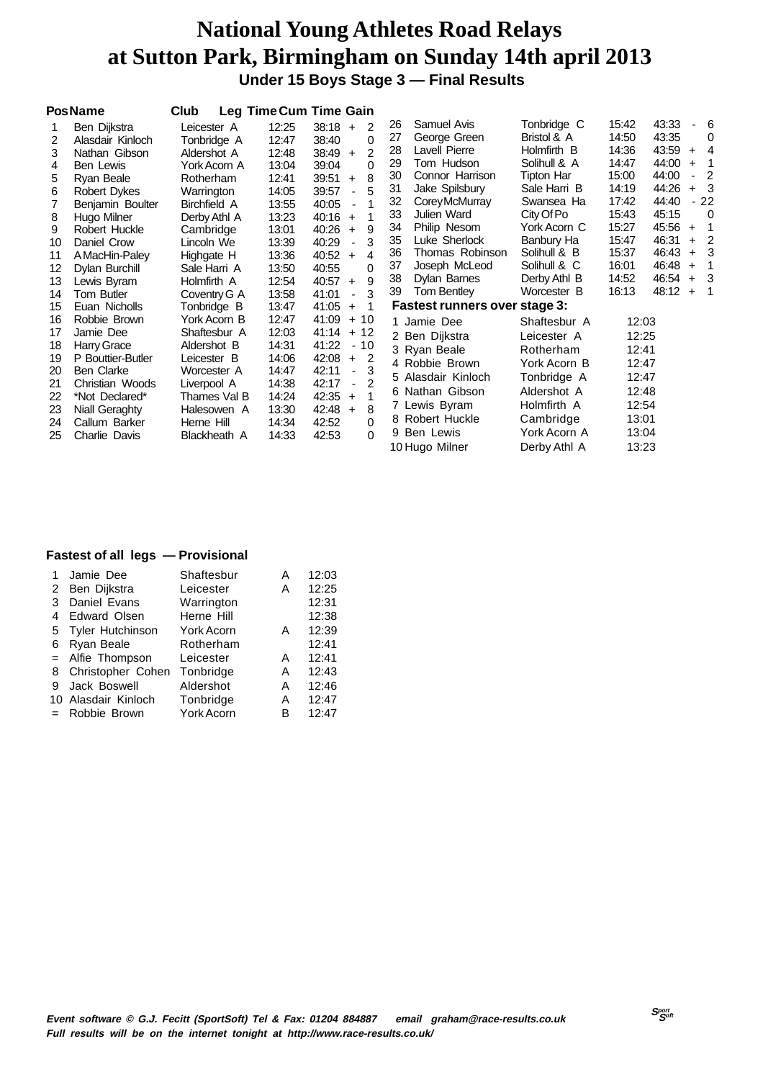**Under 15 Boys Stage 3 — Final Results**

|    | <b>PosName</b>    | Club         |       | Leg Time Cum Time Gain                   |    |                               |              |       |           |           |                         |
|----|-------------------|--------------|-------|------------------------------------------|----|-------------------------------|--------------|-------|-----------|-----------|-------------------------|
|    | Ben Dijkstra      | Leicester A  | 12:25 | 38:18<br>$\overline{2}$<br>$+$           | 26 | Samuel Avis                   | Tonbridge C  | 15:42 | 43:33     |           | 6                       |
| 2  | Alasdair Kinloch  | Tonbridge A  | 12:47 | 0<br>38:40                               | 27 | George Green                  | Bristol & A  | 14:50 | 43:35     |           | 0                       |
| 3  | Nathan Gibson     | Aldershot A  | 12:48 | $\overline{2}$<br>38:49<br>$+$           | 28 | Lavell Pierre                 | Holmfirth B  | 14:36 | 43:59     | $+$       | $\overline{4}$          |
| 4  | Ben Lewis         | York Acorn A | 13:04 | 0<br>39:04                               | 29 | Tom Hudson                    | Solihull & A | 14:47 | 44:00     | $+$       | $\overline{1}$          |
| 5  | Ryan Beale        | Rotherham    | 12:41 | 8<br>39:51<br>$+$                        | 30 | Connor Harrison               | Tipton Har   | 15:00 | 44:00     |           | $\overline{2}$          |
| 6  | Robert Dykes      | Warrington   | 14:05 | 5<br>39:57<br>$\blacksquare$             | 31 | Jake Spilsbury                | Sale Harri B | 14:19 | 44:26     | $+$       | $\overline{\mathbf{3}}$ |
|    | Benjamin Boulter  | Birchfield A | 13:55 | 40:05<br>1                               | 32 | Corey McMurray                | Swansea Ha   | 17:42 | 44:40     |           | $-22$                   |
| 8  | Hugo Milner       | Derby Athl A | 13:23 | 40:16<br>1<br>$+$                        | 33 | Julien Ward                   | City Of Po   | 15:43 | 45:15     |           | $\overline{0}$          |
| 9  | Robert Huckle     | Cambridge    | 13:01 | 40:26<br>9<br>$+$                        | 34 | Philip Nesom                  | York Acorn C | 15:27 | 45:56     | $+$       | $\overline{1}$          |
| 10 | Daniel Crow       | Lincoln We   | 13:39 | 3<br>40:29<br>$\blacksquare$             | 35 | Luke Sherlock                 | Banbury Ha   | 15:47 | 46:31     | $+$       | $\overline{2}$          |
| 11 | A MacHin-Paley    | Highgate H   | 13:36 | 40:52<br>4<br>$+$                        | 36 | Thomas Robinson               | Solihull & B | 15:37 | 46:43     | $+$       | - 3                     |
| 12 | Dylan Burchill    | Sale Harri A | 13:50 | 40:55<br>0                               | 37 | Joseph McLeod                 | Solihull & C | 16:01 | 46:48     | $\ddot{}$ | $\overline{1}$          |
| 13 | Lewis Byram       | Holmfirth A  | 12:54 | 9<br>40:57<br>$\ddot{}$                  | 38 | Dylan Barnes                  | Derby Athl B | 14:52 | 46:54     | $+$       | - 3                     |
| 14 | Tom Butler        | Coventry G A | 13:58 | 3<br>41:01<br>$\blacksquare$             | 39 | Tom Bentley                   | Worcester B  | 16:13 | $48:12 +$ |           | $\overline{1}$          |
| 15 | Euan Nicholls     | Tonbridge B  | 13:47 | 41:05<br>$\overline{1}$<br>$+$           |    | Fastest runners over stage 3: |              |       |           |           |                         |
| 16 | Robbie Brown      | York Acorn B | 12:47 | $+10$<br>41:09                           |    | 1 Jamie Dee                   | Shaftesbur A | 12:03 |           |           |                         |
| 17 | Jamie Dee         | Shaftesbur A | 12:03 | $+12$<br>41:14                           |    | 2 Ben Dijkstra                | Leicester A  | 12:25 |           |           |                         |
| 18 | Harry Grace       | Aldershot B  | 14:31 | 41:22<br>$-10$                           |    | 3 Ryan Beale                  | Rotherham    | 12:41 |           |           |                         |
| 19 | P Bouttier-Butler | Leicester B  | 14:06 | 42:08<br>2<br>$+$                        |    | 4 Robbie Brown                | York Acorn B | 12:47 |           |           |                         |
| 20 | Ben Clarke        | Worcester A  | 14:47 | 42:11<br>3<br>$\blacksquare$             |    | 5 Alasdair Kinloch            | Tonbridge A  | 12:47 |           |           |                         |
| 21 | Christian Woods   | Liverpool A  | 14:38 | $\mathcal{P}$<br>42:17<br>$\blacksquare$ |    | 6 Nathan Gibson               | Aldershot A  | 12:48 |           |           |                         |
| 22 | *Not Declared*    | Thames Val B | 14:24 | 42:35<br>$+$                             |    | 7 Lewis Byram                 | Holmfirth A  | 12:54 |           |           |                         |
| 23 | Niall Geraghty    | Halesowen A  | 13:30 | 42:48<br>8<br>$\ddot{+}$                 |    | 8 Robert Huckle               |              |       |           |           |                         |
| 24 | Callum Barker     | Herne Hill   | 14:34 | 42:52<br>0                               |    |                               | Cambridge    | 13:01 |           |           |                         |
| 25 | Charlie Davis     | Blackheath A | 14:33 | $\Omega$<br>42:53                        |    | 9 Ben Lewis                   | York Acorn A | 13:04 |           |           |                         |
|    |                   |              |       |                                          |    | 10 Hugo Milner                | Derby Athl A | 13:23 |           |           |                         |

|   | Jamie Dee           | Shaftesbur        | А | 12:03 |
|---|---------------------|-------------------|---|-------|
|   | 2 Ben Dijkstra      | Leicester         | А | 12:25 |
| 3 | Daniel Evans        | Warrington        |   | 12:31 |
| 4 | Edward Olsen        | Herne Hill        |   | 12:38 |
|   | 5 Tyler Hutchinson  | <b>York Acorn</b> | А | 12:39 |
| 6 | Ryan Beale          | Rotherham         |   | 12:41 |
|   | = Alfie Thompson    | Leicester         | А | 12:41 |
|   | 8 Christopher Cohen | Tonbridge         | А | 12:43 |
| 9 | Jack Boswell        | Aldershot         | А | 12:46 |
|   | 10 Alasdair Kinloch | Tonbridge         | A | 12:47 |
|   | Robbie Brown        | York Acorn        | в | 12:47 |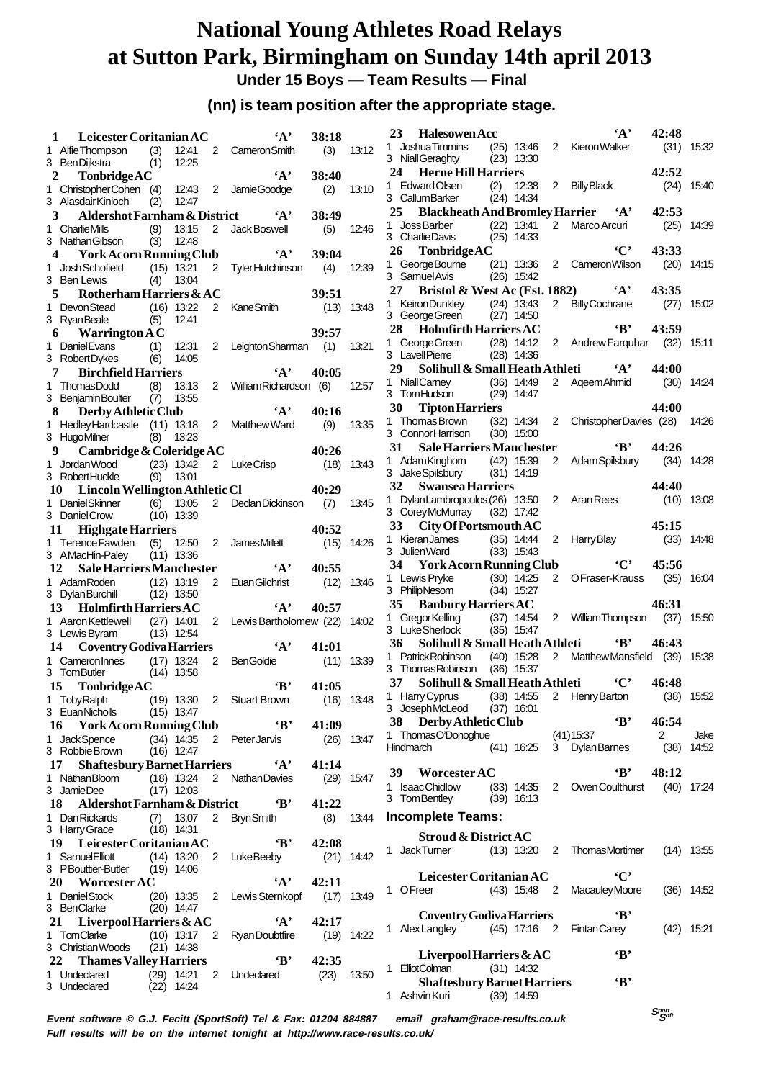**Under 15 Boys — Team Results — Final**

#### **(nn) is team position after the appropriate stage.**

| 1              | Leicester Coritanian AC                                                                                      |            |                |             | $\mathbf{A}$                             | 38:18        |              | 23 | <b>Halesowen Acc</b>                                   |              |                              |                | $\mathbf{A}$                            | 42:48                          |              |
|----------------|--------------------------------------------------------------------------------------------------------------|------------|----------------|-------------|------------------------------------------|--------------|--------------|----|--------------------------------------------------------|--------------|------------------------------|----------------|-----------------------------------------|--------------------------------|--------------|
|                | 1 Alfie Thompson                                                                                             | (3)        | 12:41          |             | 2 Cameron Smith                          | (3)          | 13:12        |    | 1 JoshuaTimmins                                        |              |                              |                | (25) 13:46 2 Kieron Walker              |                                | $(31)$ 15:32 |
|                | 3 Ben Dijkstra                                                                                               | (1)        | 12:25          |             |                                          |              |              |    | 3 Niall Geraghty                                       |              | $(23)$ 13:30                 |                |                                         |                                |              |
| $\overline{2}$ | TonbridgeAC                                                                                                  |            |                |             | $\mathbf{A}$                             | 38:40        |              | 24 | <b>Herne Hill Harriers</b>                             |              |                              |                |                                         | 42:52                          |              |
|                | 1 ChristopherCohen (4)                                                                                       |            | 12:43          |             | 2 JamieGoodge                            | (2)          | 13:10        |    | 1 Edward Olsen<br>3 CallumBarker                       | (2)          | 12:38<br>$(24)$ 14:34        |                | 2 Billy Black                           | (24)                           | 15:40        |
|                | 3 Alasdair Kinloch                                                                                           | (2)        | 12:47          |             |                                          |              |              | 25 | <b>Blackheath And Bromley Harrier</b>                  |              |                              |                | $\mathbf{A}$                            | 42:53                          |              |
| 3              | Aldershot Farnham & District                                                                                 |            |                |             | $\cdot_A$                                | 38:49        |              |    | 1 Joss Barber                                          |              | $(22)$ 13:41                 |                | 2 Marco Arcuri                          | (25)                           | 14:39        |
|                | 1 Charlie Mills<br>3 Nathan Gibson                                                                           | (9)<br>(3) | 13:15<br>12:48 |             | 2 Jack Boswell                           | (5)          | 12:46        |    | 3 CharlieDavis                                         |              | $(25)$ 14:33                 |                |                                         |                                |              |
| 4              | <b>York Acorn Running Club</b>                                                                               |            |                |             | $\mathbf{A}$                             | 39:04        |              | 26 | TonbridgeAC                                            |              |                              |                | $\cdot$ $C$                             | 43:33                          |              |
|                | 1 Josh Schofield                                                                                             |            | $(15)$ 13:21   | 2           | <b>TylerHutchinson</b>                   | (4)          | 12:39        |    | 1 George Bourne                                        |              | $(21)$ 13:36                 |                | 2 Cameron Wilson                        | (20)                           | 14:15        |
|                | 3 Ben Lewis                                                                                                  | (4)        | 13:04          |             |                                          |              |              |    | 3 Samuel Avis                                          |              | $(26)$ 15:42                 |                |                                         |                                |              |
| 5              | Rotherham Harriers & AC                                                                                      |            |                |             |                                          | 39:51        |              | 27 | Bristol & West Ac (Est. 1882)                          |              |                              |                | $\mathbf{A}$                            | 43:35                          |              |
|                | 1 Devon Stead                                                                                                |            | $(16)$ 13:22   |             | 2 KaneSmith                              |              | $(13)$ 13:48 |    | 1 Keiron Dunkley                                       |              | $(24)$ 13:43                 | $2^{\circ}$    | <b>Billy Cochrane</b>                   | (27)                           | 15:02        |
|                | 3 RyanBeale                                                                                                  | (5)        | 12:41          |             |                                          |              |              | 28 | 3 George Green<br>Holmfirth Harriers AC                |              | $(27)$ 14:50                 |                | $\bf{B}$                                | 43:59                          |              |
| 6              | <b>Warrington A C</b>                                                                                        |            |                |             |                                          | 39:57        |              |    | 1 George Green                                         |              | (28) 14:12                   |                | 2 Andrew Farguhar                       | (32)                           | 15:11        |
|                | 1 Daniel Evans<br>3 Robert Dykes                                                                             | (1)<br>(6) | 12:31<br>14:05 |             | 2 Leighton Sharman (1)                   |              | 13:21        |    | 3 LavellPierre                                         |              | $(28)$ 14:36                 |                |                                         |                                |              |
| 7              | <b>Birchfield Harriers</b>                                                                                   |            |                |             | $\mathbf{A}$                             | 40:05        |              | 29 | Solihull & Small Heath Athleti                         |              |                              |                | $\cdot_A$ ,                             | 44:00                          |              |
|                | 1 ThomasDodd                                                                                                 | (8)        | 13:13          |             | 2 William Richardson (6)                 |              | 12:57        |    | 1 NiallCarney                                          |              | $(36)$ 14:49                 |                | 2 Ageem Ahmid                           | (30)                           | 14:24        |
|                | 3 BenjaminBoulter                                                                                            | (7)        | 13:55          |             |                                          |              |              |    | 3 TomHudson                                            |              | $(29)$ 14:47                 |                |                                         |                                |              |
| 8              | Derby Athletic Club                                                                                          |            |                |             | $\mathbf{A}$                             | 40:16        |              | 30 | <b>Tipton Harriers</b>                                 |              |                              |                |                                         | 44:00                          |              |
|                | 1 Hedley Hardcastle (11) 13:18                                                                               |            |                |             | 2 Matthew Ward                           | (9)          | 13:35        |    | 1 Thomas Brown                                         |              | $(32)$ 14:34 2               |                | ChristopherDavies (28)                  |                                | 14:26        |
|                | 3 HugoMilner                                                                                                 |            | $(8)$ 13:23    |             |                                          |              |              |    | 3 ConnorHarrison                                       |              | $(30)$ 15:00                 |                | $\mathbf{B}$                            | 44:26                          |              |
| 9              | Cambridge & Coleridge AC                                                                                     |            |                |             |                                          | 40:26        |              | 31 | Sale Harriers Manchester<br>1 Adam Kinghorn            |              | $(42)$ 15:39                 | $\overline{2}$ | Adam Spilsbury                          | (34)                           | 14:28        |
|                | 1 Jordan Wood<br>3 RobertHuckle                                                                              |            | $(23)$ 13:42   |             | 2 LukeCrisp                              | (18)         | 13:43        |    | 3 Jake Spilsbury                                       |              | $(31)$ 14:19                 |                |                                         |                                |              |
|                | Lincoln Wellington Athletic Cl<br>10                                                                         |            | $(9)$ 13:01    |             |                                          | 40:29        |              | 32 | <b>Swansea Harriers</b>                                |              |                              |                |                                         | 44:40                          |              |
|                | 1 Daniel Skinner                                                                                             | (6)        | 13:05          |             | 2 Declan Dickinson                       | (7)          | 13:45        | 1. | DylanLambropoulos (26) 13:50 2 Aran Rees               |              |                              |                |                                         |                                | $(10)$ 13:08 |
|                | 3 DanielCrow                                                                                                 |            | $(10)$ 13:39   |             |                                          |              |              |    | 3 CoreyMcMurray                                        |              | $(32)$ 17:42                 |                |                                         |                                |              |
| 11             | <b>Highgate Harriers</b>                                                                                     |            |                |             |                                          | 40:52        |              | 33 | City Of Portsmouth AC                                  |              |                              |                |                                         | 45:15                          |              |
|                | 1 Terence Fawden                                                                                             |            | $(5)$ 12:50    |             | 2 JamesMillett                           | (15)         | 14:26        |    | 1 KieranJames                                          |              | $(35)$ 14:44                 | $\overline{2}$ | Harry Blay                              | (33)                           | 14:48        |
|                | 3 AMacHin-Paley                                                                                              |            | $(11)$ 13:36   |             |                                          |              |              |    | 3 Julien Ward                                          |              | $(33)$ 15:43                 |                |                                         |                                |              |
|                | 12<br><b>Sale Harriers Manchester</b>                                                                        |            |                |             | $\mathbf{A}$                             | 40:55        |              | 34 | <b>York Acorn Running Club</b>                         |              |                              |                | $\cdot$ C'                              | 45:56<br>(35)                  |              |
|                | 1 AdamRoden                                                                                                  |            | $(12)$ 13:19   | $2^{\circ}$ | Euan Gilchrist                           | (12)         | 13:46        |    | 1 Lewis Pryke<br>3 PhilipNesom                         |              | $(30)$ 14:25<br>$(34)$ 15:27 | $\mathbf{2}$   | OFraser-Krauss                          |                                | 16:04        |
|                | 3 DylanBurchill<br><b>Holmfirth Harriers AC</b>                                                              |            | $(12)$ 13:50   |             | $\mathbf{A}$                             | 40:57        |              | 35 | <b>Banbury Harriers AC</b>                             |              |                              |                |                                         | 46:31                          |              |
|                | 13<br>1 Aaron Kettlewell                                                                                     |            | $(27)$ 14:01   |             | 2 Lewis Bartholomew (22) 14:02           |              |              | 1. | <b>Gregor Kelling</b>                                  |              | $(37)$ 14:54                 |                | 2 William Thompson                      | (37)                           | 15:50        |
|                | 3 Lewis Byram                                                                                                |            | $(13)$ 12:54   |             |                                          |              |              |    | 3 Luke Sherlock                                        |              | $(35)$ 15:47                 |                |                                         |                                |              |
|                | <b>Coventry Godiva Harriers</b><br>14                                                                        |            |                |             | $\mathbf{A}$                             | 41:01        |              | 36 | Solihull & Small Heath Athleti                         |              |                              |                | $\mathbf{B}$                            | 46:43                          |              |
|                | 1 Cameron Innes                                                                                              |            | $(17)$ 13:24   | 2           | BenGoldie                                | (11)         | 13:39        |    | 1 Patrick Robinson                                     |              | $(40)$ 15:28                 |                | 2 Matthew Mansfield (39)                |                                | 15:38        |
|                | 3 TomButler                                                                                                  |            | $(14)$ 13:58   |             |                                          |              |              |    | 3 Thomas Robinson (36) 15:37                           |              |                              |                |                                         |                                |              |
|                | 15<br>TonbridgeAC                                                                                            |            |                |             | $\mathbf{B}$                             | 41:05        |              | 37 | Solihull & Small Heath Athleti                         |              |                              |                | $\cdot$ C'                              | 46:48                          |              |
|                | 1 TobyRalph                                                                                                  |            |                |             | (19) 13:30 2 Stuart Brown                |              |              |    | (16) 13:48 1 Harry Cyprus<br>3 JosephMcLeod (37) 16:01 |              |                              |                | (38) 14:55 2 Henry Barton               |                                | $(38)$ 15:52 |
|                | 3 EuanNicholls                                                                                               |            | $(15)$ 13:47   |             |                                          |              |              |    | 38 Derby Athletic Club                                 |              |                              |                | $\mathbf{B}$                            | 46:54                          |              |
|                | 16 York Acorn Running Club<br>1 Jack Spence                                                                  |            |                |             | $\mathbf{B}$<br>(34) 14:35 2 PeterJarvis | 41:09        | $(26)$ 13:47 |    | 1 ThomasO'Donoghue                                     |              |                              |                | (41)15:37                               | 2                              | Jake         |
|                | 3 Robbie Brown                                                                                               |            | $(16)$ 12:47   |             |                                          |              |              |    |                                                        |              |                              |                | Hindmarch (41) 16:25 3 Dylan Barnes     | $(38)$ 14:52                   |              |
|                | 17 Shaftesbury Barnet Harriers                                                                               |            |                |             | $\mathbf{A}$                             | 41:14        |              |    |                                                        |              |                              |                |                                         |                                |              |
|                | 1 Nathan Bloom                                                                                               |            |                |             | (18) 13:24 2 Nathan Davies               |              | $(29)$ 15:47 |    | 39 Worcester AC                                        |              |                              |                | $\bf ^4B$                               | 48:12                          |              |
|                | 3 JamieDee                                                                                                   |            | $(17)$ 12:03   |             |                                          |              |              |    | 1 IsaacChidlow<br>3 TomBentley                         |              | $(39)$ 16:13                 |                | (33) 14:35 2 OwenCoulthurst             |                                | $(40)$ 17:24 |
|                | 18 Aldershot Farnham & District                                                                              |            |                |             | $\mathbf{B}$                             | 41:22        |              |    |                                                        |              |                              |                |                                         |                                |              |
|                | 1 Dan Rickards                                                                                               |            |                |             | (7) 13:07 2 Bryn Smith                   |              | $(8)$ 13:44  |    | <b>Incomplete Teams:</b>                               |              |                              |                |                                         |                                |              |
|                | 3 Harry Grace<br>19 Leicester Coritanian AC                                                                  |            | $(18)$ 14:31   |             | $\mathbf{B}$                             | 42:08        |              |    | <b>Stroud &amp; District AC</b>                        |              |                              |                |                                         |                                |              |
|                | 1 Samuel Elliott                                                                                             |            |                |             | (14) 13:20 2 LukeBeeby                   |              | $(21)$ 14:42 |    | 1 JackTurner                                           |              |                              |                | (13) 13:20 2 ThomasMortimer             |                                | $(14)$ 13:55 |
|                | 3 PBouttier-Butler                                                                                           |            | $(19)$ 14:06   |             |                                          |              |              |    |                                                        |              |                              |                |                                         |                                |              |
|                | 20 Worcester AC                                                                                              |            |                |             | $\mathbf{A}$                             | 42:11        |              |    | Leicester Coritanian AC                                |              |                              |                | $\cdot$ C'                              |                                |              |
|                | 1 Daniel Stock                                                                                               |            |                |             | (20) 13:35 2 Lewis Sternkopf             |              | $(17)$ 13:49 |    | 1 OFreer                                               |              |                              |                | (43) 15:48 2 Macauley Moore             |                                | $(36)$ 14:52 |
|                | 3 BenClarke                                                                                                  |            | $(20)$ 14:47   |             |                                          |              |              |    | <b>Coventry Godiva Harriers</b>                        |              |                              |                | $\mathbf{B}$                            |                                |              |
|                | 21 Liverpool Harriers & AC                                                                                   |            |                |             | $\mathbf{A}$                             | 42:17        |              |    |                                                        |              |                              |                | 1 AlexLangley (45) 17:16 2 Fintan Carey |                                | $(42)$ 15:21 |
|                | 1 TomClarke                                                                                                  |            |                |             | $(10)$ 13:17 2 Ryan Doubtfire            | $(19)$ 14:22 |              |    |                                                        |              |                              |                |                                         |                                |              |
|                | 3 Christian Woods<br>22 Thames Valley Harriers                                                               |            | $(21)$ 14:38   |             | $\mathbf{B}$                             | 42:35        |              |    | Liverpool Harriers $&AC$                               |              |                              |                | $\mathbf{B}$                            |                                |              |
|                | 1 Undeclared                                                                                                 |            |                |             | $(29)$ 14:21 2 Undeclared                | $(23)$ 13:50 |              |    | 1 ElliotColman                                         |              | $(31)$ 14:32                 |                |                                         |                                |              |
|                | 3 Undeclared                                                                                                 |            | $(22)$ 14:24   |             |                                          |              |              |    | <b>Shaftesbury Barnet Harriers</b>                     |              |                              |                | $\mathbf{B}$                            |                                |              |
|                |                                                                                                              |            |                |             |                                          |              |              |    | 1 Ashvin Kuri                                          | $(39)$ 14:59 |                              |                |                                         |                                |              |
|                | Event software $\odot$ G I Fecitt (SportSoft) Tel & Eav: 01204 884887 amail arabam $\odot$ race-results couk |            |                |             |                                          |              |              |    |                                                        |              |                              |                |                                         | $S_{\mathcal{S}^{opt}}^{port}$ |              |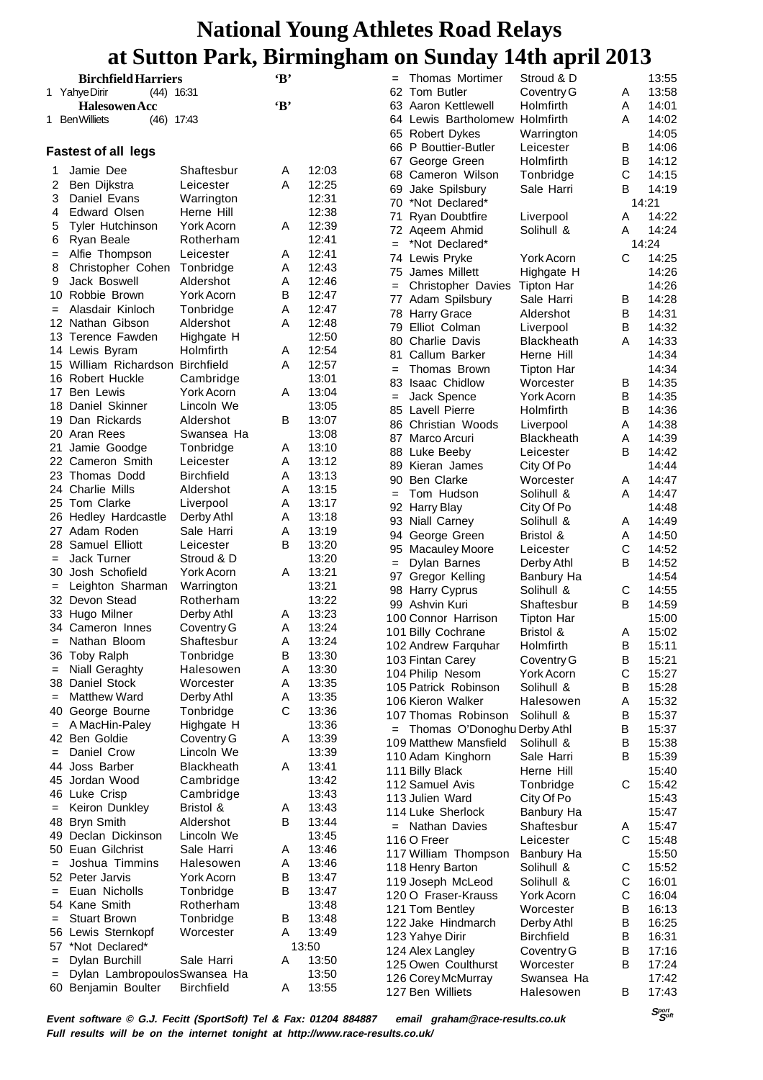|     |                                  |                   |              | o     |     |                                |                                 |   |       |
|-----|----------------------------------|-------------------|--------------|-------|-----|--------------------------------|---------------------------------|---|-------|
|     | <b>Birchfield Harriers</b>       |                   | $\cdot$ B    |       | $=$ | Thomas Mortimer                | Stroud & D                      |   | 13:55 |
|     | 1 Yahye Dirir<br>$(44)$ 16:31    |                   |              |       |     | 62 Tom Butler                  | Coventry G                      | Α | 13:58 |
|     | <b>Halesowen Acc</b>             |                   | $\mathbf{B}$ |       |     | 63 Aaron Kettlewell            | Holmfirth                       | Α | 14:01 |
|     | 1 Ben Williets<br>$(46)$ 17:43   |                   |              |       |     | 64 Lewis Bartholomew Holmfirth |                                 | A | 14:02 |
|     |                                  |                   |              |       |     |                                |                                 |   | 14:05 |
|     |                                  |                   |              |       |     | 65 Robert Dykes                | Warrington                      |   |       |
|     | <b>Fastest of all legs</b>       |                   |              |       |     | 66 P Bouttier-Butler           | Leicester                       | Β | 14:06 |
| 1   | Jamie Dee                        | Shaftesbur        | A            | 12:03 |     | 67 George Green                | Holmfirth                       | В | 14:12 |
| 2   | Ben Dijkstra                     | Leicester         | A            | 12:25 |     | 68 Cameron Wilson              | Tonbridge                       | С | 14:15 |
|     |                                  |                   |              |       | 69  | Jake Spilsbury                 | Sale Harri                      | В | 14:19 |
| 3   | Daniel Evans                     | Warrington        |              | 12:31 | 70  | *Not Declared*                 |                                 |   | 14:21 |
| 4   | <b>Edward Olsen</b>              | Herne Hill        |              | 12:38 | 71  | Ryan Doubtfire                 | Liverpool                       | Α | 14:22 |
| 5   | <b>Tyler Hutchinson</b>          | York Acorn        | Α            | 12:39 |     | 72 Ageem Ahmid                 | Solihull &                      | A | 14:24 |
| 6   | Ryan Beale                       | Rotherham         |              | 12:41 | $=$ | *Not Declared*                 |                                 |   | 14:24 |
| $=$ | Alfie Thompson                   | Leicester         | Α            | 12:41 |     | 74 Lewis Pryke                 | York Acorn                      | С | 14:25 |
| 8   | Christopher Cohen                | Tonbridge         | Α            | 12:43 |     | 75 James Millett               | Highgate H                      |   | 14:26 |
| 9   | Jack Boswell                     | Aldershot         | Α            | 12:46 | $=$ | <b>Christopher Davies</b>      | <b>Tipton Har</b>               |   | 14:26 |
| 10  | Robbie Brown                     | York Acorn        | В            | 12:47 |     |                                |                                 |   | 14:28 |
| $=$ | Alasdair Kinloch                 | Tonbridge         | Α            | 12:47 |     | 77 Adam Spilsbury              | Sale Harri                      | В |       |
|     | 12 Nathan Gibson                 | Aldershot         | A            | 12:48 |     | 78 Harry Grace                 | Aldershot                       | B | 14:31 |
|     | 13 Terence Fawden                | Highgate H        |              | 12:50 | 79  | Elliot Colman                  | Liverpool                       | в | 14:32 |
|     | 14 Lewis Byram                   | Holmfirth         | Α            | 12:54 | 80  | <b>Charlie Davis</b>           | Blackheath                      | A | 14:33 |
|     |                                  |                   |              |       | 81  | Callum Barker                  | Herne Hill                      |   | 14:34 |
|     | 15 William Richardson Birchfield |                   | A            | 12:57 | $=$ | Thomas Brown                   | <b>Tipton Har</b>               |   | 14:34 |
|     | 16 Robert Huckle                 | Cambridge         |              | 13:01 | 83  | <b>Isaac Chidlow</b>           | Worcester                       | в | 14:35 |
|     | 17 Ben Lewis                     | York Acorn        | A            | 13:04 | $=$ | Jack Spence                    | York Acorn                      | B | 14:35 |
|     | 18 Daniel Skinner                | Lincoln We        |              | 13:05 |     | 85 Lavell Pierre               | Holmfirth                       | B | 14:36 |
|     | 19 Dan Rickards                  | Aldershot         | в            | 13:07 |     | 86 Christian Woods             | Liverpool                       | Α | 14:38 |
|     | 20 Aran Rees                     | Swansea Ha        |              | 13:08 |     | 87 Marco Arcuri                | Blackheath                      | Α | 14:39 |
| 21  | Jamie Goodge                     | Tonbridge         | Α            | 13:10 |     | 88 Luke Beeby                  | Leicester                       | B | 14:42 |
|     | 22 Cameron Smith                 | Leicester         | A            | 13:12 |     | 89 Kieran James                | City Of Po                      |   | 14:44 |
|     | 23 Thomas Dodd                   | <b>Birchfield</b> | Α            | 13:13 | 90  | <b>Ben Clarke</b>              | Worcester                       | Α | 14:47 |
|     | 24 Charlie Mills                 | Aldershot         | Α            | 13:15 |     | Tom Hudson                     | Solihull &                      | Α | 14:47 |
|     | 25 Tom Clarke                    | Liverpool         | Α            | 13:17 | $=$ |                                |                                 |   |       |
|     | 26 Hedley Hardcastle             | Derby Athl        | Α            | 13:18 |     | 92 Harry Blay                  | City Of Po                      |   | 14:48 |
|     | 27 Adam Roden                    | Sale Harri        | Α            | 13:19 |     | 93 Niall Carney                | Solihull &                      | Α | 14:49 |
|     | 28 Samuel Elliott                | Leicester         | в            | 13:20 | 94  | George Green                   | Bristol &                       | Α | 14:50 |
|     | <b>Jack Turner</b>               | Stroud & D        |              | 13:20 |     | 95 Macauley Moore              | Leicester                       | С | 14:52 |
| $=$ |                                  |                   |              | 13:21 | $=$ | Dylan Barnes                   | Derby Athl                      | в | 14:52 |
|     | 30 Josh Schofield                | York Acorn        | Α            |       |     | 97 Gregor Kelling              | Banbury Ha                      |   | 14:54 |
| $=$ | Leighton Sharman                 | Warrington        |              | 13:21 |     | 98 Harry Cyprus                | Solihull &                      | С | 14:55 |
|     | 32 Devon Stead                   | Rotherham         |              | 13:22 |     | 99 Ashvin Kuri                 | Shaftesbur                      | В | 14:59 |
|     | 33 Hugo Milner                   | Derby Athl        | Α            | 13:23 |     | 100 Connor Harrison            | <b>Tipton Har</b>               |   | 15:00 |
|     | 34 Cameron Innes                 | Coventry G        | Α            | 13:24 |     | 101 Billy Cochrane             | Bristol &                       | Α | 15:02 |
|     | Nathan Bloom                     | Shaftesbur        | Α            | 13:24 |     | 102 Andrew Farquhar            | Holmfirth                       | B | 15:11 |
|     | 36 Toby Ralph                    | Tonbridge         | В            | 13:30 |     | 103 Fintan Carey               | Coventry G                      | В | 15:21 |
| $=$ | Niall Geraghty                   | Halesowen         | A            | 13:30 |     | 104 Philip Nesom               | York Acorn                      | C | 15:27 |
| 38. | Daniel Stock                     | Worcester         | A            | 13:35 |     | 105 Patrick Robinson           | Solihull &                      | В | 15:28 |
| $=$ | <b>Matthew Ward</b>              | Derby Athl        | Α            | 13:35 |     | 106 Kieron Walker              | Halesowen                       | Α | 15:32 |
|     | 40 George Bourne                 | Tonbridge         | С            | 13:36 |     | 107 Thomas Robinson            | Solihull &                      | В | 15:37 |
| $=$ | A MacHin-Paley                   | Highgate H        |              | 13:36 |     | = Thomas O'Donoghu Derby Athl  |                                 | В | 15:37 |
|     | 42 Ben Goldie                    | Coventry G        | Α            | 13:39 |     |                                |                                 |   |       |
| $=$ | Daniel Crow                      | Lincoln We        |              | 13:39 |     | 109 Matthew Mansfield          | Solihull &                      | В | 15:38 |
|     | 44 Joss Barber                   | <b>Blackheath</b> | A            | 13:41 |     | 110 Adam Kinghorn              | Sale Harri                      | B | 15:39 |
|     | 45 Jordan Wood                   | Cambridge         |              | 13:42 |     | 111 Billy Black                | Herne Hill                      |   | 15:40 |
|     |                                  |                   |              |       |     | 112 Samuel Avis                | Tonbridge                       | C | 15:42 |
|     | 46 Luke Crisp                    | Cambridge         |              | 13:43 |     | 113 Julien Ward                | City Of Po                      |   | 15:43 |
| $=$ | Keiron Dunkley                   | Bristol &         | A            | 13:43 |     | 114 Luke Sherlock              | Banbury Ha                      |   | 15:47 |
| 48  | <b>Bryn Smith</b>                | Aldershot         | В            | 13:44 |     | = Nathan Davies                | Shaftesbur                      | Α | 15:47 |
|     | 49 Declan Dickinson              | Lincoln We        |              | 13:45 |     | 116 O Freer                    | Leicester                       | С | 15:48 |
|     | 50 Euan Gilchrist                | Sale Harri        | A            | 13:46 |     | 117 William Thompson           | Banbury Ha                      |   | 15:50 |
| $=$ | Joshua Timmins                   | Halesowen         | Α            | 13:46 |     | 118 Henry Barton               | Solihull &                      | С | 15:52 |
|     | 52 Peter Jarvis                  | York Acorn        | В            | 13:47 |     | 119 Joseph McLeod              | Solihull &                      | С | 16:01 |
| $=$ | Euan Nicholls                    | Tonbridge         | В            | 13:47 |     | 120 O Fraser-Krauss            | York Acorn                      | C | 16:04 |
|     | 54 Kane Smith                    | Rotherham         |              | 13:48 |     | 121 Tom Bentley                | Worcester                       | B | 16:13 |
| $=$ | <b>Stuart Brown</b>              | Tonbridge         | B            | 13:48 |     | 122 Jake Hindmarch             |                                 | B | 16:25 |
|     | 56 Lewis Sternkopf               | Worcester         | Α            | 13:49 |     |                                | Derby Athl<br><b>Birchfield</b> | B | 16:31 |
| 57  | *Not Declared*                   |                   |              | 13:50 |     | 123 Yahye Dirir                |                                 |   |       |
| $=$ | Dylan Burchill                   | Sale Harri        | A            | 13:50 |     | 124 Alex Langley               | Coventry G                      | В | 17:16 |
| $=$ | Dylan LambropoulosSwansea Ha     |                   |              | 13:50 |     | 125 Owen Coulthurst            | Worcester                       | В | 17:24 |
|     | 60 Benjamin Boulter              | <b>Birchfield</b> | A            | 13:55 |     | 126 Corey McMurray             | Swansea Ha                      |   | 17:42 |
|     |                                  |                   |              |       |     | 127 Ben Williets               | Halesowen                       | В | 17:43 |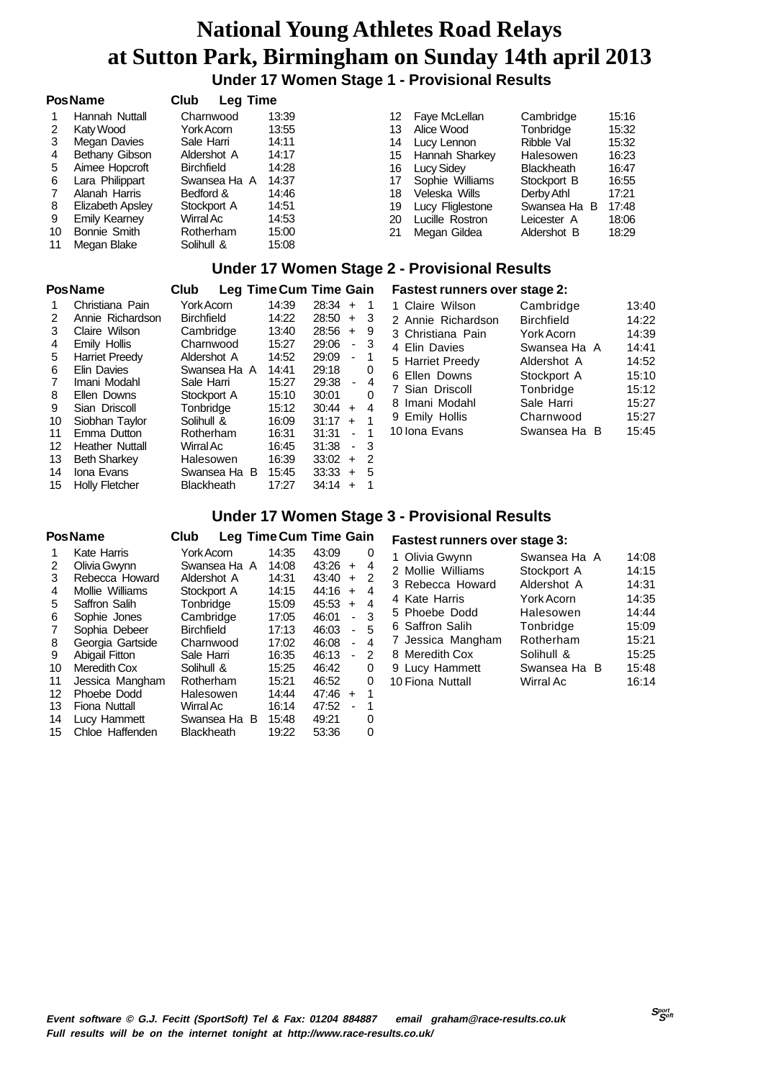**Under 17 Women Stage 1 - Provisional Results**

#### **PosName Club Leg Time**

|    | Hannah Nuttall       | Charnwood         | 13:39 | 12 | Faye McLellan    | Cambridge         | 15:16 |
|----|----------------------|-------------------|-------|----|------------------|-------------------|-------|
|    | Katy Wood            | York Acorn        | 13:55 | 13 | Alice Wood       | Tonbridge         | 15:32 |
|    | Megan Davies         | Sale Harri        | 14:11 | 14 | Lucy Lennon      | Ribble Val        | 15:32 |
| 4  | Bethany Gibson       | Aldershot A       | 14:17 | 15 | Hannah Sharkey   | Halesowen         | 16:23 |
| 5  | Aimee Hopcroft       | <b>Birchfield</b> | 14:28 | 16 | Lucy Sidey       | <b>Blackheath</b> | 16:47 |
| 6  | Lara Philippart      | Swansea Ha A      | 14:37 |    | Sophie Williams  | Stockport B       | 16:55 |
|    | Alanah Harris        | Bedford &         | 14:46 | 18 | Veleska Wills    | Derby Athl        | 17:21 |
| 8  | Elizabeth Apsley     | Stockport A       | 14:51 | 19 | Lucy Fliglestone | Swansea Ha<br>в   | 17:48 |
| 9  | <b>Emily Kearney</b> | Wirral Ac         | 14:53 | 20 | Lucille Rostron  | Leicester A       | 18:06 |
| 10 | Bonnie Smith         | Rotherham         | 15:00 | 21 | Megan Gildea     | Aldershot B       | 18:29 |
| 11 | Megan Blake          | Solihull &        | 15:08 |    |                  |                   |       |

#### **Under 17 Women Stage 2 - Provisional Results**

#### **PosName Club Leg TimeCum Time Gain**

| 1              | Christiana Pain       | Y  |
|----------------|-----------------------|----|
| $\overline{2}$ | Annie Richardson      | Bi |
| 3              | Claire Wilson         | С  |
| 4              | Emily Hollis          | С  |
| 5              | <b>Harriet Preedy</b> | Al |
| 6              | Elin Davies           | S١ |
| $\overline{7}$ | Imani Modahl          | S. |
| 8              | Ellen Downs           | Sı |
| 9              | Sian Driscoll         | Т٥ |
| 10             | Cichhon Toulor        | c. |

| ┘ | ысн ромно      |
|---|----------------|
| Э | Sian Driscoll  |
| 0 | Siobhan Taylor |
| 1 | Emma Dutton    |

- 
- 
- 15 Holly Fletcher Blackheath 17:27 34:14 + 1

#### $14:22$   $28:50 + 3$ <br>13:40  $28:56 + 9$  $3:40$  28:56 + 9 1 - Amily 15:27 29:06 - 3<br>Idershot A - 14:52 29:09 - 1 dershot A wansea Ha A 14:41 29:18 0 7 Imani Modahl Sale Harri 15:27 29:38 - 4 8 tockport A 15:10 30:01 0  $\text{Sophridge}$  15:12 30:44 + 4 16:09 31:17 + 1<br>Rotherham 16:31 31:31 - 1 11 Emma Dutton Rotherham 16:31 31:31 - 1 12 Heather Nuttall Wirral Ac 16:45 31:38 - 3<br>13 Reth Sharkev Halesowen 16:39 33:02 + 2 13 Beth Sharkey Halesowen 16:39 33:02 + 2 Swansea Ha B 15:45

#### 1 Christiana Paris 14:39 28:34 + 1<br>11:22 28:50 + 3  **Fastest runners over stage 2:** 1 Claire Wilson Cambridge 13:40 2 Annie Richardson Birchfield 14:22

| z Annie Richardson | <b>Birchfield</b> | 147/7 |
|--------------------|-------------------|-------|
| 3 Christiana Pain  | York Acorn        | 14:39 |
| 4 Elin Davies      | Swansea Ha A      | 14:41 |
| 5 Harriet Preedy   | Aldershot A       | 14:52 |
| 6 Ellen Downs      | Stockport A       | 15:10 |
| 7 Sian Driscoll    | Tonbridge         | 15:12 |
| 8 Imani Modahl     | Sale Harri        | 15:27 |
| 9 Emily Hollis     | Charnwood         | 15:27 |
| 10 Iona Evans      | Swansea Ha B      | 15:45 |

#### **Under 17 Women Stage 3 - Provisional Results**

|    | <b>PosName</b>        | Club              |              | Leg Time Cum Time Gain |       |                          |   |
|----|-----------------------|-------------------|--------------|------------------------|-------|--------------------------|---|
| 1  | Kate Harris           | York Acorn        |              | 14:35                  | 43:09 |                          | 0 |
| 2  | Olivia Gwynn          |                   | Swansea Ha A | 14:08                  | 43:26 | $\ddot{}$                | 4 |
| 3  | Rebecca Howard        | Aldershot A       |              | 14:31                  | 43:40 | $\div$                   | 2 |
| 4  | Mollie Williams       | Stockport A       |              | 14:15                  | 44:16 | $\div$                   | 4 |
| 5  | Saffron Salih         | Tonbridge         |              | 15:09                  | 45:53 | $+$                      | 4 |
| 6  | Sophie Jones          | Cambridge         |              | 17:05                  | 46:01 | $\overline{\phantom{0}}$ | 3 |
| 7  | Sophia Debeer         | <b>Birchfield</b> |              | 17:13                  | 46:03 | -                        | 5 |
| 8  | Georgia Gartside      | Charnwood         |              | 17:02                  | 46:08 | $\blacksquare$           | 4 |
| 9  | <b>Abigail Fitton</b> | Sale Harri        |              | 16:35                  | 46:13 |                          | 2 |
| 10 | <b>Meredith Cox</b>   | Solihull &        |              | 15:25                  | 46:42 |                          | 0 |
| 11 | Jessica Mangham       | Rotherham         |              | 15:21                  | 46:52 |                          | 0 |
| 12 | Phoebe Dodd           | Halesowen         |              | 14:44                  | 47:46 | $+$                      | 1 |
| 13 | Fiona Nuttall         | Wirral Ac         |              | 16:14                  | 47:52 |                          | 1 |
| 14 | Lucy Hammett          |                   | Swansea Ha B | 15:48                  | 49:21 |                          | O |
| 15 | Chloe Haffenden       | <b>Blackheath</b> |              | 19:22                  | 53:36 |                          | 0 |

#### **Fastest runners over stage 3:**

| 1 Olivia Gwynn    | Swansea Ha A      | 14:08 |
|-------------------|-------------------|-------|
| 2 Mollie Williams | Stockport A       | 14:15 |
| 3 Rebecca Howard  | Aldershot A       | 14:31 |
| 4 Kate Harris     | <b>York Acorn</b> | 14:35 |
| 5 Phoebe Dodd     | Halesowen         | 14:44 |
| 6 Saffron Salih   | Tonbridge         | 15:09 |
| 7 Jessica Mangham | Rotherham         | 15:21 |
| 8 Meredith Cox    | Solihull &        | 15:25 |
| 9 Lucy Hammett    | Swansea Ha B      | 15:48 |
| 10 Fiona Nuttall  | Wirral Ac         | 16:14 |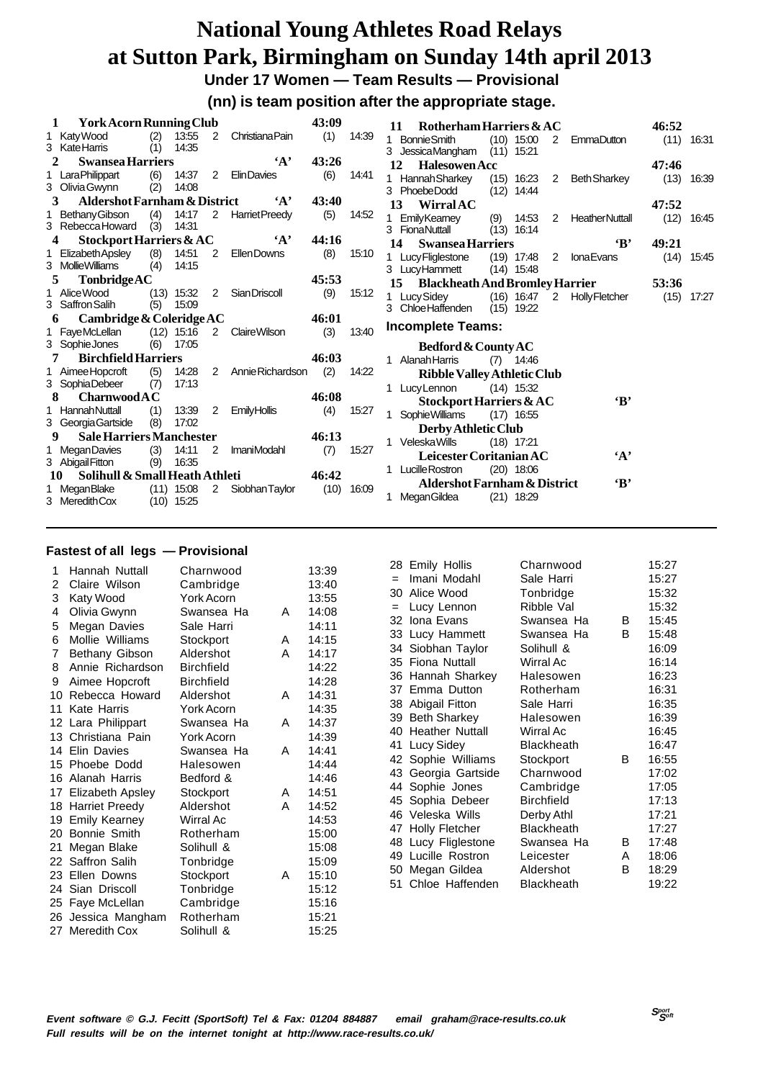**Under 17 Women — Team Results — Provisional**

**(nn) is team position after the appropriate stage.**

|    | <b>York Acorn Running Club</b>          |     |                              |                |                        | 43:09 |       | Rotherham Harriers $&AC$<br>46:52<br>11                                                          |       |
|----|-----------------------------------------|-----|------------------------------|----------------|------------------------|-------|-------|--------------------------------------------------------------------------------------------------|-------|
|    | 1 Katy Wood                             | (2) | 13:55                        | 2              | <b>Christiana Pain</b> | (1)   | 14:39 | <b>Bonnie Smith</b><br>$(10)$ 15:00<br>$\mathbf{1}$<br>$\mathbf{2}$<br><b>EmmaDutton</b><br>(11) | 16:31 |
|    | 3 KateHarris                            | (1) | 14:35                        |                |                        |       |       | JessicaMangham<br>$(11)$ 15:21<br>3                                                              |       |
|    | <b>Swansea Harriers</b>                 |     |                              |                | $\mathbf{A}$           | 43:26 |       | <b>Halesowen Acc</b><br>12<br>47:46                                                              |       |
|    | 1 LaraPhilippart                        | (6) | 14:37                        | $\overline{2}$ | <b>ElinDavies</b>      | (6)   | 14:41 | 1 Hannah Sharkey<br>(13)<br>$(15)$ 16:23<br><b>Beth Sharkey</b><br>$\overline{2}$                | 16:39 |
|    | 3 Olivia Gwynn                          | (2) | 14:08                        |                |                        |       |       | 3 PhoebeDodd<br>(12)<br>14:44                                                                    |       |
| 3  | <b>Aldershot Farnham &amp; District</b> |     |                              |                | $\mathbf{A}$           | 43:40 |       | <b>Wirral AC</b><br>13<br>47:52                                                                  |       |
|    | Bethany Gibson                          | (4) | 14:17                        | $\overline{2}$ | <b>HarrietPreedy</b>   | (5)   | 14:52 | <b>EmilyKearney</b><br>(12)<br>(9)<br>14:53<br><b>HeatherNuttall</b><br>2<br>1                   | 16:45 |
|    | 3 Rebecca Howard                        | (3) | 14:31                        |                |                        |       |       | $(13)$ 16:14<br>3 FionaNuttall                                                                   |       |
| 4  | Stockport Harriers & AC                 |     |                              |                | $\mathbf{A}$           | 44:16 |       | $\bf{B}$<br>14<br><b>Swansea Harriers</b><br>49:21                                               |       |
|    | Elizabeth Apsley                        | (8) | 14:51                        | 2              | Ellen Downs            | (8)   | 15:10 | 1 Lucy Fliglestone<br>$(19)$ 17:48<br>2<br><b>IonaEvans</b><br>(14)                              | 15:45 |
|    | 3 Mollie Williams                       | (4) | 14:15                        |                |                        |       |       | $(14)$ 15:48<br>3 LucyHammett                                                                    |       |
| 5  | <b>Tonbridge AC</b>                     |     |                              |                |                        | 45:53 |       | 15 Blackheath And Bromley Harrier<br>53:36                                                       |       |
|    | 1 Alice Wood<br>3 Saffron Salih         |     | $(13)$ 15:32<br>15:09        | 2              | Sian Driscoll          | (9)   | 15:12 | Lucy Sidey<br>$(16)$ 16:47<br>(15)<br><b>Holly Fletcher</b><br>$\overline{2}$<br>1               | 17:27 |
|    |                                         | (5) |                              |                |                        |       |       | 3 Chloe Haffenden<br>(15)<br>19:22                                                               |       |
|    |                                         |     |                              |                |                        |       |       |                                                                                                  |       |
| 6  | Cambridge & Coleridge AC                |     |                              |                |                        | 46:01 |       |                                                                                                  |       |
|    | 1 FayeMcLellan                          |     | $(12)$ 15:16                 | 2              | <b>Claire Wilson</b>   | (3)   | 13:40 | Incomplete Teams:                                                                                |       |
|    | 3 Sophie Jones                          | (6) | 17:05                        |                |                        |       |       | Bedford & County AC                                                                              |       |
| 7  | <b>Birchfield Harriers</b>              |     |                              |                |                        | 46:03 |       | Alanah Harris<br>(7)<br>14:46                                                                    |       |
|    | 1 Aimee Hopcroft                        | (5) | 14:28                        | 2              | Annie Richardson       | (2)   | 14:22 | <b>Ribble Valley Athletic Club</b>                                                               |       |
|    | 3 SophiaDebeer                          | (7) | 17:13                        |                |                        |       |       | 1 Lucy Lennon<br>$(14)$ 15:32                                                                    |       |
| 8  | <b>Charnwood A C</b>                    |     |                              |                |                        | 46:08 |       | $\mathbf{B}$<br>Stockport Harriers & AC                                                          |       |
|    | 1 Hannah Nuttall                        | (1) | 13:39                        | 2              | <b>Emily Hollis</b>    | (4)   | 15:27 | Sophie Williams<br>$(17)$ 16:55<br>$\mathbf{1}$                                                  |       |
|    | 3 Georgia Gartside                      | (8) | 17:02                        |                |                        |       |       | Derby Athletic Club                                                                              |       |
| 9  | <b>Sale Harriers Manchester</b>         |     |                              |                |                        | 46:13 |       | <b>Veleska Wills</b><br>$(18)$ 17:21<br>1.                                                       |       |
|    | 1 MeganDavies                           | (3) | 14:11                        | 2              | <b>ImaniModahl</b>     | (7)   | 15:27 | Leicester Coritanian AC<br>$\mathbf{A}$                                                          |       |
|    | 3 Abigail Fitton                        | (9) | 16:35                        |                |                        |       |       | 1 Lucille Rostron<br>$(20)$ 18:06                                                                |       |
| 10 | Solihull & Small Heath Athleti          |     |                              |                |                        | 46:42 |       | $\mathbf{B}$<br><b>Aldershot Farnham &amp; District</b>                                          |       |
|    | 1 Megan Blake<br>3 Meredith Cox         |     | $(11)$ 15:08<br>$(10)$ 15:25 | $\overline{2}$ | Siobhan Taylor         | (10)  | 16:09 | MeganGildea<br>$(21)$ 18:29<br>1.                                                                |       |

| 1  | Hannah Nuttall       | Charnwood         |   | 13:39 |
|----|----------------------|-------------------|---|-------|
| 2  | Claire Wilson        | Cambridge         |   | 13:40 |
| 3  | Katy Wood            | York Acorn        |   | 13:55 |
| 4  | Olivia Gwynn         | Swansea Ha        | A | 14:08 |
| 5  | Megan Davies         | Sale Harri        |   | 14:11 |
| 6  | Mollie Williams      | Stockport         | A | 14:15 |
| 7  | Bethany Gibson       | Aldershot         | А | 14:17 |
| 8  | Annie Richardson     | <b>Birchfield</b> |   | 14:22 |
| 9  | Aimee Hopcroft       | <b>Birchfield</b> |   | 14:28 |
| 10 | Rebecca Howard       | Aldershot         | A | 14:31 |
| 11 | Kate Harris          | York Acorn        |   | 14:35 |
|    | 12 Lara Philippart   | Swansea Ha        | Α | 14:37 |
|    | 13 Christiana Pain   | York Acorn        |   | 14:39 |
|    | 14 Elin Davies       | Swansea Ha        | А | 14:41 |
| 15 | Phoebe Dodd          | Halesowen         |   | 14:44 |
| 16 | Alanah Harris        | Bedford &         |   | 14:46 |
|    | 17 Elizabeth Apsley  | Stockport         | A | 14:51 |
|    | 18 Harriet Preedy    | Aldershot         | А | 14:52 |
| 19 | <b>Emily Kearney</b> | Wirral Ac         |   | 14:53 |
| 20 | Bonnie Smith         | Rotherham         |   | 15:00 |
| 21 | Megan Blake          | Solihull &        |   | 15:08 |
|    | 22 Saffron Salih     | Tonbridge         |   | 15:09 |
| 23 | Ellen Downs          | Stockport         | А | 15:10 |
| 24 | Sian Driscoll        | Tonbridge         |   | 15:12 |
| 25 | Faye McLellan        | Cambridge         |   | 15:16 |
| 26 | Jessica Mangham      | Rotherham         |   | 15:21 |
| 27 | Meredith Cox         | Solihull &        |   | 15:25 |

|     | 28 Emily Hollis       | Charnwood         |   | 15:27 |
|-----|-----------------------|-------------------|---|-------|
| $=$ | Imani Modahl          | Sale Harri        |   | 15:27 |
|     | 30 Alice Wood         | Tonbridge         |   | 15:32 |
| $=$ | Lucy Lennon           | Ribble Val        |   | 15:32 |
|     | 32 Iona Evans         | Swansea Ha        | В | 15:45 |
|     | 33 Lucy Hammett       | Swansea Ha        | B | 15:48 |
|     | 34 Siobhan Taylor     | Solihull &        |   | 16:09 |
|     | 35 Fiona Nuttall      | Wirral Ac         |   | 16:14 |
|     | 36 Hannah Sharkey     | Halesowen         |   | 16:23 |
|     | 37 Emma Dutton        | Rotherham         |   | 16:31 |
| 38  | Abigail Fitton        | Sale Harri        |   | 16:35 |
|     | 39 Beth Sharkey       | Halesowen         |   | 16:39 |
|     | 40 Heather Nuttall    | Wirral Ac         |   | 16:45 |
| 41  | Lucy Sidey            | Blackheath        |   | 16:47 |
|     | 42 Sophie Williams    | Stockport         | В | 16:55 |
|     | 43 Georgia Gartside   | Charnwood         |   | 17:02 |
|     | 44 Sophie Jones       | Cambridge         |   | 17:05 |
|     | 45 Sophia Debeer      | Birchfield        |   | 17:13 |
|     | 46 Veleska Wills      | Derby Athl        |   | 17:21 |
| 47  | <b>Holly Fletcher</b> | <b>Blackheath</b> |   | 17:27 |
|     | 48 Lucy Fliglestone   | Swansea Ha        | В | 17:48 |
| 49  | Lucille Rostron       | Leicester         | A | 18:06 |
| 50  | Megan Gildea          | Aldershot         | в | 18:29 |
|     | 51 Chloe Haffenden    | Blackheath        |   | 19:22 |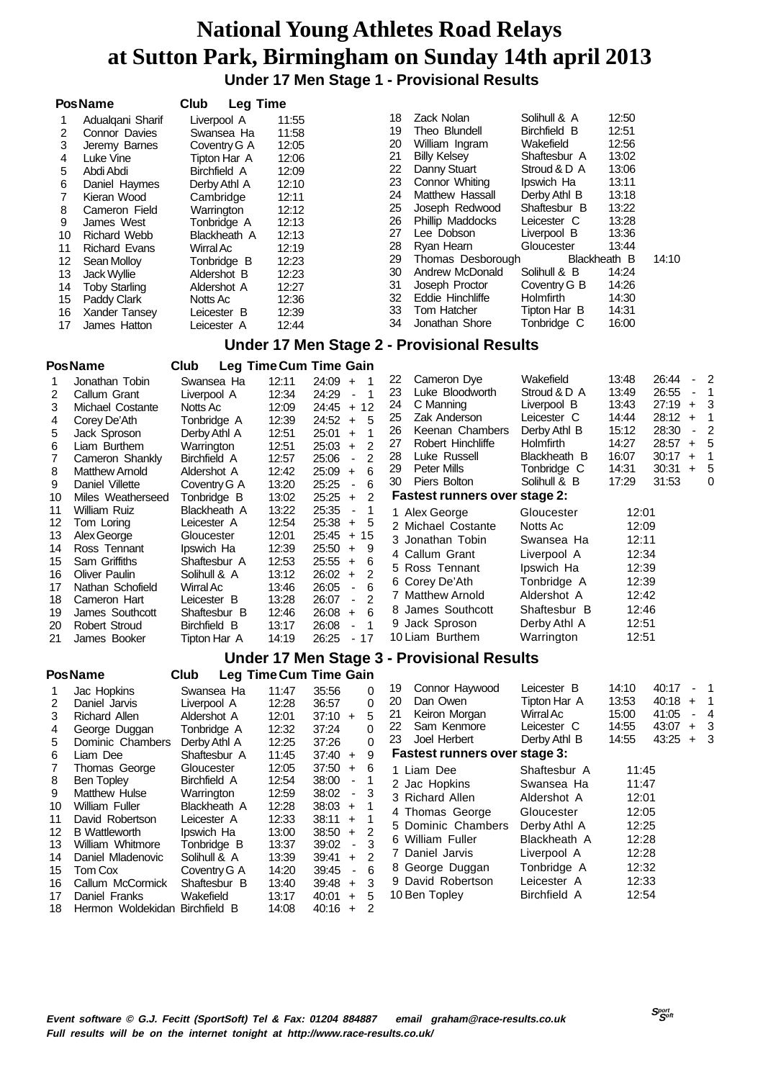**Under 17 Men Stage 1 - Provisional Results**

|          | <b>PosName</b>                     | Club                        | <b>Leg Time</b> |                                                                      |          |                                                   |                              |                |                |                  |                   |
|----------|------------------------------------|-----------------------------|-----------------|----------------------------------------------------------------------|----------|---------------------------------------------------|------------------------------|----------------|----------------|------------------|-------------------|
| 1        | Adualgani Sharif                   | Liverpool A                 | 11:55           |                                                                      | 18       | Zack Nolan                                        | Solihull & A                 | 12:50          |                |                  |                   |
| 2        | Connor Davies                      | Swansea Ha                  | 11:58           |                                                                      | 19       | Theo Blundell                                     | Birchfield B                 | 12:51          |                |                  |                   |
| 3        | Jeremy Barnes                      | Coventry G A                | 12:05           |                                                                      | 20       | William Ingram                                    | Wakefield                    | 12:56          |                |                  |                   |
| 4        | Luke Vine                          | Tipton Har A                | 12:06           |                                                                      | 21       | <b>Billy Kelsey</b>                               | Shaftesbur A                 | 13:02          |                |                  |                   |
| 5        | Abdi Abdi                          | Birchfield A                | 12:09           |                                                                      | 22       | Danny Stuart                                      | Stroud & D A                 | 13:06          |                |                  |                   |
| 6        | Daniel Haymes                      | Derby Athl A                | 12:10           |                                                                      | 23       | Connor Whiting                                    | Ipswich Ha                   | 13:11          |                |                  |                   |
| 7        | Kieran Wood                        | Cambridge                   | 12:11           |                                                                      | 24<br>25 | Matthew Hassall                                   | Derby Athl B<br>Shaftesbur B | 13:18<br>13:22 |                |                  |                   |
| 8        | Cameron Field<br>James West        | Warrington                  | 12:12           |                                                                      | 26       | Joseph Redwood<br><b>Phillip Maddocks</b>         | Leicester C                  | 13:28          |                |                  |                   |
| 9<br>10  | <b>Richard Webb</b>                | Tonbridge A<br>Blackheath A | 12:13<br>12:13  |                                                                      | 27       | Lee Dobson                                        | Liverpool B                  | 13:36          |                |                  |                   |
| 11       | <b>Richard Evans</b>               | Wirral Ac                   | 12:19           |                                                                      | 28       | Ryan Hearn                                        | Gloucester                   | 13:44          |                |                  |                   |
| 12       | Sean Molloy                        | Tonbridge B                 | 12:23           |                                                                      | 29       | Thomas Desborough                                 | Blackheath B                 |                | 14:10          |                  |                   |
| 13       | Jack Wyllie                        | Aldershot B                 | 12:23           |                                                                      | 30       | Andrew McDonald                                   | Solihull & B                 | 14:24          |                |                  |                   |
| 14       | <b>Toby Starling</b>               | Aldershot A                 | 12:27           |                                                                      | 31       | Joseph Proctor                                    | Coventry G B                 | 14:26          |                |                  |                   |
| 15       | Paddy Clark                        | Notts Ac                    | 12:36           |                                                                      | 32       | Eddie Hinchliffe                                  | Holmfirth                    | 14:30          |                |                  |                   |
| 16       | Xander Tansey                      | Leicester B                 | 12:39           |                                                                      | 33       | Tom Hatcher                                       | Tipton Har B                 | 14:31          |                |                  |                   |
| 17       | James Hatton                       | Leicester A                 | 12:44           |                                                                      | 34       | Jonathan Shore                                    | Tonbridge C                  | 16:00          |                |                  |                   |
|          |                                    |                             |                 |                                                                      |          | <b>Under 17 Men Stage 2 - Provisional Results</b> |                              |                |                |                  |                   |
|          | <b>PosName</b>                     | Club                        |                 | Leg Time Cum Time Gain                                               |          |                                                   |                              |                |                |                  |                   |
| 1        | Jonathan Tobin                     | Swansea Ha                  | 12:11           | $24:09 +$<br>$\overline{1}$                                          | 22       | Cameron Dye                                       | Wakefield                    | 13:48          | 26:44          |                  | $\overline{2}$    |
| 2        | Callum Grant                       | Liverpool A                 | 12:34           | 1<br>24:29<br>$\blacksquare$                                         | 23       | Luke Bloodworth                                   | Stroud & D A                 | 13:49          | 26:55          | $\blacksquare$   | $\overline{1}$    |
| 3        | Michael Costante                   | Notts Ac                    | 12:09           | $24:45 + 12$                                                         | 24<br>25 | C Manning                                         | Liverpool B                  | 13:43<br>14:44 | 27:19<br>28:12 | $\pm$<br>$+$     | 3<br>$\mathbf{1}$ |
| 4        | Corey De'Ath                       | Tonbridge A                 | 12:39           | 5<br>$24:52 +$                                                       | 26       | Zak Anderson<br>Keenan Chambers                   | Leicester C<br>Derby Athl B  | 15:12          | 28:30          | $\blacksquare$   | $\overline{2}$    |
| 5        | Jack Sproson                       | Derby Athl A                | 12:51<br>12:51  | 1<br>25:01<br>$\ddot{}$<br>$\overline{2}$                            | 27       | Robert Hinchliffe                                 | Holmfirth                    | 14:27          | 28:57          | $\ddot{}$        | 5                 |
| 6<br>7   | Liam Burthem<br>Cameron Shankly    | Warrington<br>Birchfield A  | 12:57           | 25:03<br>$+$<br>$\overline{2}$<br>25:06<br>$\blacksquare$            | 28       | Luke Russell                                      | Blackheath B                 | 16:07          | 30:17          | $\ddot{}$        | $\mathbf{1}$      |
| 8        | <b>Matthew Arnold</b>              | Aldershot A                 | 12:42           | 6<br>25:09<br>$+$                                                    | 29       | <b>Peter Mills</b>                                | Tonbridge C                  | 14:31          | 30:31          | $\ddot{}$        | 5                 |
| 9        | Daniel Villette                    | Coventry G A                | 13:20           | 6<br>25:25<br>$\blacksquare$                                         | 30       | Piers Bolton                                      | Solihull & B                 | 17:29          | 31:53          |                  | 0                 |
| 10       | Miles Weatherseed                  | Tonbridge B                 | 13:02           | 25:25<br>$\pm$<br>$\overline{2}$                                     |          | <b>Fastest runners over stage 2:</b>              |                              |                |                |                  |                   |
| 11       | William Ruiz                       | Blackheath A                | 13:22           | 25:35<br>1<br>$\blacksquare$                                         |          | 1 Alex George                                     | Gloucester                   | 12:01          |                |                  |                   |
| 12       | Tom Loring                         | Leicester A                 | 12:54           | 25:38<br>5<br>$\ddot{}$                                              |          | 2 Michael Costante                                | Notts Ac                     | 12:09          |                |                  |                   |
| 13       | Alex George                        | Gloucester                  | 12:01           | $25:45 +$<br>15                                                      |          | 3 Jonathan Tobin                                  | Swansea Ha                   | 12:11          |                |                  |                   |
| 14       | Ross Tennant                       | Ipswich Ha                  | 12:39           | 9<br>25:50<br>$\ddot{}$                                              |          | 4 Callum Grant                                    | Liverpool A                  | 12:34          |                |                  |                   |
| 15       | Sam Griffiths                      | Shaftesbur A                | 12:53           | 6<br>25:55<br>$+$                                                    |          | 5 Ross Tennant                                    | Ipswich Ha                   | 12:39          |                |                  |                   |
| 16       | <b>Oliver Paulin</b>               | Solihull & A                | 13:12           | 26:02<br>2<br>$\pm$<br>6                                             |          | 6 Corey De'Ath                                    | Tonbridge A                  | 12:39          |                |                  |                   |
| 17<br>18 | Nathan Schofield<br>Cameron Hart   | Wirral Ac<br>Leicester B    | 13:46<br>13:28  | 26:05<br>$\blacksquare$<br>$\overline{2}$<br>26:07<br>$\blacksquare$ |          | 7 Matthew Arnold                                  | Aldershot A                  | 12:42          |                |                  |                   |
| 19       | James Southcott                    | Shaftesbur B                | 12:46           | 26:08<br>6<br>$+$                                                    |          | 8 James Southcott                                 | Shaftesbur B                 | 12:46          |                |                  |                   |
| 20       | <b>Robert Stroud</b>               | Birchfield B                | 13:17           | 26:08<br>$\mathbf 1$<br>$\overline{a}$                               |          | 9 Jack Sproson                                    | Derby Athl A                 | 12:51          |                |                  |                   |
| 21       | James Booker                       | Tipton Har A                | 14:19           | 26:25<br>- 17                                                        |          | 10 Liam Burthem                                   | Warrington                   | 12:51          |                |                  |                   |
|          |                                    |                             |                 |                                                                      |          | <b>Under 17 Men Stage 3 - Provisional Results</b> |                              |                |                |                  |                   |
|          | <b>PosName</b>                     | Club                        |                 | Leg Time Cum Time Gain                                               |          |                                                   |                              |                |                |                  |                   |
| 1        | Jac Hopkins                        | Swansea Ha                  | 11:47           | 35:56<br>0                                                           | 19       | Connor Haywood                                    | Leicester B                  | 14:10          | 40:17          |                  | - 1               |
| 2        | Daniel Jarvis                      | Liverpool A                 | 12:28           | 0<br>36:57                                                           | 20       | Dan Owen                                          | Tipton Har A                 | 13:53          | 40:18          | $\ddot{}$        | $\mathbf 1$       |
| 3        | <b>Richard Allen</b>               | Aldershot A                 | 12:01           | 5<br>$37:10 +$                                                       | 21       | Keiron Morgan                                     | Wirral Ac                    | 15:00          | 41:05          | ٠                | $\overline{4}$    |
| 4        | George Duggan                      | Tonbridge A                 | 12:32           | 0<br>37:24                                                           | 22       | Sam Kenmore<br>Joel Herbert                       | Leicester C                  | 14:55          | 43:07          | $\boldsymbol{+}$ | 3<br>3            |
| 5        | Dominic Chambers                   | Derby Athl A                | 12:25           | 37:26<br>0                                                           | 23       |                                                   | Derby Athl B                 | 14:55          | $43:25 +$      |                  |                   |
| 6        | Liam Dee                           | Shaftesbur A                | 11:45           | 9<br>37:40<br>$\ddot{}$                                              |          | <b>Fastest runners over stage 3:</b>              |                              |                |                |                  |                   |
| 7<br>8   | Thomas George<br><b>Ben Topley</b> | Gloucester<br>Birchfield A  | 12:05<br>12:54  | 37:50<br>6<br>$\pm$<br>38:00<br>1<br>$\blacksquare$                  |          | 1 Liam Dee                                        | Shaftesbur A                 | 11:45          |                |                  |                   |
| 9        | <b>Matthew Hulse</b>               | Warrington                  | 12:59           | 38:02<br>3<br>$\overline{\phantom{a}}$                               |          | 2 Jac Hopkins                                     | Swansea Ha                   | 11:47          |                |                  |                   |
| 10       | <b>William Fuller</b>              | Blackheath A                | 12:28           | $38:03 +$<br>1                                                       |          | 3 Richard Allen                                   | Aldershot A                  | 12:01          |                |                  |                   |
| 11       | David Robertson                    | Leicester A                 | 12:33           | 38:11<br>1<br>$\ddot{}$                                              |          | 4 Thomas George                                   | Gloucester                   | 12:05          |                |                  |                   |
| 12       | <b>B</b> Wattleworth               | Ipswich Ha                  | 13:00           | 2<br>38:50<br>$\bf +$                                                |          | 5 Dominic Chambers                                | Derby Athl A                 | 12:25          |                |                  |                   |
| 13       | William Whitmore                   | Tonbridge B                 | 13:37           | 3<br>39:02<br>$\blacksquare$                                         |          | 6 William Fuller                                  | Blackheath A                 | 12:28          |                |                  |                   |
| 14       | Daniel Mladenovic                  | Solihull & A                | 13:39           | 2<br>39:41<br>$\ddot{}$                                              |          | 7 Daniel Jarvis                                   | Liverpool A                  | 12:28          |                |                  |                   |
| 15       | Tom Cox                            | Coventry G A                | 14:20           | 39:45<br>$\blacksquare$<br>6                                         |          | 8 George Duggan                                   | Tonbridge A                  | 12:32          |                |                  |                   |
| 16       | Callum McCormick                   | Shaftesbur B                | 13:40           | 3<br>$39:48 +$                                                       |          | 9 David Robertson                                 | Leicester A                  | 12:33          |                |                  |                   |
| 17       | Daniel Franks                      | Wakefield                   | 13:17           | 5<br>40:01<br>$\ddot{}$                                              |          | 10 Ben Topley                                     | Birchfield A                 | 12:54          |                |                  |                   |
| 18       | Hermon Woldekidan Birchfield B     |                             | 14:08           | $40:16 +$<br>2                                                       |          |                                                   |                              |                |                |                  |                   |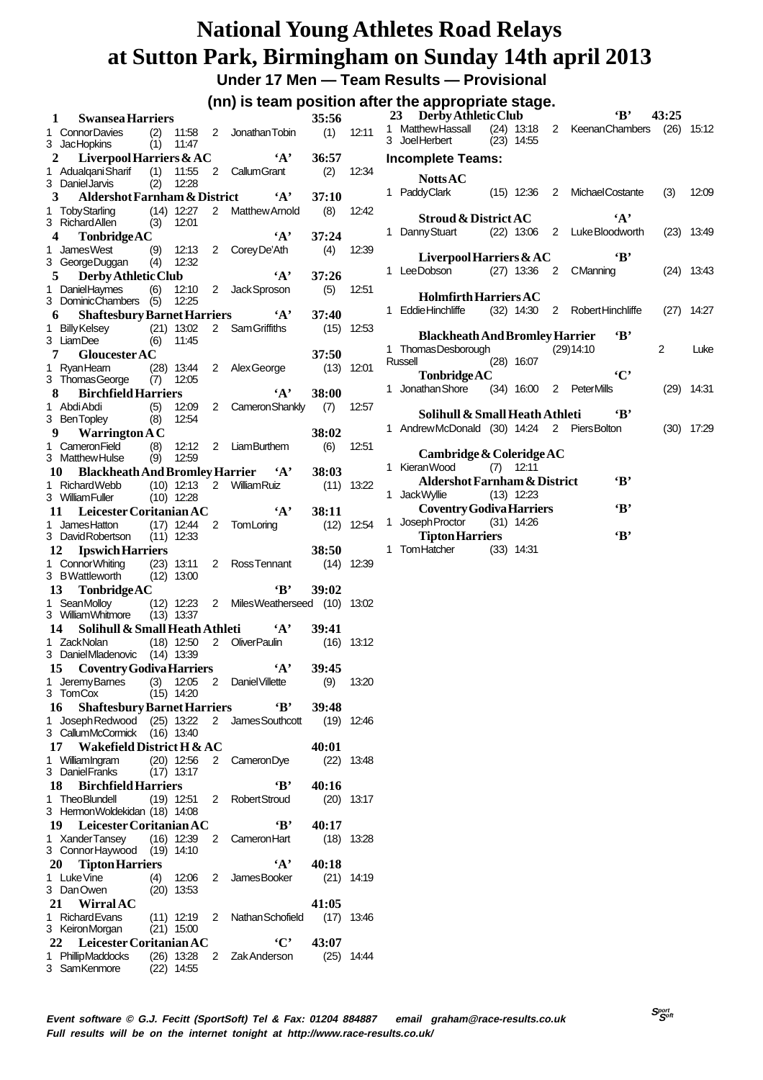**Under 17 Men — Team Results — Provisional**

#### **(nn) is team position after the appropriate stage.**

|    |                                                          |            |                             |   | (iii) is team position after the appropriate stage. |              |              | 23 Derby Athletic Club<br>$\cdot$ B<br>43:25                         |       |
|----|----------------------------------------------------------|------------|-----------------------------|---|-----------------------------------------------------|--------------|--------------|----------------------------------------------------------------------|-------|
| 1  | <b>Swansea Harriers</b>                                  |            |                             |   |                                                     | 35:56        |              | 1 Matthew Hassall<br>(24) 13:18 2 Keenan Chambers (26) 15:12         |       |
|    | 1 ConnorDavies<br>3 JacHopkins                           | (2)<br>(1) | 11:47                       |   | 11:58 2 Jonathan Tobin                              | $(1)$ 12:11  |              | 3 JoelHerbert<br>$(23)$ 14:55                                        |       |
| 2  | Liverpool Harriers $&AC$                                 |            |                             |   | $\mathbf{A}$                                        | 36:57        |              |                                                                      |       |
|    | 1 Adualgani Sharif                                       | (1)        | 11:55                       |   | 2 CallumGrant                                       | (2)          | 12:34        | Incomplete Teams:                                                    |       |
|    | 3 Daniel Jarvis                                          | (2)        | 12:28                       |   |                                                     |              |              | <b>Notts AC</b>                                                      |       |
| 3  | Aldershot Farnham & District                             |            |                             |   | $\mathbf{A}$                                        | 37:10        |              | 1 PaddyClark<br>(15) 12:36 2 Michael Costante<br>(3)                 | 12:09 |
|    | 1 Toby Starling                                          |            |                             |   | $(14)$ 12:27 2 Matthew Arnold                       | (8)          | 12:42        |                                                                      |       |
|    | 3 Richard Allen                                          |            | $(3)$ 12:01                 |   |                                                     |              |              | $\mathbf{A}$<br><b>Stroud &amp; District AC</b>                      |       |
|    | <b>Tonbridge AC</b>                                      |            |                             |   | $\mathbf{A}$                                        | 37:24        |              | (22) 13:06 2 LukeBloodworth<br>1 Danny Stuart<br>$(23)$ 13:49        |       |
|    | 1 JamesWest                                              |            |                             |   | (9) 12:13 2 Corey De'Ath                            | (4)          | 12:39        |                                                                      |       |
|    | 3 George Duggan                                          |            | $(4)$ 12:32                 |   |                                                     |              |              | Liverpool Harriers $\&\mathrm{AC}$<br>$\cdot_{\rm B}$                |       |
|    | Derby Athletic Club<br>$5 -$                             |            |                             |   | $\mathbf{A}$                                        | 37:26        |              | 1 Lee Dobson (27) 13:36 2 CManning<br>$(24)$ 13:43                   |       |
|    | 1 DanielHaymes                                           | (6)        |                             |   | 12:10 2 JackSproson                                 | (5)          | 12:51        | <b>Holmfirth Harriers AC</b>                                         |       |
|    | 3 DominicChambers (5) 12:25                              |            |                             |   |                                                     |              |              | 1 Eddie Hinchliffe<br>(32) 14:30 2 Robert Hinchliffe<br>$(27)$ 14:27 |       |
|    | <b>Shaftesbury Barnet Harriers</b><br>6                  |            |                             |   | $\mathbf{A}^{\bullet}$                              | 37:40        |              |                                                                      |       |
|    | 1 Billy Kelsey                                           |            | $(21)$ 13:02                |   | 2 Sam Griffiths                                     |              | $(15)$ 12:53 | <b>Blackheath And Bromley Harrier</b><br>٠в,                         |       |
|    | 3 LiamDee                                                |            | $(6)$ 11:45                 |   |                                                     |              |              | 1 Thomas Desborough<br>2<br>(29)14:10                                | Luke  |
|    | <b>Gloucester AC</b><br>7                                |            |                             |   |                                                     | 37:50        |              | $(28)$ 16:07<br>Russell                                              |       |
|    | 1 RyanHeam<br>3 Thomas George                            |            | $(28)$ 13:44<br>$(7)$ 12:05 |   | 2 Alex George                                       |              | $(13)$ 12:01 | $\cdot$ $C$<br>TonbridgeAC                                           |       |
|    | <b>Birchfield Harriers</b><br>8.                         |            |                             |   | $\mathbf{A}$                                        | 38:00        |              | 1 Jonathan Shore<br>(34) 16:00 2 PeterMills<br>$(29)$ 14:31          |       |
|    | 1 Abdi Abdi                                              | (5)        | 12:09                       |   | 2 Cameron Shankly                                   | (7)          | 12:57        |                                                                      |       |
|    | 3 BenTopley                                              | (8)        | 12:54                       |   |                                                     |              |              | Solihull & Small Heath Athleti<br>«в'                                |       |
|    | 9 Warrington $AC$                                        |            |                             |   |                                                     | 38:02        |              | 1 Andrew McDonald (30) 14:24 2 Piers Bolton<br>$(30)$ 17:29          |       |
|    | 1 Cameron Field                                          |            |                             |   | (8) 12:12 2 LiamBurthem                             | (6)          | 12:51        |                                                                      |       |
|    | 3 Matthew Hulse                                          | (9)        | 12:59                       |   |                                                     |              |              | Cambridge & Coleridge AC                                             |       |
|    | 10 Blackheath And Bromley Harrier 'A'                    |            |                             |   |                                                     | 38:03        |              | 1 Kieran Wood<br>$(7)$ 12:11                                         |       |
|    | 1 Richard Webb                                           |            |                             |   | (10) 12:13 2 William Ruiz                           |              | $(11)$ 13:22 | $\cdot$ B<br>Aldershot Farnham & District                            |       |
|    | 3 William Fuller                                         |            | $(10)$ 12:28                |   |                                                     |              |              | 1 Jack Wyllie<br>$(13)$ 12:23                                        |       |
|    | 11 Leicester Coritanian AC                               |            |                             |   | $\mathbf{A}$                                        | 38:11        |              | $\mathbf{B}$<br><b>Coventry Godiva Harriers</b>                      |       |
|    | 1 James Hatton                                           |            |                             |   | (17) 12:44 2 TomLoring                              |              | $(12)$ 12:54 | 1 Joseph Proctor<br>$(31)$ 14:26                                     |       |
|    | 3 DavidRobertson                                         |            | $(11)$ 12:33                |   |                                                     |              |              | $\mathbf{B}$<br><b>Tipton Harriers</b>                               |       |
|    | 12 Ipswich Harriers                                      |            |                             |   |                                                     | 38:50        |              | 1 Tom Hatcher (33) 14:31                                             |       |
|    | 1 Connor Whiting                                         |            |                             |   | $(23)$ 13:11 2 Ross Tennant                         | $(14)$ 12:39 |              |                                                                      |       |
|    | 3 BWattleworth                                           |            | $(12)$ 13:00                |   |                                                     |              |              |                                                                      |       |
| 13 | <b>Tonbridge AC</b>                                      |            |                             |   | $\mathbf{B}^*$                                      | 39:02        |              |                                                                      |       |
|    | 1 SeanMolloy<br>3 William Whitmore                       |            |                             |   | (12) 12:23 2 Miles Weatherseed (10) 13:02           |              |              |                                                                      |       |
|    |                                                          |            | $(13)$ 13:37                |   |                                                     | 39:41        |              |                                                                      |       |
|    | Solihull & Small Heath Athleti $A'$<br>14<br>1 ZackNolan |            |                             |   | (18) 12:50 2 OliverPaulin                           |              | $(16)$ 13:12 |                                                                      |       |
|    | 3 Daniel Mladenovic (14) 13:39                           |            |                             |   |                                                     |              |              |                                                                      |       |
|    | 15 Coventry Godiva Harriers                              |            |                             |   |                                                     |              |              |                                                                      |       |
|    | 1 Jeremy Barnes                                          |            |                             |   |                                                     |              |              |                                                                      |       |
|    |                                                          |            |                             |   | $\mathbf{A}$                                        | 39:45        |              |                                                                      |       |
|    | 3 TomCox                                                 |            |                             |   | (3) 12:05 2 Daniel Villette                         | (9)          | 13:20        |                                                                      |       |
|    | 16                                                       |            | $(15)$ 14:20                |   | $\cdot$ B                                           | 39:48        |              |                                                                      |       |
|    | <b>Shaftesbury Barnet Harriers</b><br>1 Joseph Redwood   |            | $(25)$ 13:22                |   | 2 James Southcott                                   |              | $(19)$ 12:46 |                                                                      |       |
|    | 3 CallumMcCormick                                        |            | (16) 13:40                  |   |                                                     |              |              |                                                                      |       |
|    | 17 Wakefield District H & AC                             |            |                             |   |                                                     | 40:01        |              |                                                                      |       |
|    | 1 WilliamIngram                                          |            | $(20)$ 12:56                |   | 2 Cameron Dye                                       |              | $(22)$ 13:48 |                                                                      |       |
|    | 3 Daniel Franks                                          |            | $(17)$ 13:17                |   |                                                     |              |              |                                                                      |       |
|    | 18 Birchfield Harriers                                   |            |                             |   | $\cdot_{\mathbf{B}}$                                | 40:16        |              |                                                                      |       |
|    | 1 TheoBlundell                                           |            | $(19)$ 12:51                |   | 2 RobertStroud                                      |              | $(20)$ 13:17 |                                                                      |       |
|    | 3 HermonWoldekidan (18) 14:08                            |            |                             |   |                                                     |              |              |                                                                      |       |
|    | 19 Leicester Coritanian AC                               |            |                             |   | $\cdot$ B'                                          | 40:17        |              |                                                                      |       |
|    | 1 XanderTansey                                           |            | $(16)$ 12:39                | 2 | CameronHart                                         |              | $(18)$ 13:28 |                                                                      |       |
|    | 3 ConnorHaywood                                          |            | $(19)$ 14:10                |   |                                                     |              |              |                                                                      |       |
|    | 20 Tipton Harriers                                       |            |                             |   | $\mathbf{A}$                                        | 40:18        |              |                                                                      |       |
|    | 1 Luke Vine                                              | (4)        | 12:06                       | 2 | JamesBooker                                         |              | $(21)$ 14:19 |                                                                      |       |
|    | 3 DanOwen                                                |            | $(20)$ 13:53                |   |                                                     |              |              |                                                                      |       |
|    | 21 WirralAC                                              |            |                             |   |                                                     | 41:05        |              |                                                                      |       |
|    | 1 Richard Evans                                          |            | $(11)$ 12:19 2              |   | Nathan Schofield                                    | (17) 13:46   |              |                                                                      |       |
|    | 3 KeironMorgan<br>22                                     |            | $(21)$ 15:00                |   | $\cdot$ C'                                          |              |              |                                                                      |       |
|    | Leicester Coritanian AC<br>1 PhillipMaddocks             |            | $(26)$ 13:28                |   | 2 Zak Anderson                                      | 43:07        | $(25)$ 14:44 |                                                                      |       |